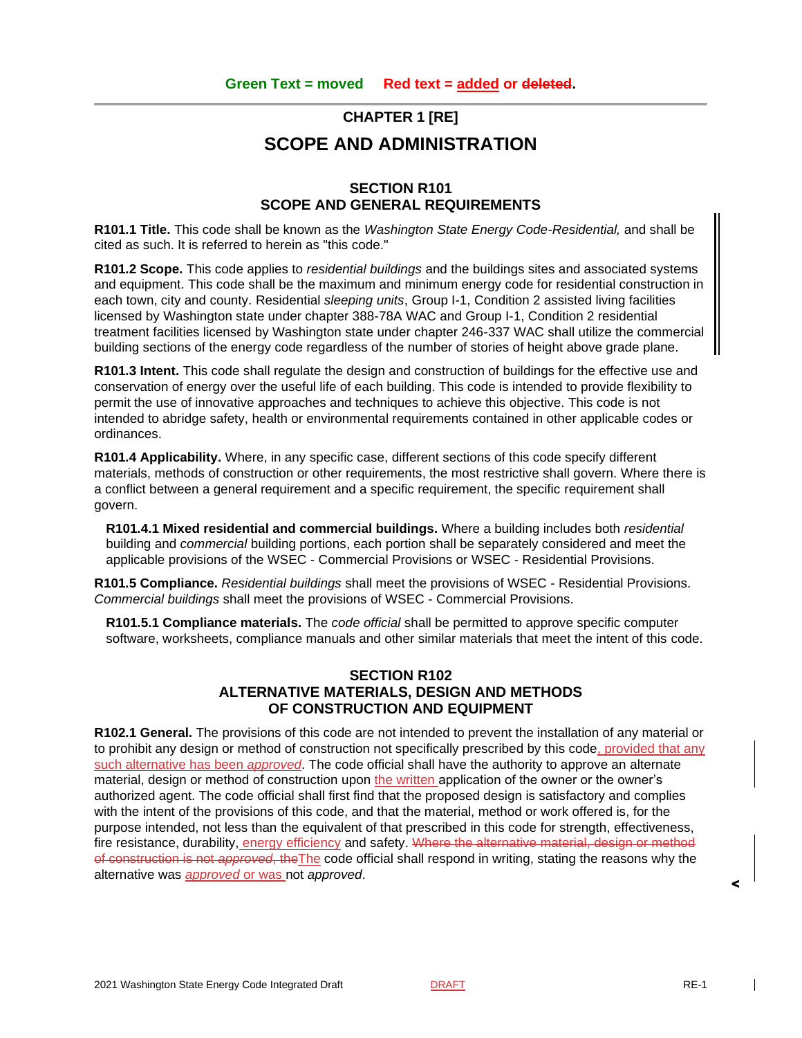# **CHAPTER 1 [RE] SCOPE AND ADMINISTRATION**

#### **SECTION R101 SCOPE AND GENERAL REQUIREMENTS**

**R101.1 Title.** This code shall be known as the *Washington State Energy Code-Residential,* and shall be cited as such. It is referred to herein as "this code."

**R101.2 Scope.** This code applies to *residential buildings* and the buildings sites and associated systems and equipment. This code shall be the maximum and minimum energy code for residential construction in each town, city and county. Residential *sleeping units*, Group I-1, Condition 2 assisted living facilities licensed by Washington state under chapter 388-78A WAC and Group I-1, Condition 2 residential treatment facilities licensed by Washington state under chapter 246-337 WAC shall utilize the commercial building sections of the energy code regardless of the number of stories of height above grade plane.

**R101.3 Intent.** This code shall regulate the design and construction of buildings for the effective use and conservation of energy over the useful life of each building. This code is intended to provide flexibility to permit the use of innovative approaches and techniques to achieve this objective. This code is not intended to abridge safety, health or environmental requirements contained in other applicable codes or ordinances.

**R101.4 Applicability.** Where, in any specific case, different sections of this code specify different materials, methods of construction or other requirements, the most restrictive shall govern. Where there is a conflict between a general requirement and a specific requirement, the specific requirement shall govern.

**R101.4.1 Mixed residential and commercial buildings.** Where a building includes both *residential* building and *commercial* building portions, each portion shall be separately considered and meet the applicable provisions of the WSEC - Commercial Provisions or WSEC - Residential Provisions.

**R101.5 Compliance.** *Residential buildings* shall meet the provisions of WSEC - Residential Provisions. *Commercial buildings* shall meet the provisions of WSEC - Commercial Provisions.

**R101.5.1 Compliance materials.** The *code official* shall be permitted to approve specific computer software, worksheets, compliance manuals and other similar materials that meet the intent of this code.

#### **SECTION R102 ALTERNATIVE MATERIALS, DESIGN AND METHODS OF CONSTRUCTION AND EQUIPMENT**

**R102.1 General.** The provisions of this code are not intended to prevent the installation of any material or to prohibit any design or method of construction not specifically prescribed by this code, provided that any such alternative has been *approved*. The code official shall have the authority to approve an alternate material, design or method of construction upon the written application of the owner or the owner's authorized agent. The code official shall first find that the proposed design is satisfactory and complies with the intent of the provisions of this code, and that the material, method or work offered is, for the purpose intended, not less than the equivalent of that prescribed in this code for strength, effectiveness, fire resistance, durability, energy efficiency and safety. Where the alternative material, design or method of construction is not *approved*, theThe code official shall respond in writing, stating the reasons why the alternative was *approved* or was not *approved*.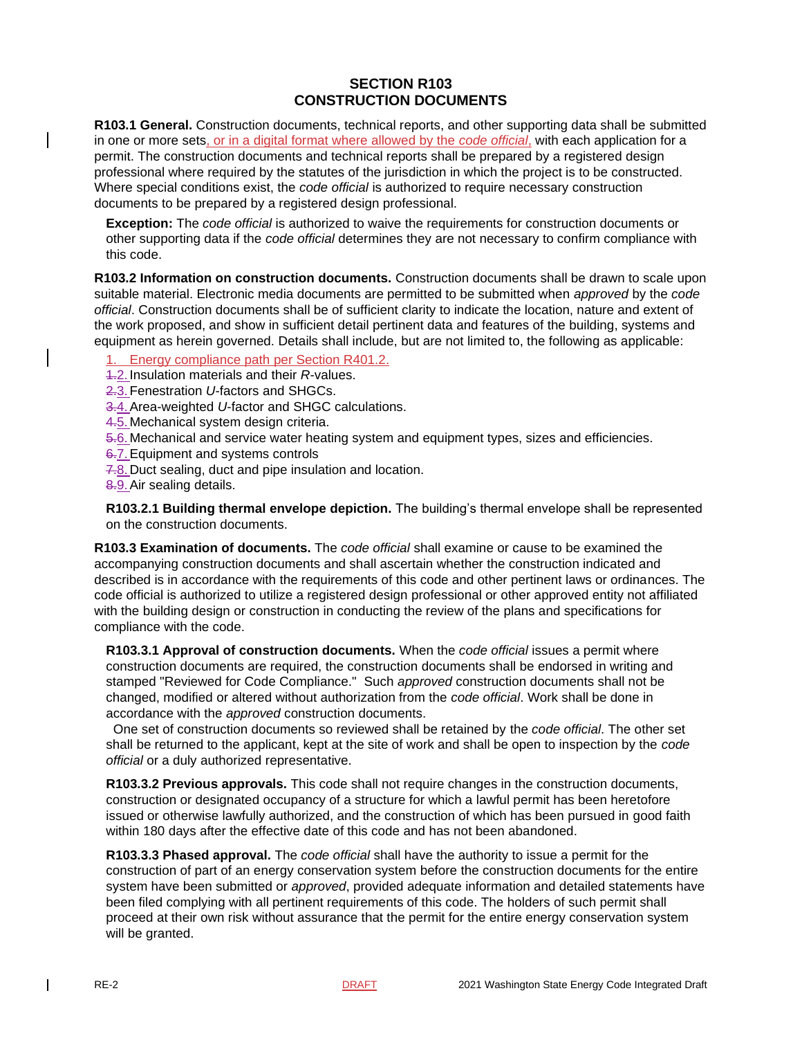#### **SECTION R103 CONSTRUCTION DOCUMENTS**

**R103.1 General.** Construction documents, technical reports, and other supporting data shall be submitted in one or more sets, or in a digital format where allowed by the *code official*, with each application for a permit. The construction documents and technical reports shall be prepared by a registered design professional where required by the statutes of the jurisdiction in which the project is to be constructed. Where special conditions exist, the *code official* is authorized to require necessary construction documents to be prepared by a registered design professional.

**Exception:** The *code official* is authorized to waive the requirements for construction documents or other supporting data if the *code official* determines they are not necessary to confirm compliance with this code.

**R103.2 Information on construction documents.** Construction documents shall be drawn to scale upon suitable material. Electronic media documents are permitted to be submitted when *approved* by the *code official*. Construction documents shall be of sufficient clarity to indicate the location, nature and extent of the work proposed, and show in sufficient detail pertinent data and features of the building, systems and equipment as herein governed. Details shall include, but are not limited to, the following as applicable:

1. Energy compliance path per Section R401.2.

1.2. Insulation materials and their *R*-values.

2.3.Fenestration *U*-factors and SHGCs.

3.4.Area-weighted *U*-factor and SHGC calculations.

4.5. Mechanical system design criteria.

5.6. Mechanical and service water heating system and equipment types, sizes and efficiencies.

6.7. Equipment and systems controls

7.8. Duct sealing, duct and pipe insulation and location.

8.9. Air sealing details.

**R103.2.1 Building thermal envelope depiction.** The building's thermal envelope shall be represented on the construction documents.

**R103.3 Examination of documents.** The *code official* shall examine or cause to be examined the accompanying construction documents and shall ascertain whether the construction indicated and described is in accordance with the requirements of this code and other pertinent laws or ordinances. The code official is authorized to utilize a registered design professional or other approved entity not affiliated with the building design or construction in conducting the review of the plans and specifications for compliance with the code.

**R103.3.1 Approval of construction documents.** When the *code official* issues a permit where construction documents are required, the construction documents shall be endorsed in writing and stamped "Reviewed for Code Compliance." Such *approved* construction documents shall not be changed, modified or altered without authorization from the *code official*. Work shall be done in accordance with the *approved* construction documents.

 One set of construction documents so reviewed shall be retained by the *code official*. The other set shall be returned to the applicant, kept at the site of work and shall be open to inspection by the *code official* or a duly authorized representative.

**R103.3.2 Previous approvals.** This code shall not require changes in the construction documents, construction or designated occupancy of a structure for which a lawful permit has been heretofore issued or otherwise lawfully authorized, and the construction of which has been pursued in good faith within 180 days after the effective date of this code and has not been abandoned.

**R103.3.3 Phased approval.** The *code official* shall have the authority to issue a permit for the construction of part of an energy conservation system before the construction documents for the entire system have been submitted or *approved*, provided adequate information and detailed statements have been filed complying with all pertinent requirements of this code. The holders of such permit shall proceed at their own risk without assurance that the permit for the entire energy conservation system will be granted.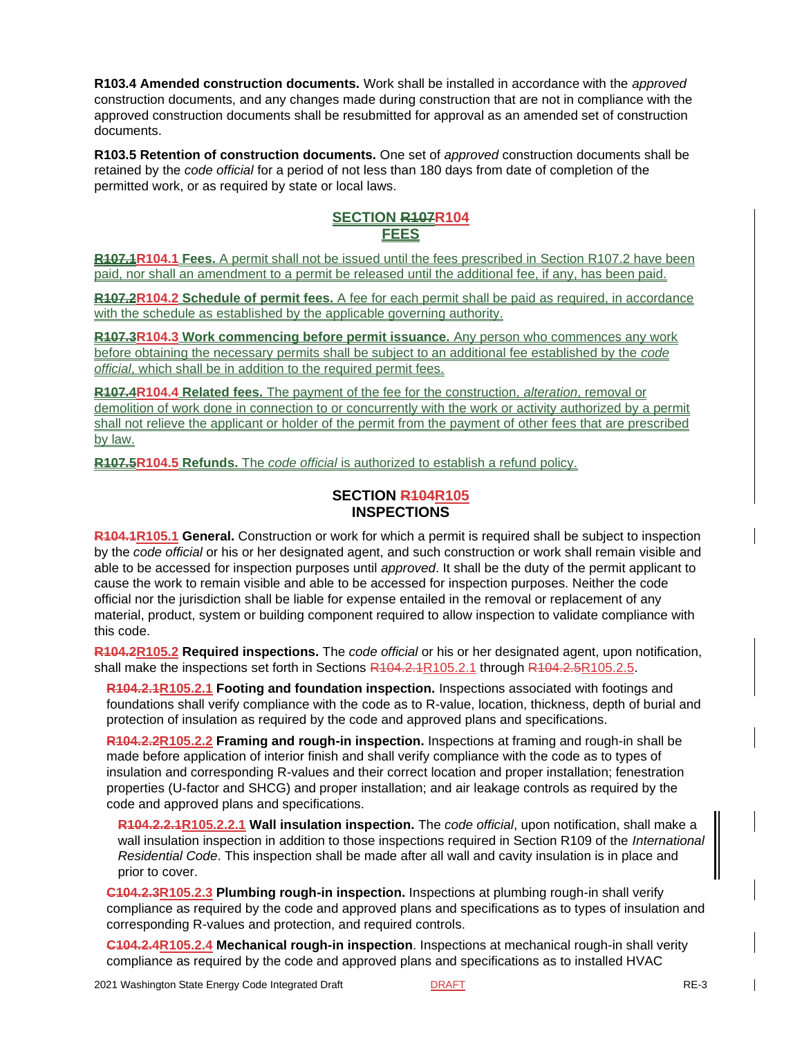**R103.4 Amended construction documents.** Work shall be installed in accordance with the *approved* construction documents, and any changes made during construction that are not in compliance with the approved construction documents shall be resubmitted for approval as an amended set of construction documents.

**R103.5 Retention of construction documents.** One set of *approved* construction documents shall be retained by the *code official* for a period of not less than 180 days from date of completion of the permitted work, or as required by state or local laws.

#### **SECTION R107R104 FEES**

**R107.1R104.1 Fees.** A permit shall not be issued until the fees prescribed in Section R107.2 have been paid, nor shall an amendment to a permit be released until the additional fee, if any, has been paid.

**R107.2R104.2 Schedule of permit fees.** A fee for each permit shall be paid as required, in accordance with the schedule as established by the applicable governing authority.

**R107.3R104.3 Work commencing before permit issuance.** Any person who commences any work before obtaining the necessary permits shall be subject to an additional fee established by the *code official*, which shall be in addition to the required permit fees.

**R107.4R104.4 Related fees.** The payment of the fee for the construction, *alteration*, removal or demolition of work done in connection to or concurrently with the work or activity authorized by a permit shall not relieve the applicant or holder of the permit from the payment of other fees that are prescribed by law.

**R107.5R104.5 Refunds.** The *code official* is authorized to establish a refund policy.

#### **SECTION R104R105 INSPECTIONS**

**R104.1R105.1 General.** Construction or work for which a permit is required shall be subject to inspection by the *code official* or his or her designated agent, and such construction or work shall remain visible and able to be accessed for inspection purposes until *approved*. It shall be the duty of the permit applicant to cause the work to remain visible and able to be accessed for inspection purposes. Neither the code official nor the jurisdiction shall be liable for expense entailed in the removal or replacement of any material, product, system or building component required to allow inspection to validate compliance with this code.

**R104.2R105.2 Required inspections.** The *code official* or his or her designated agent, upon notification, shall make the inspections set forth in Sections R404.2.4R105.2.1 through R404.2.5R105.2.5.

**R104.2.1R105.2.1 Footing and foundation inspection.** Inspections associated with footings and foundations shall verify compliance with the code as to R-value, location, thickness, depth of burial and protection of insulation as required by the code and approved plans and specifications.

**R104.2.2R105.2.2 Framing and rough-in inspection.** Inspections at framing and rough-in shall be made before application of interior finish and shall verify compliance with the code as to types of insulation and corresponding R-values and their correct location and proper installation; fenestration properties (U-factor and SHCG) and proper installation; and air leakage controls as required by the code and approved plans and specifications.

**R104.2.2.1R105.2.2.1 Wall insulation inspection.** The *code official*, upon notification, shall make a wall insulation inspection in addition to those inspections required in Section R109 of the *International Residential Code*. This inspection shall be made after all wall and cavity insulation is in place and prior to cover.

**C104.2.3R105.2.3 Plumbing rough-in inspection.** Inspections at plumbing rough-in shall verify compliance as required by the code and approved plans and specifications as to types of insulation and corresponding R-values and protection, and required controls.

**C104.2.4R105.2.4 Mechanical rough-in inspection**. Inspections at mechanical rough-in shall verity compliance as required by the code and approved plans and specifications as to installed HVAC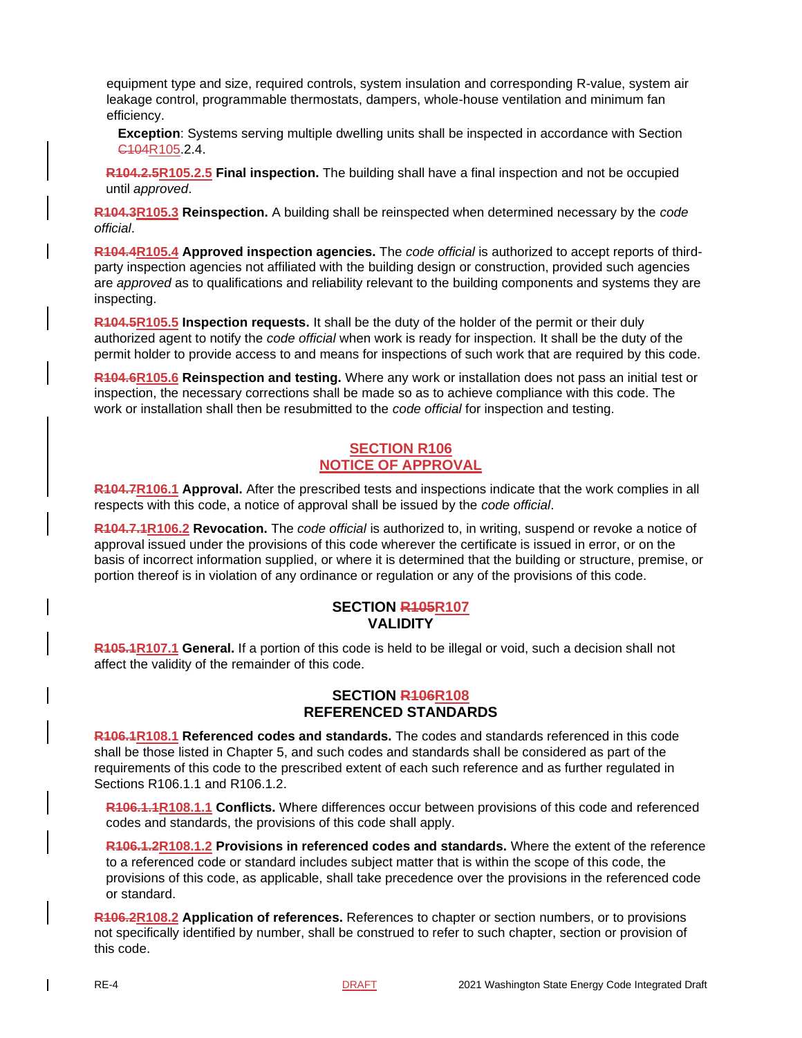equipment type and size, required controls, system insulation and corresponding R-value, system air leakage control, programmable thermostats, dampers, whole-house ventilation and minimum fan efficiency.

**Exception**: Systems serving multiple dwelling units shall be inspected in accordance with Section C104R105.2.4.

**R104.2.5R105.2.5 Final inspection.** The building shall have a final inspection and not be occupied until *approved*.

**R104.3R105.3 Reinspection.** A building shall be reinspected when determined necessary by the *code official*.

**R104.4R105.4 Approved inspection agencies.** The *code official* is authorized to accept reports of thirdparty inspection agencies not affiliated with the building design or construction, provided such agencies are *approved* as to qualifications and reliability relevant to the building components and systems they are inspecting.

**R104.5R105.5 Inspection requests.** It shall be the duty of the holder of the permit or their duly authorized agent to notify the *code official* when work is ready for inspection. It shall be the duty of the permit holder to provide access to and means for inspections of such work that are required by this code.

**R104.6R105.6 Reinspection and testing.** Where any work or installation does not pass an initial test or inspection, the necessary corrections shall be made so as to achieve compliance with this code. The work or installation shall then be resubmitted to the *code official* for inspection and testing.

#### **SECTION R106 NOTICE OF APPROVAL**

**R104.7R106.1 Approval.** After the prescribed tests and inspections indicate that the work complies in all respects with this code, a notice of approval shall be issued by the *code official*.

**R104.7.1R106.2 Revocation.** The *code official* is authorized to, in writing, suspend or revoke a notice of approval issued under the provisions of this code wherever the certificate is issued in error, or on the basis of incorrect information supplied, or where it is determined that the building or structure, premise, or portion thereof is in violation of any ordinance or regulation or any of the provisions of this code.

#### **SECTION R105R107 VALIDITY**

**R105.1R107.1 General.** If a portion of this code is held to be illegal or void, such a decision shall not affect the validity of the remainder of this code.

#### **SECTION R106R108 REFERENCED STANDARDS**

**R106.1R108.1 Referenced codes and standards.** The codes and standards referenced in this code shall be those listed in Chapter 5, and such codes and standards shall be considered as part of the requirements of this code to the prescribed extent of each such reference and as further regulated in Sections R106.1.1 and R106.1.2.

**R106.1.1R108.1.1 Conflicts.** Where differences occur between provisions of this code and referenced codes and standards, the provisions of this code shall apply.

**R106.1.2R108.1.2 Provisions in referenced codes and standards.** Where the extent of the reference to a referenced code or standard includes subject matter that is within the scope of this code, the provisions of this code, as applicable, shall take precedence over the provisions in the referenced code or standard.

**R106.2R108.2 Application of references.** References to chapter or section numbers, or to provisions not specifically identified by number, shall be construed to refer to such chapter, section or provision of this code.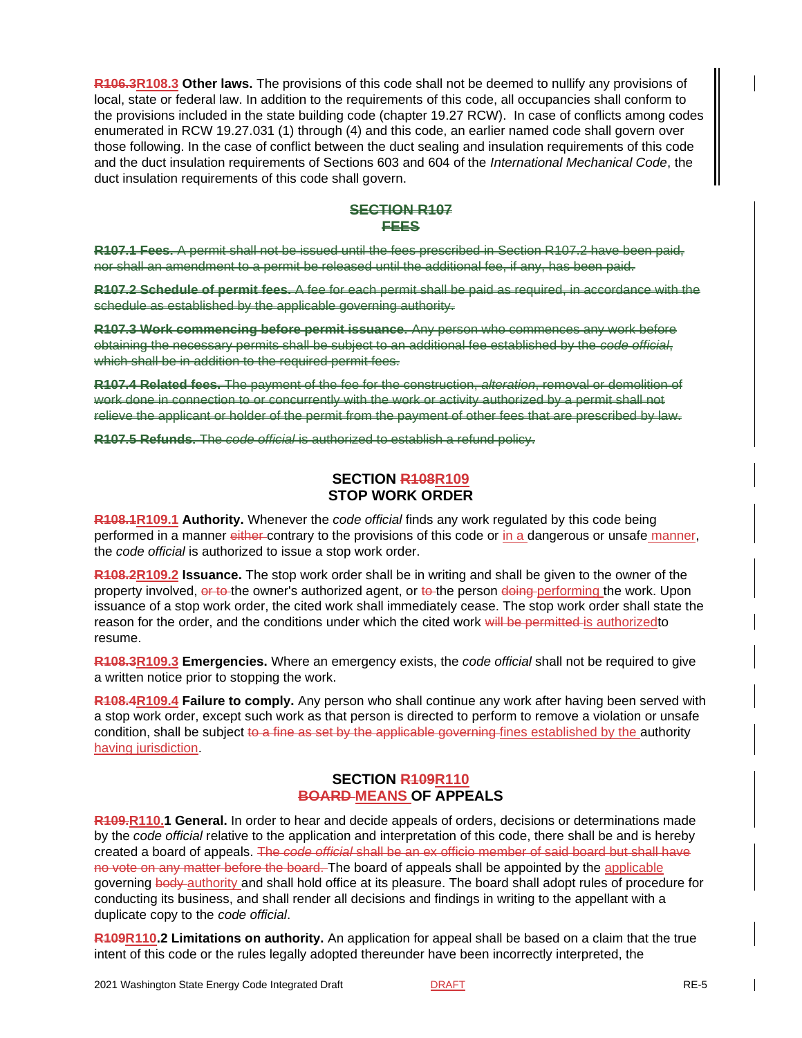**R106.3R108.3 Other laws.** The provisions of this code shall not be deemed to nullify any provisions of local, state or federal law. In addition to the requirements of this code, all occupancies shall conform to the provisions included in the state building code (chapter 19.27 RCW). In case of conflicts among codes enumerated in RCW 19.27.031 (1) through (4) and this code, an earlier named code shall govern over those following. In the case of conflict between the duct sealing and insulation requirements of this code and the duct insulation requirements of Sections 603 and 604 of the *International Mechanical Code*, the duct insulation requirements of this code shall govern.

#### **SECTION R107 FEES**

**R107.1 Fees.** A permit shall not be issued until the fees prescribed in Section nor shall an amendment to a permit be released until the additional fee, if any, has been paid.

**R107.2 Schedule of permit fees.** A fee for each permit shall be paid as required, in accordance with schedule as established by the applicable governing authority.

**R107.3 Work commencing before permit issuance.** Any person who commences any work before obtaining the necessary permits shall be subject to an additional fee established by the *code official*, which shall be in addition to the required permit fees.

**R107.4 Related fees.** The payment of the fee for the construction, *alteration*, removal or demolition of work done in connection to or concurrently with the work or activity authorized by a permit shall not relieve the applicant or holder of the permit from the payment of other fees that are prescribed by law.

**R107.5 Refunds.** The *code official* is authorized to establish a refund policy.

#### **SECTION R108R109 STOP WORK ORDER**

**R108.1R109.1 Authority.** Whenever the *code official* finds any work regulated by this code being performed in a manner either contrary to the provisions of this code or in a dangerous or unsafe manner, the *code official* is authorized to issue a stop work order.

**R108.2R109.2 Issuance.** The stop work order shall be in writing and shall be given to the owner of the property involved, or to the owner's authorized agent, or to the person doing performing the work. Upon issuance of a stop work order, the cited work shall immediately cease. The stop work order shall state the reason for the order, and the conditions under which the cited work will be permitted is authorized to resume.

**R108.3R109.3 Emergencies.** Where an emergency exists, the *code official* shall not be required to give a written notice prior to stopping the work.

**R108.4R109.4 Failure to comply.** Any person who shall continue any work after having been served with a stop work order, except such work as that person is directed to perform to remove a violation or unsafe condition, shall be subject to a fine as set by the applicable governing fines established by the authority having jurisdiction

#### **SECTION R109R110 BOARD MEANS OF APPEALS**

**R109.R110.1 General.** In order to hear and decide appeals of orders, decisions or determinations made by the *code official* relative to the application and interpretation of this code, there shall be and is hereby created a board of appeals. The *code official* shall be an ex officio member of said board but shall have no vote on any matter before the board. The board of appeals shall be appointed by the applicable governing body authority and shall hold office at its pleasure. The board shall adopt rules of procedure for conducting its business, and shall render all decisions and findings in writing to the appellant with a duplicate copy to the *code official*.

**R109R110.2 Limitations on authority.** An application for appeal shall be based on a claim that the true intent of this code or the rules legally adopted thereunder have been incorrectly interpreted, the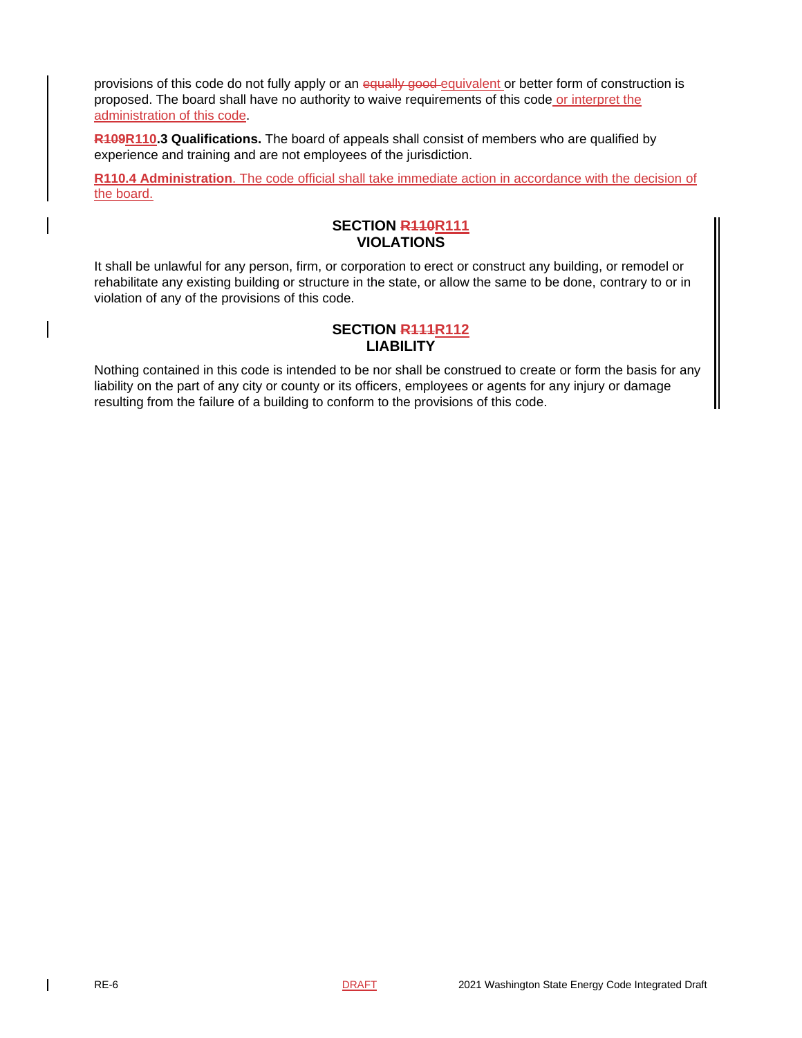provisions of this code do not fully apply or an equally good equivalent or better form of construction is proposed. The board shall have no authority to waive requirements of this code or interpret the administration of this code.

**R109R110.3 Qualifications.** The board of appeals shall consist of members who are qualified by experience and training and are not employees of the jurisdiction.

**R110.4 Administration**. The code official shall take immediate action in accordance with the decision of the board.

#### **SECTION R110R111 VIOLATIONS**

It shall be unlawful for any person, firm, or corporation to erect or construct any building, or remodel or rehabilitate any existing building or structure in the state, or allow the same to be done, contrary to or in violation of any of the provisions of this code.

#### **SECTION R111R112 LIABILITY**

Nothing contained in this code is intended to be nor shall be construed to create or form the basis for any liability on the part of any city or county or its officers, employees or agents for any injury or damage resulting from the failure of a building to conform to the provisions of this code.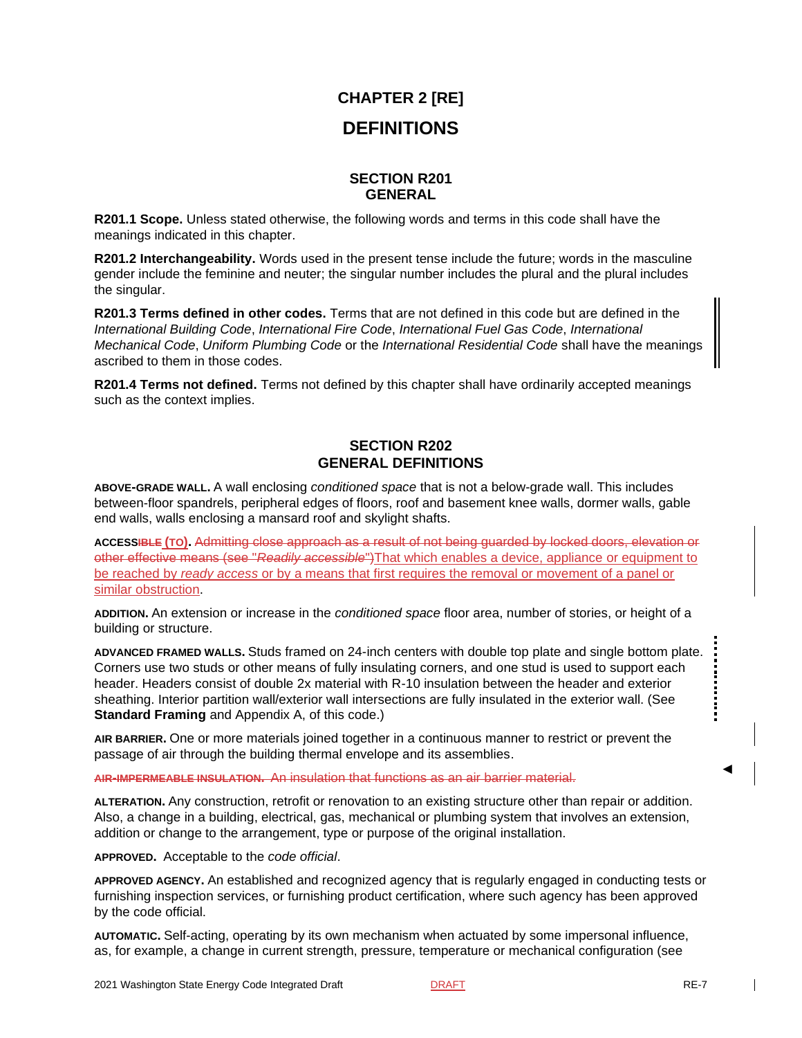# **CHAPTER 2 [RE] DEFINITIONS**

#### **SECTION R201 GENERAL**

**R201.1 Scope.** Unless stated otherwise, the following words and terms in this code shall have the meanings indicated in this chapter.

**R201.2 Interchangeability.** Words used in the present tense include the future; words in the masculine gender include the feminine and neuter; the singular number includes the plural and the plural includes the singular.

**R201.3 Terms defined in other codes.** Terms that are not defined in this code but are defined in the *International Building Code*, *International Fire Code*, *International Fuel Gas Code*, *International Mechanical Code*, *Uniform Plumbing Code* or the *International Residential Code* shall have the meanings ascribed to them in those codes.

**R201.4 Terms not defined.** Terms not defined by this chapter shall have ordinarily accepted meanings such as the context implies.

#### **SECTION R202 GENERAL DEFINITIONS**

**ABOVE-GRADE WALL.** A wall enclosing *conditioned space* that is not a below-grade wall. This includes between-floor spandrels, peripheral edges of floors, roof and basement knee walls, dormer walls, gable end walls, walls enclosing a mansard roof and skylight shafts.

**ACCESSIBLE (TO).** Admitting close approach as a result of not being guarded by locked doors, elevation or other effective means (see "*Readily accessible*")That which enables a device, appliance or equipment to be reached by *ready access* or by a means that first requires the removal or movement of a panel or similar obstruction.

**ADDITION.** An extension or increase in the *conditioned space* floor area, number of stories, or height of a building or structure.

**ADVANCED FRAMED WALLS.** Studs framed on 24-inch centers with double top plate and single bottom plate. Corners use two studs or other means of fully insulating corners, and one stud is used to support each header. Headers consist of double 2x material with R-10 insulation between the header and exterior sheathing. Interior partition wall/exterior wall intersections are fully insulated in the exterior wall. (See **Standard Framing** and Appendix A, of this code.)

**AIR BARRIER.** One or more materials joined together in a continuous manner to restrict or prevent the passage of air through the building thermal envelope and its assemblies.

**AIR-IMPERMEABLE INSULATION.** An insulation that functions as an air barrier material.

**ALTERATION.** Any construction, retrofit or renovation to an existing structure other than repair or addition. Also, a change in a building, electrical, gas, mechanical or plumbing system that involves an extension, addition or change to the arrangement, type or purpose of the original installation.

**APPROVED.** Acceptable to the *code official*.

**APPROVED AGENCY.** An established and recognized agency that is regularly engaged in conducting tests or furnishing inspection services, or furnishing product certification, where such agency has been approved by the code official.

**AUTOMATIC.** Self-acting, operating by its own mechanism when actuated by some impersonal influence, as, for example, a change in current strength, pressure, temperature or mechanical configuration (see

◄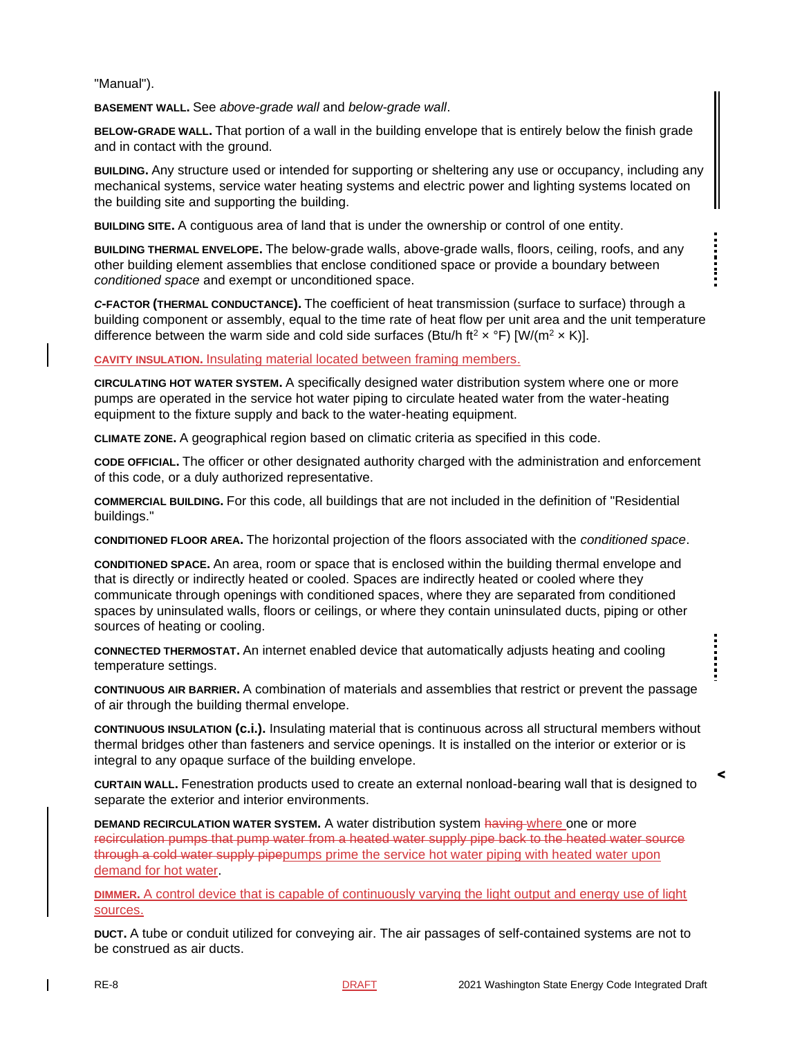#### "Manual").

**BASEMENT WALL.** See *above-grade wall* and *below-grade wall*.

**BELOW-GRADE WALL.** That portion of a wall in the building envelope that is entirely below the finish grade and in contact with the ground.

**BUILDING.** Any structure used or intended for supporting or sheltering any use or occupancy, including any mechanical systems, service water heating systems and electric power and lighting systems located on the building site and supporting the building.

**BUILDING SITE.** A contiguous area of land that is under the ownership or control of one entity.

**BUILDING THERMAL ENVELOPE.** The below-grade walls, above-grade walls, floors, ceiling, roofs, and any other building element assemblies that enclose conditioned space or provide a boundary between *conditioned space* and exempt or unconditioned space.

*C***-FACTOR (THERMAL CONDUCTANCE).** The coefficient of heat transmission (surface to surface) through a building component or assembly, equal to the time rate of heat flow per unit area and the unit temperature difference between the warm side and cold side surfaces (Btu/h ft<sup>2</sup>  $\times$  °F) [W/(m<sup>2</sup>  $\times$  K)].

#### **CAVITY INSULATION.** Insulating material located between framing members.

**CIRCULATING HOT WATER SYSTEM.** A specifically designed water distribution system where one or more pumps are operated in the service hot water piping to circulate heated water from the water-heating equipment to the fixture supply and back to the water-heating equipment.

**CLIMATE ZONE.** A geographical region based on climatic criteria as specified in this code.

**CODE OFFICIAL.** The officer or other designated authority charged with the administration and enforcement of this code, or a duly authorized representative.

**COMMERCIAL BUILDING.** For this code, all buildings that are not included in the definition of "Residential buildings."

**CONDITIONED FLOOR AREA.** The horizontal projection of the floors associated with the *conditioned space*.

**CONDITIONED SPACE.** An area, room or space that is enclosed within the building thermal envelope and that is directly or indirectly heated or cooled. Spaces are indirectly heated or cooled where they communicate through openings with conditioned spaces, where they are separated from conditioned spaces by uninsulated walls, floors or ceilings, or where they contain uninsulated ducts, piping or other sources of heating or cooling.

**CONNECTED THERMOSTAT.** An internet enabled device that automatically adjusts heating and cooling temperature settings.

**CONTINUOUS AIR BARRIER.** A combination of materials and assemblies that restrict or prevent the passage of air through the building thermal envelope.

**CONTINUOUS INSULATION (c.i.).** Insulating material that is continuous across all structural members without thermal bridges other than fasteners and service openings. It is installed on the interior or exterior or is integral to any opaque surface of the building envelope.

**CURTAIN WALL.** Fenestration products used to create an external nonload-bearing wall that is designed to separate the exterior and interior environments.

**DEMAND RECIRCULATION WATER SYSTEM.** A water distribution system having where one or more recirculation pumps that pump water from a heated water supply pipe back to the heated water source through a cold water supply pipepumps prime the service hot water piping with heated water upon demand for hot water.

**DIMMER.** A control device that is capable of continuously varying the light output and energy use of light sources.

**DUCT.** A tube or conduit utilized for conveying air. The air passages of self-contained systems are not to be construed as air ducts.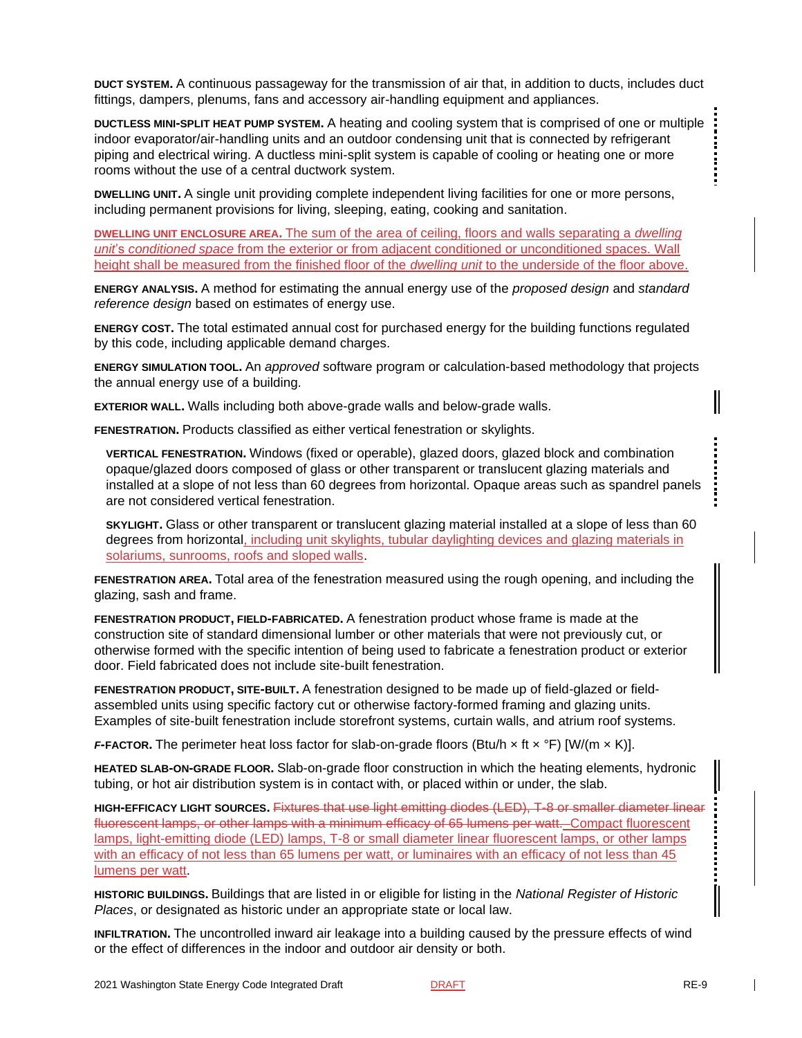**DUCT SYSTEM.** A continuous passageway for the transmission of air that, in addition to ducts, includes duct fittings, dampers, plenums, fans and accessory air-handling equipment and appliances.

**DUCTLESS MINI-SPLIT HEAT PUMP SYSTEM.** A heating and cooling system that is comprised of one or multiple indoor evaporator/air-handling units and an outdoor condensing unit that is connected by refrigerant piping and electrical wiring. A ductless mini-split system is capable of cooling or heating one or more rooms without the use of a central ductwork system.

**DWELLING UNIT.** A single unit providing complete independent living facilities for one or more persons, including permanent provisions for living, sleeping, eating, cooking and sanitation.

**DWELLING UNIT ENCLOSURE AREA.** The sum of the area of ceiling, floors and walls separating a *dwelling unit*'s *conditioned space* from the exterior or from adjacent conditioned or unconditioned spaces. Wall height shall be measured from the finished floor of the *dwelling unit* to the underside of the floor above.

**ENERGY ANALYSIS.** A method for estimating the annual energy use of the *proposed design* and *standard reference design* based on estimates of energy use.

**ENERGY COST.** The total estimated annual cost for purchased energy for the building functions regulated by this code, including applicable demand charges.

**ENERGY SIMULATION TOOL.** An *approved* software program or calculation-based methodology that projects the annual energy use of a building.

**EXTERIOR WALL.** Walls including both above-grade walls and below-grade walls.

**FENESTRATION.** Products classified as either vertical fenestration or skylights.

**VERTICAL FENESTRATION.** Windows (fixed or operable), glazed doors, glazed block and combination opaque/glazed doors composed of glass or other transparent or translucent glazing materials and installed at a slope of not less than 60 degrees from horizontal. Opaque areas such as spandrel panels are not considered vertical fenestration.

**SKYLIGHT.** Glass or other transparent or translucent glazing material installed at a slope of less than 60 degrees from horizontal, including unit skylights, tubular daylighting devices and glazing materials in solariums, sunrooms, roofs and sloped walls.

**FENESTRATION AREA.** Total area of the fenestration measured using the rough opening, and including the glazing, sash and frame.

**FENESTRATION PRODUCT, FIELD-FABRICATED.** A fenestration product whose frame is made at the construction site of standard dimensional lumber or other materials that were not previously cut, or otherwise formed with the specific intention of being used to fabricate a fenestration product or exterior door. Field fabricated does not include site-built fenestration.

**FENESTRATION PRODUCT, SITE-BUILT.** A fenestration designed to be made up of field-glazed or fieldassembled units using specific factory cut or otherwise factory-formed framing and glazing units. Examples of site-built fenestration include storefront systems, curtain walls, and atrium roof systems.

*F***-FACTOR.** The perimeter heat loss factor for slab-on-grade floors (Btu/h × ft × °F) [W/(m × K)].

**HEATED SLAB-ON-GRADE FLOOR.** Slab-on-grade floor construction in which the heating elements, hydronic tubing, or hot air distribution system is in contact with, or placed within or under, the slab.

**HIGH-EFFICACY LIGHT SOURCES.** Fixtures that use light emitting diodes (LED), T-8 or smaller diameter linear fluorescent lamps, or other lamps with a minimum efficacy of 65 lumens per watt. Compact fluorescent lamps, light-emitting diode (LED) lamps, T-8 or small diameter linear fluorescent lamps, or other lamps with an efficacy of not less than 65 lumens per watt, or luminaires with an efficacy of not less than 45 lumens per watt.

**HISTORIC BUILDINGS.** Buildings that are listed in or eligible for listing in the *National Register of Historic Places*, or designated as historic under an appropriate state or local law.

**INFILTRATION.** The uncontrolled inward air leakage into a building caused by the pressure effects of wind or the effect of differences in the indoor and outdoor air density or both.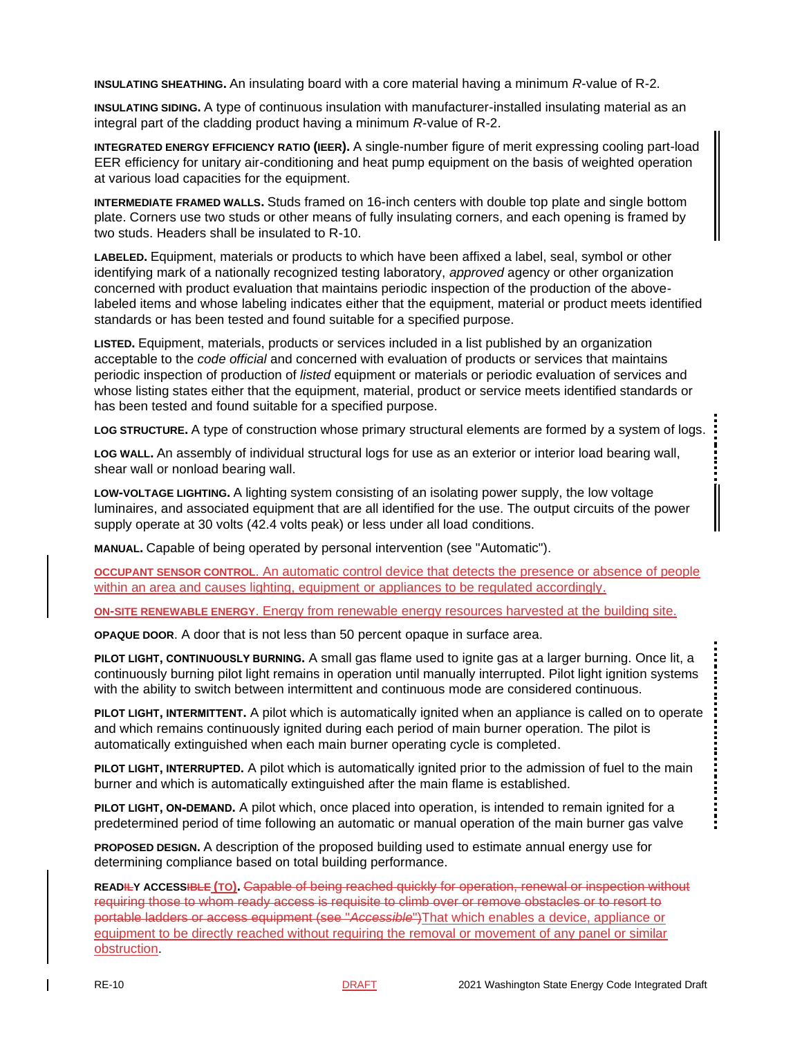**INSULATING SHEATHING.** An insulating board with a core material having a minimum *R*-value of R-2.

**INSULATING SIDING.** A type of continuous insulation with manufacturer-installed insulating material as an integral part of the cladding product having a minimum *R*-value of R-2.

**INTEGRATED ENERGY EFFICIENCY RATIO (IEER).** A single-number figure of merit expressing cooling part-load EER efficiency for unitary air-conditioning and heat pump equipment on the basis of weighted operation at various load capacities for the equipment.

**INTERMEDIATE FRAMED WALLS.** Studs framed on 16-inch centers with double top plate and single bottom plate. Corners use two studs or other means of fully insulating corners, and each opening is framed by two studs. Headers shall be insulated to R-10.

**LABELED.** Equipment, materials or products to which have been affixed a label, seal, symbol or other identifying mark of a nationally recognized testing laboratory, *approved* agency or other organization concerned with product evaluation that maintains periodic inspection of the production of the abovelabeled items and whose labeling indicates either that the equipment, material or product meets identified standards or has been tested and found suitable for a specified purpose.

**LISTED.** Equipment, materials, products or services included in a list published by an organization acceptable to the *code official* and concerned with evaluation of products or services that maintains periodic inspection of production of *listed* equipment or materials or periodic evaluation of services and whose listing states either that the equipment, material, product or service meets identified standards or has been tested and found suitable for a specified purpose.

**LOG STRUCTURE.** A type of construction whose primary structural elements are formed by a system of logs.

**LOG WALL.** An assembly of individual structural logs for use as an exterior or interior load bearing wall, shear wall or nonload bearing wall.

**LOW-VOLTAGE LIGHTING.** A lighting system consisting of an isolating power supply, the low voltage luminaires, and associated equipment that are all identified for the use. The output circuits of the power supply operate at 30 volts (42.4 volts peak) or less under all load conditions.

**MANUAL.** Capable of being operated by personal intervention (see "Automatic").

**OCCUPANT SENSOR CONTROL**. An automatic control device that detects the presence or absence of people within an area and causes lighting, equipment or appliances to be regulated accordingly.

**ON-SITE RENEWABLE ENERGY**. Energy from renewable energy resources harvested at the building site.

**OPAQUE DOOR**. A door that is not less than 50 percent opaque in surface area.

**PILOT LIGHT, CONTINUOUSLY BURNING.** A small gas flame used to ignite gas at a larger burning. Once lit, a continuously burning pilot light remains in operation until manually interrupted. Pilot light ignition systems with the ability to switch between intermittent and continuous mode are considered continuous.

**PILOT LIGHT, INTERMITTENT.** A pilot which is automatically ignited when an appliance is called on to operate and which remains continuously ignited during each period of main burner operation. The pilot is automatically extinguished when each main burner operating cycle is completed.

**PILOT LIGHT, INTERRUPTED.** A pilot which is automatically ignited prior to the admission of fuel to the main burner and which is automatically extinguished after the main flame is established.

**PILOT LIGHT, ON-DEMAND.** A pilot which, once placed into operation, is intended to remain ignited for a predetermined period of time following an automatic or manual operation of the main burner gas valve

**PROPOSED DESIGN.** A description of the proposed building used to estimate annual energy use for determining compliance based on total building performance.

**READILY ACCESSIBLE (TO).** Capable of being reached quickly for operation, renewal or inspection without requiring those to whom ready access is requisite to climb over or remove obstacles or to resort to portable ladders or access equipment (see "*Accessible*")That which enables a device, appliance or equipment to be directly reached without requiring the removal or movement of any panel or similar obstruction.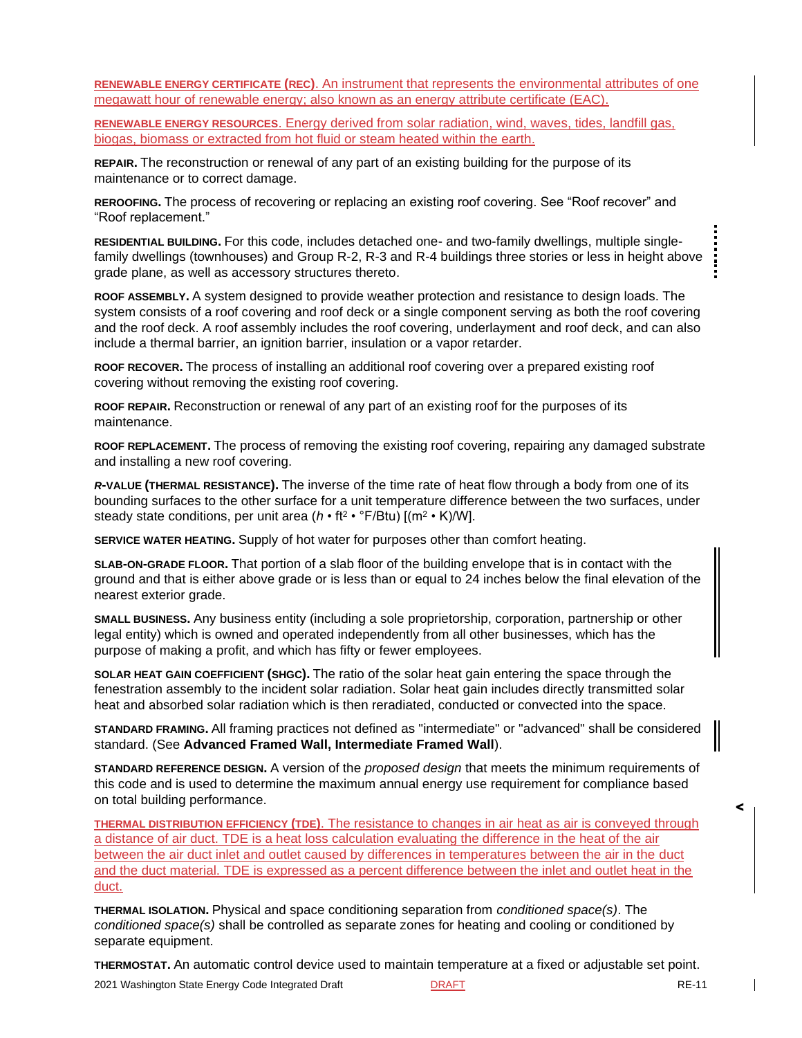**RENEWABLE ENERGY CERTIFICATE (REC)**. An instrument that represents the environmental attributes of one megawatt hour of renewable energy; also known as an energy attribute certificate (EAC).

**RENEWABLE ENERGY RESOURCES**. Energy derived from solar radiation, wind, waves, tides, landfill gas, biogas, biomass or extracted from hot fluid or steam heated within the earth.

**REPAIR.** The reconstruction or renewal of any part of an existing building for the purpose of its maintenance or to correct damage.

**REROOFING.** The process of recovering or replacing an existing roof covering. See "Roof recover" and "Roof replacement."

**RESIDENTIAL BUILDING.** For this code, includes detached one- and two-family dwellings, multiple singlefamily dwellings (townhouses) and Group R-2, R-3 and R-4 buildings three stories or less in height above grade plane, as well as accessory structures thereto.

**ROOF ASSEMBLY.** A system designed to provide weather protection and resistance to design loads. The system consists of a roof covering and roof deck or a single component serving as both the roof covering and the roof deck. A roof assembly includes the roof covering, underlayment and roof deck, and can also include a thermal barrier, an ignition barrier, insulation or a vapor retarder.

**ROOF RECOVER.** The process of installing an additional roof covering over a prepared existing roof covering without removing the existing roof covering.

**ROOF REPAIR.** Reconstruction or renewal of any part of an existing roof for the purposes of its maintenance.

**ROOF REPLACEMENT.** The process of removing the existing roof covering, repairing any damaged substrate and installing a new roof covering.

*R***-VALUE (THERMAL RESISTANCE).** The inverse of the time rate of heat flow through a body from one of its bounding surfaces to the other surface for a unit temperature difference between the two surfaces, under steady state conditions, per unit area (h • ft<sup>2</sup> • °F/Btu) [(m<sup>2</sup> • K)/W].

**SERVICE WATER HEATING.** Supply of hot water for purposes other than comfort heating.

**SLAB-ON-GRADE FLOOR.** That portion of a slab floor of the building envelope that is in contact with the ground and that is either above grade or is less than or equal to 24 inches below the final elevation of the nearest exterior grade.

**SMALL BUSINESS.** Any business entity (including a sole proprietorship, corporation, partnership or other legal entity) which is owned and operated independently from all other businesses, which has the purpose of making a profit, and which has fifty or fewer employees.

**SOLAR HEAT GAIN COEFFICIENT (SHGC).** The ratio of the solar heat gain entering the space through the fenestration assembly to the incident solar radiation. Solar heat gain includes directly transmitted solar heat and absorbed solar radiation which is then reradiated, conducted or convected into the space.

**STANDARD FRAMING.** All framing practices not defined as "intermediate" or "advanced" shall be considered standard. (See **Advanced Framed Wall, Intermediate Framed Wall**).

**STANDARD REFERENCE DESIGN.** A version of the *proposed design* that meets the minimum requirements of this code and is used to determine the maximum annual energy use requirement for compliance based on total building performance.

**THERMAL DISTRIBUTION EFFICIENCY (TDE)**. The resistance to changes in air heat as air is conveyed through a distance of air duct. TDE is a heat loss calculation evaluating the difference in the heat of the air between the air duct inlet and outlet caused by differences in temperatures between the air in the duct and the duct material. TDE is expressed as a percent difference between the inlet and outlet heat in the duct.

**THERMAL ISOLATION.** Physical and space conditioning separation from *conditioned space(s)*. The *conditioned space(s)* shall be controlled as separate zones for heating and cooling or conditioned by separate equipment.

**THERMOSTAT.** An automatic control device used to maintain temperature at a fixed or adjustable set point.

k.<br>K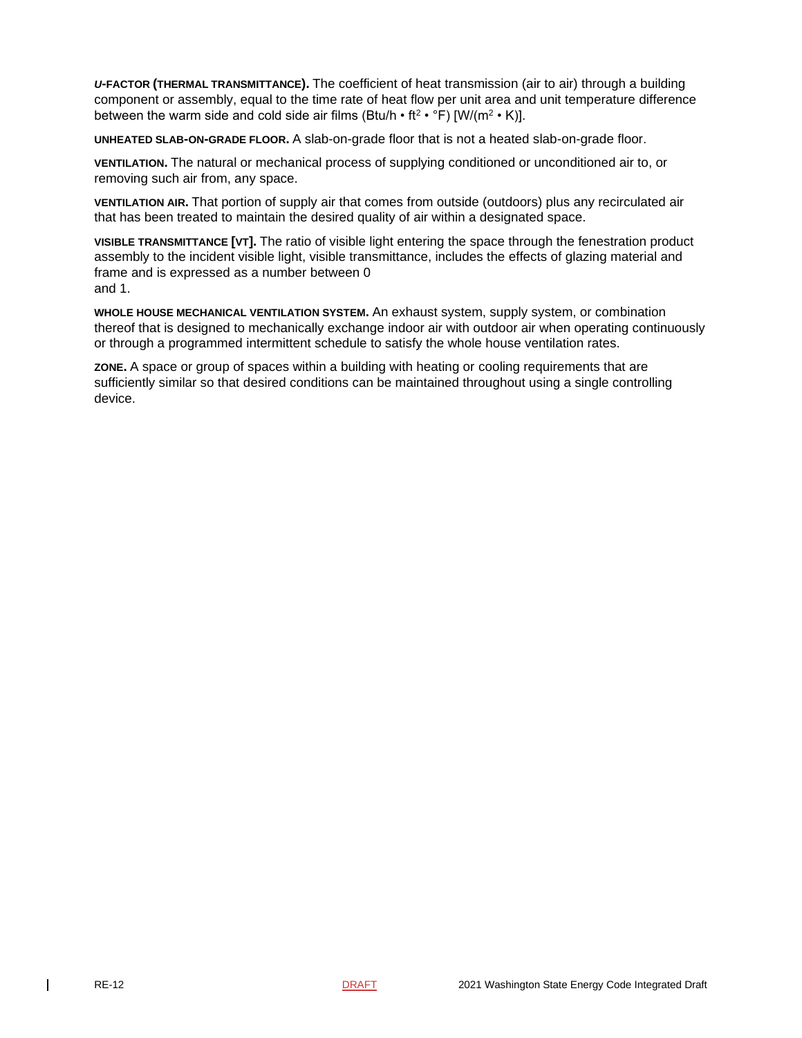*U***-FACTOR (THERMAL TRANSMITTANCE).** The coefficient of heat transmission (air to air) through a building component or assembly, equal to the time rate of heat flow per unit area and unit temperature difference between the warm side and cold side air films (Btu/h • ft<sup>2</sup> • °F) [W/(m<sup>2</sup> • K)].

**UNHEATED SLAB-ON-GRADE FLOOR.** A slab-on-grade floor that is not a heated slab-on-grade floor.

**VENTILATION.** The natural or mechanical process of supplying conditioned or unconditioned air to, or removing such air from, any space.

**VENTILATION AIR.** That portion of supply air that comes from outside (outdoors) plus any recirculated air that has been treated to maintain the desired quality of air within a designated space.

**VISIBLE TRANSMITTANCE [VT].** The ratio of visible light entering the space through the fenestration product assembly to the incident visible light, visible transmittance, includes the effects of glazing material and frame and is expressed as a number between 0 and 1.

**WHOLE HOUSE MECHANICAL VENTILATION SYSTEM.** An exhaust system, supply system, or combination thereof that is designed to mechanically exchange indoor air with outdoor air when operating continuously or through a programmed intermittent schedule to satisfy the whole house ventilation rates.

**ZONE.** A space or group of spaces within a building with heating or cooling requirements that are sufficiently similar so that desired conditions can be maintained throughout using a single controlling device.

 $\mathbf{I}$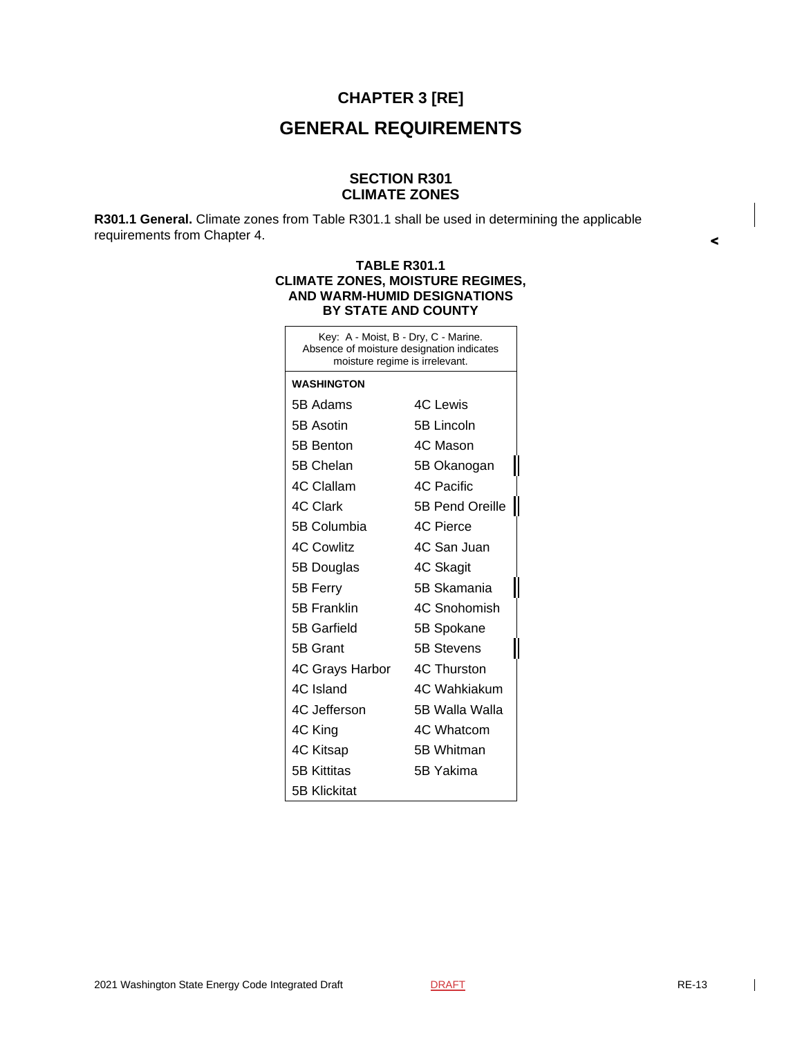### **CHAPTER 3 [RE]**

## **GENERAL REQUIREMENTS**

#### **SECTION R301 CLIMATE ZONES**

**R301.1 General.** Climate zones from Table R301.1 shall be used in determining the applicable requirements from Chapter 4.

#### **TABLE R301.1 CLIMATE ZONES, MOISTURE REGIMES, AND WARM-HUMID DESIGNATIONS BY STATE AND COUNTY**

| Key: A - Moist, B - Dry, C - Marine.<br>Absence of moisture designation indicates<br>moisture regime is irrelevant. |                   |
|---------------------------------------------------------------------------------------------------------------------|-------------------|
| <b>WASHINGTON</b>                                                                                                   |                   |
| 5B Adams                                                                                                            | <b>4C Lewis</b>   |
| 5B Asotin                                                                                                           | 5B Lincoln        |
| 5B Benton                                                                                                           | 4C Mason          |
| 5B Chelan                                                                                                           | 5B Okanogan       |
| 4C Clallam                                                                                                          | <b>4C Pacific</b> |
| <b>4C Clark</b>                                                                                                     | 5B Pend Oreille   |
| 5B Columbia                                                                                                         | 4C Pierce         |
| <b>4C Cowlitz</b>                                                                                                   | 4C San Juan       |
| 5B Douglas                                                                                                          | 4C Skagit         |
| 5B Ferry                                                                                                            | 5B Skamania       |
| 5B Franklin                                                                                                         | 4C Snohomish      |
| 5B Garfield                                                                                                         | 5B Spokane        |
| 5B Grant                                                                                                            | 5B Stevens        |
| 4C Grays Harbor                                                                                                     | 4C Thurston       |
| 4C Island                                                                                                           | 4C Wahkiakum      |
| 4C Jefferson                                                                                                        | 5B Walla Walla    |
| 4C King                                                                                                             | 4C Whatcom        |
| 4C Kitsap                                                                                                           | 5B Whitman        |
| 5B Kittitas                                                                                                         | 5B Yakima         |
| 5B Klickitat                                                                                                        |                   |

 $\prec$ 

 $\overline{\phantom{a}}$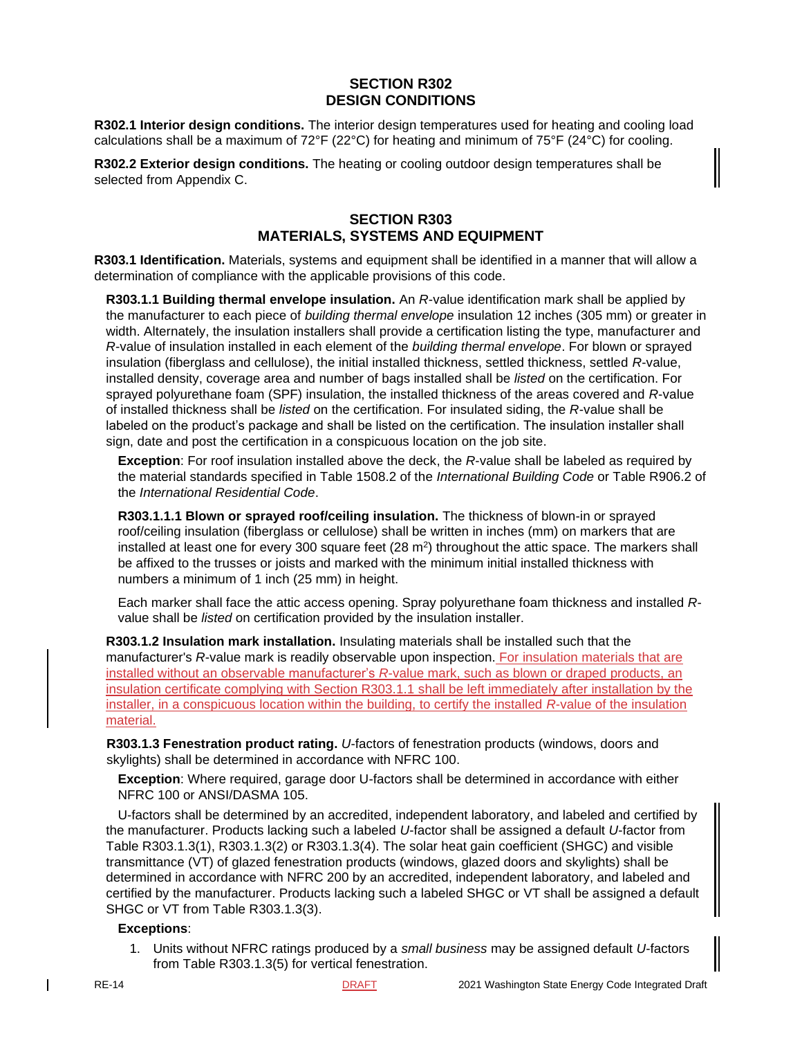#### **SECTION R302 DESIGN CONDITIONS**

**R302.1 Interior design conditions.** The interior design temperatures used for heating and cooling load calculations shall be a maximum of 72°F (22°C) for heating and minimum of 75°F (24°C) for cooling.

**R302.2 Exterior design conditions.** The heating or cooling outdoor design temperatures shall be selected from Appendix C.

#### **SECTION R303 MATERIALS, SYSTEMS AND EQUIPMENT**

**R303.1 Identification.** Materials, systems and equipment shall be identified in a manner that will allow a determination of compliance with the applicable provisions of this code.

**R303.1.1 Building thermal envelope insulation.** An *R*-value identification mark shall be applied by the manufacturer to each piece of *building thermal envelope* insulation 12 inches (305 mm) or greater in width. Alternately, the insulation installers shall provide a certification listing the type, manufacturer and *R*-value of insulation installed in each element of the *building thermal envelope*. For blown or sprayed insulation (fiberglass and cellulose), the initial installed thickness, settled thickness, settled *R*-value, installed density, coverage area and number of bags installed shall be *listed* on the certification. For sprayed polyurethane foam (SPF) insulation, the installed thickness of the areas covered and *R*-value of installed thickness shall be *listed* on the certification. For insulated siding, the *R*-value shall be labeled on the product's package and shall be listed on the certification. The insulation installer shall sign, date and post the certification in a conspicuous location on the job site.

**Exception**: For roof insulation installed above the deck, the *R*-value shall be labeled as required by the material standards specified in Table 1508.2 of the *International Building Code* or Table R906.2 of the *International Residential Code*.

**R303.1.1.1 Blown or sprayed roof/ceiling insulation.** The thickness of blown-in or sprayed roof/ceiling insulation (fiberglass or cellulose) shall be written in inches (mm) on markers that are installed at least one for every 300 square feet (28  $m<sup>2</sup>$ ) throughout the attic space. The markers shall be affixed to the trusses or joists and marked with the minimum initial installed thickness with numbers a minimum of 1 inch (25 mm) in height.

Each marker shall face the attic access opening. Spray polyurethane foam thickness and installed *R*value shall be *listed* on certification provided by the insulation installer.

**R303.1.2 Insulation mark installation.** Insulating materials shall be installed such that the manufacturer's *R*-value mark is readily observable upon inspection. For insulation materials that are installed without an observable manufacturer's *R*-value mark, such as blown or draped products, an insulation certificate complying with Section R303.1.1 shall be left immediately after installation by the installer, in a conspicuous location within the building, to certify the installed *R*-value of the insulation material.

**R303.1.3 Fenestration product rating.** *U*-factors of fenestration products (windows, doors and skylights) shall be determined in accordance with NFRC 100.

**Exception**: Where required, garage door U-factors shall be determined in accordance with either NFRC 100 or ANSI/DASMA 105.

U-factors shall be determined by an accredited, independent laboratory, and labeled and certified by the manufacturer. Products lacking such a labeled *U*-factor shall be assigned a default *U*-factor from Table R303.1.3(1), R303.1.3(2) or R303.1.3(4). The solar heat gain coefficient (SHGC) and visible transmittance (VT) of glazed fenestration products (windows, glazed doors and skylights) shall be determined in accordance with NFRC 200 by an accredited, independent laboratory, and labeled and certified by the manufacturer. Products lacking such a labeled SHGC or VT shall be assigned a default SHGC or VT from Table R303.1.3(3).

#### **Exceptions**:

1. Units without NFRC ratings produced by a *small business* may be assigned default *U*-factors from Table R303.1.3(5) for vertical fenestration.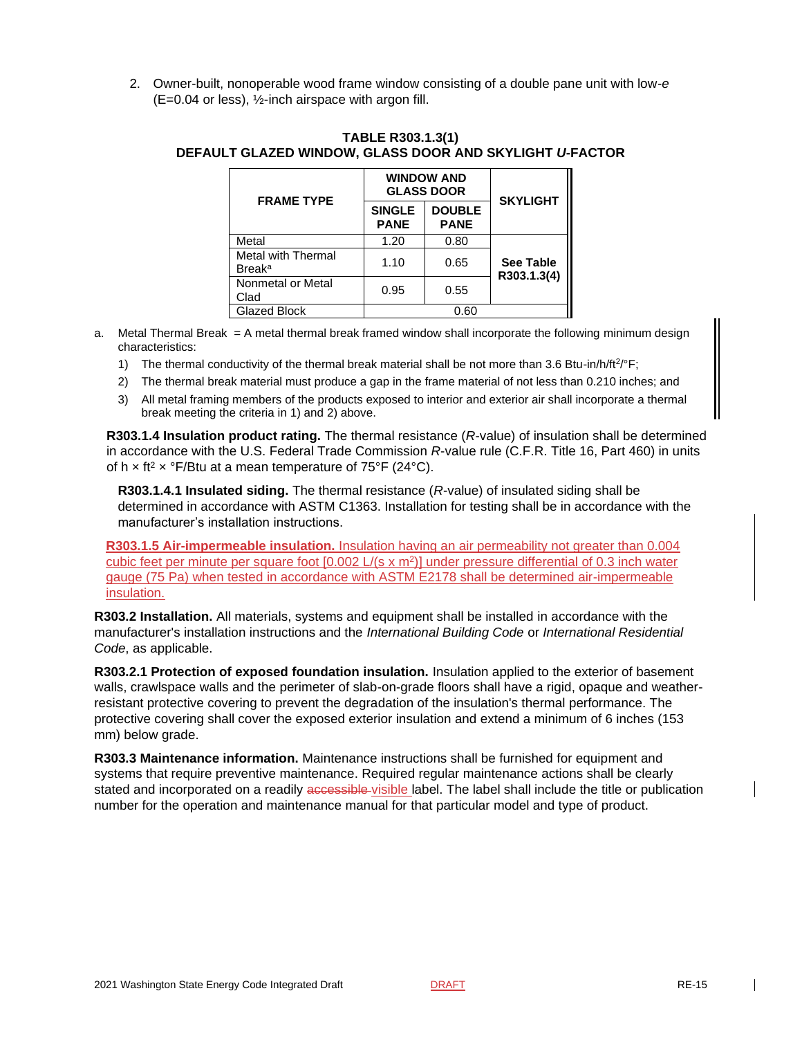2. Owner-built, nonoperable wood frame window consisting of a double pane unit with low-*e* (E=0.04 or less), ½-inch airspace with argon fill.

| <b>FRAME TYPE</b>                               |                              | <b>WINDOW AND</b><br><b>GLASS DOOR</b> |                                 |  |
|-------------------------------------------------|------------------------------|----------------------------------------|---------------------------------|--|
|                                                 | <b>SINGLE</b><br><b>PANE</b> | <b>DOUBLE</b><br><b>PANE</b>           | <b>SKYLIGHT</b>                 |  |
| Metal                                           | 1.20                         | 0.80                                   |                                 |  |
| Metal with Thermal<br><b>Break</b> <sup>a</sup> | 1.10                         | 0.65                                   | <b>See Table</b><br>R303.1.3(4) |  |
| Nonmetal or Metal<br>Clad                       | 0.95                         | 0.55                                   |                                 |  |
| <b>Glazed Block</b>                             |                              | 0.60                                   |                                 |  |

#### **TABLE R303.1.3(1) DEFAULT GLAZED WINDOW, GLASS DOOR AND SKYLIGHT** *U***-FACTOR**

- a. Metal Thermal Break = A metal thermal break framed window shall incorporate the following minimum design characteristics:
	- 1) The thermal conductivity of the thermal break material shall be not more than 3.6 Btu-in/h/ft<sup>2/o</sup>F;
	- 2) The thermal break material must produce a gap in the frame material of not less than 0.210 inches; and
	- 3) All metal framing members of the products exposed to interior and exterior air shall incorporate a thermal break meeting the criteria in 1) and 2) above.

**R303.1.4 Insulation product rating.** The thermal resistance (*R*-value) of insulation shall be determined in accordance with the U.S. Federal Trade Commission *R*-value rule (C.F.R. Title 16, Part 460) in units of h  $\times$  ft<sup>2</sup>  $\times$  °F/Btu at a mean temperature of 75°F (24°C).

**R303.1.4.1 Insulated siding.** The thermal resistance (*R*-value) of insulated siding shall be determined in accordance with ASTM C1363. Installation for testing shall be in accordance with the manufacturer's installation instructions.

**R303.1.5 Air-impermeable insulation.** Insulation having an air permeability not greater than 0.004 cubic feet per minute per square foot  $[0.002 \, \text{L/(s x m²)}]$  under pressure differential of 0.3 inch water gauge (75 Pa) when tested in accordance with ASTM E2178 shall be determined air-impermeable insulation.

**R303.2 Installation.** All materials, systems and equipment shall be installed in accordance with the manufacturer's installation instructions and the *International Building Code* or *International Residential Code*, as applicable.

**R303.2.1 Protection of exposed foundation insulation.** Insulation applied to the exterior of basement walls, crawlspace walls and the perimeter of slab-on-grade floors shall have a rigid, opaque and weatherresistant protective covering to prevent the degradation of the insulation's thermal performance. The protective covering shall cover the exposed exterior insulation and extend a minimum of 6 inches (153 mm) below grade.

**R303.3 Maintenance information.** Maintenance instructions shall be furnished for equipment and systems that require preventive maintenance. Required regular maintenance actions shall be clearly stated and incorporated on a readily accessible visible label. The label shall include the title or publication number for the operation and maintenance manual for that particular model and type of product.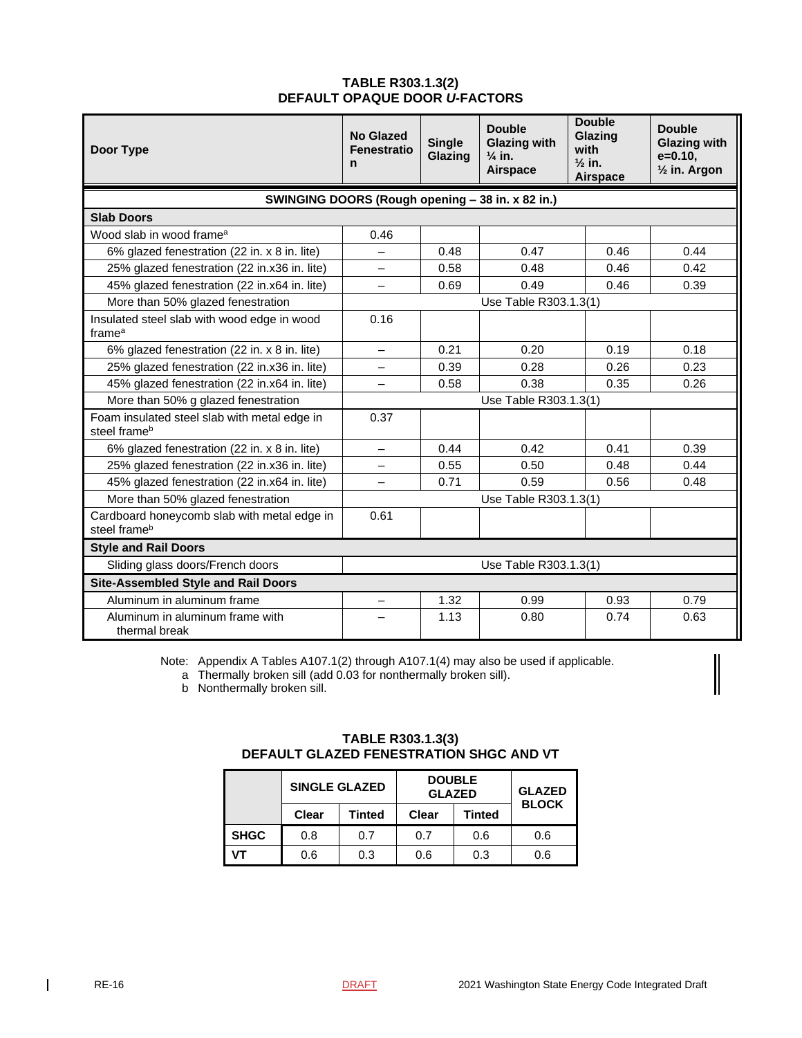#### **TABLE R303.1.3(2) DEFAULT OPAQUE DOOR** *U***-FACTORS**

| Door Type                                                                | <b>No Glazed</b><br><b>Fenestratio</b><br>n | <b>Single</b><br>Glazing | <b>Double</b><br><b>Glazing with</b><br>$\frac{1}{4}$ in.<br><b>Airspace</b> | <b>Double</b><br>Glazing<br>with<br>$\frac{1}{2}$ in.<br><b>Airspace</b> | <b>Double</b><br><b>Glazing with</b><br>$e = 0.10$<br>$\frac{1}{2}$ in. Argon |
|--------------------------------------------------------------------------|---------------------------------------------|--------------------------|------------------------------------------------------------------------------|--------------------------------------------------------------------------|-------------------------------------------------------------------------------|
|                                                                          |                                             |                          | SWINGING DOORS (Rough opening - 38 in. x 82 in.)                             |                                                                          |                                                                               |
| <b>Slab Doors</b>                                                        |                                             |                          |                                                                              |                                                                          |                                                                               |
| Wood slab in wood frame <sup>a</sup>                                     | 0.46                                        |                          |                                                                              |                                                                          |                                                                               |
| 6% glazed fenestration (22 in. x 8 in. lite)                             |                                             | 0.48                     | 0.47                                                                         | 0.46                                                                     | 0.44                                                                          |
| 25% glazed fenestration (22 in.x36 in. lite)                             |                                             | 0.58                     | 0.48                                                                         | 0.46                                                                     | 0.42                                                                          |
| 45% glazed fenestration (22 in.x64 in. lite)                             | $\qquad \qquad -$                           | 0.69                     | 0.49                                                                         | 0.46                                                                     | 0.39                                                                          |
| More than 50% glazed fenestration                                        |                                             |                          | Use Table R303.1.3(1)                                                        |                                                                          |                                                                               |
| Insulated steel slab with wood edge in wood<br>frame <sup>a</sup>        | 0.16                                        |                          |                                                                              |                                                                          |                                                                               |
| 6% glazed fenestration (22 in. x 8 in. lite)                             | $\overline{\phantom{0}}$                    | 0.21                     | 0.20                                                                         | 0.19                                                                     | 0.18                                                                          |
| 25% glazed fenestration (22 in.x36 in. lite)                             |                                             | 0.39                     | 0.28                                                                         | 0.26                                                                     | 0.23                                                                          |
| 45% glazed fenestration (22 in.x64 in. lite)                             | $\overline{\phantom{0}}$                    | 0.58                     | 0.38                                                                         | 0.35                                                                     | 0.26                                                                          |
| More than 50% g glazed fenestration                                      |                                             |                          | Use Table R303.1.3(1)                                                        |                                                                          |                                                                               |
| Foam insulated steel slab with metal edge in<br>steel frame <sup>b</sup> | 0.37                                        |                          |                                                                              |                                                                          |                                                                               |
| 6% glazed fenestration (22 in. x 8 in. lite)                             | $\qquad \qquad -$                           | 0.44                     | 0.42                                                                         | 0.41                                                                     | 0.39                                                                          |
| 25% glazed fenestration (22 in.x36 in. lite)                             |                                             | 0.55                     | 0.50                                                                         | 0.48                                                                     | 0.44                                                                          |
| 45% glazed fenestration (22 in.x64 in. lite)                             | -                                           | 0.71                     | 0.59                                                                         | 0.56                                                                     | 0.48                                                                          |
| More than 50% glazed fenestration                                        |                                             |                          | Use Table R303.1.3(1)                                                        |                                                                          |                                                                               |
| Cardboard honeycomb slab with metal edge in<br>steel frame <sup>b</sup>  | 0.61                                        |                          |                                                                              |                                                                          |                                                                               |
| <b>Style and Rail Doors</b>                                              |                                             |                          |                                                                              |                                                                          |                                                                               |
| Sliding glass doors/French doors                                         |                                             |                          | Use Table R303.1.3(1)                                                        |                                                                          |                                                                               |
| <b>Site-Assembled Style and Rail Doors</b>                               |                                             |                          |                                                                              |                                                                          |                                                                               |
| Aluminum in aluminum frame                                               |                                             | 1.32                     | 0.99                                                                         | 0.93                                                                     | 0.79                                                                          |
| Aluminum in aluminum frame with<br>thermal break                         |                                             | 1.13                     | 0.80                                                                         | 0.74                                                                     | 0.63                                                                          |

Note: Appendix A Tables A107.1(2) through A107.1(4) may also be used if applicable.

a Thermally broken sill (add 0.03 for nonthermally broken sill).

b Nonthermally broken sill.

#### **TABLE R303.1.3(3) DEFAULT GLAZED FENESTRATION SHGC AND VT**

| <b>SINGLE GLAZED</b> |              | <b>DOUBLE</b><br><b>GLAZED</b> | <b>GLAZED</b><br><b>BLOCK</b> |               |     |
|----------------------|--------------|--------------------------------|-------------------------------|---------------|-----|
|                      | <b>Clear</b> | Tinted                         | Clear                         | <b>Tinted</b> |     |
| <b>SHGC</b>          | 0.8          | 0.7                            | 0.7                           | 0.6           | 0.6 |
|                      | 0.6          | 0.3                            | 0.6                           | 0.3           | 0.6 |

 $\overline{\phantom{a}}$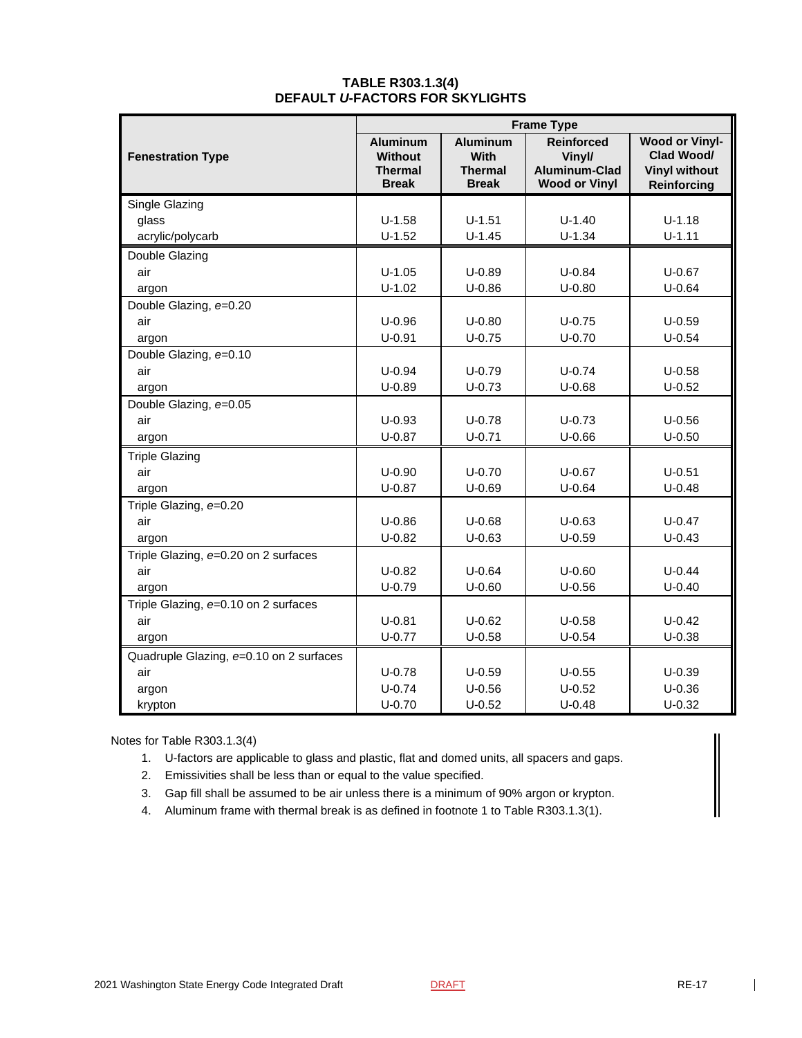#### **TABLE R303.1.3(4) DEFAULT** *U***-FACTORS FOR SKYLIGHTS**

|                                         | <b>Frame Type</b>                                                                                                                       |            |                                                                      |                                                                            |  |
|-----------------------------------------|-----------------------------------------------------------------------------------------------------------------------------------------|------------|----------------------------------------------------------------------|----------------------------------------------------------------------------|--|
| <b>Fenestration Type</b>                | <b>Aluminum</b><br><b>Aluminum</b><br><b>Without</b><br><b>With</b><br><b>Thermal</b><br><b>Thermal</b><br><b>Break</b><br><b>Break</b> |            | <b>Reinforced</b><br>Vinyl/<br>Aluminum-Clad<br><b>Wood or Vinyl</b> | <b>Wood or Vinyl-</b><br>Clad Wood/<br><b>Vinyl without</b><br>Reinforcing |  |
| Single Glazing                          |                                                                                                                                         |            |                                                                      |                                                                            |  |
| glass                                   | $U - 1.58$                                                                                                                              | $U - 1.51$ | $U - 1.40$                                                           | $U - 1.18$                                                                 |  |
| acrylic/polycarb                        | $U-1.52$                                                                                                                                | $U-1.45$   | $U-1.34$                                                             | $U-1.11$                                                                   |  |
| Double Glazing                          |                                                                                                                                         |            |                                                                      |                                                                            |  |
| air                                     | $U - 1.05$                                                                                                                              | $U-0.89$   | $U - 0.84$                                                           | $U-0.67$                                                                   |  |
| argon                                   | $U-1.02$                                                                                                                                | $U-0.86$   | $U - 0.80$                                                           | $U - 0.64$                                                                 |  |
| Double Glazing, e=0.20                  |                                                                                                                                         |            |                                                                      |                                                                            |  |
| air                                     | $U - 0.96$                                                                                                                              | $U - 0.80$ | $U-0.75$                                                             | $U-0.59$                                                                   |  |
| argon                                   | $U-0.91$                                                                                                                                | $U-0.75$   | $U-0.70$                                                             | $U-0.54$                                                                   |  |
| Double Glazing, e=0.10                  |                                                                                                                                         |            |                                                                      |                                                                            |  |
| air                                     | $U - 0.94$                                                                                                                              | $U-0.79$   | $U - 0.74$                                                           | $U-0.58$                                                                   |  |
| argon                                   | $U-0.89$                                                                                                                                | $U - 0.73$ | $U - 0.68$                                                           | $U-0.52$                                                                   |  |
| Double Glazing, e=0.05                  |                                                                                                                                         |            |                                                                      |                                                                            |  |
| air                                     | $U - 0.93$                                                                                                                              | $U-0.78$   | $U - 0.73$                                                           | $U - 0.56$                                                                 |  |
| argon                                   | $U-0.87$                                                                                                                                | $U-0.71$   | $U - 0.66$                                                           | $U-0.50$                                                                   |  |
| <b>Triple Glazing</b>                   |                                                                                                                                         |            |                                                                      |                                                                            |  |
| air                                     | $U-0.90$                                                                                                                                | $U-0.70$   | $U-0.67$                                                             | $U - 0.51$                                                                 |  |
| argon                                   | $U-0.87$                                                                                                                                | $U-0.69$   | $U - 0.64$                                                           | $U - 0.48$                                                                 |  |
| Triple Glazing, e=0.20                  |                                                                                                                                         |            |                                                                      |                                                                            |  |
| air                                     | $U - 0.86$                                                                                                                              | $U-0.68$   | $U - 0.63$                                                           | $U - 0.47$                                                                 |  |
| argon                                   | $U-0.82$                                                                                                                                | $U-0.63$   | $U-0.59$                                                             | $U - 0.43$                                                                 |  |
| Triple Glazing, e=0.20 on 2 surfaces    |                                                                                                                                         |            |                                                                      |                                                                            |  |
| air                                     | $U-0.82$                                                                                                                                | $U - 0.64$ | $U-0.60$                                                             | $U - 0.44$                                                                 |  |
| argon                                   | $U-0.79$                                                                                                                                | $U-0.60$   | $U-0.56$                                                             | $U - 0.40$                                                                 |  |
| Triple Glazing, e=0.10 on 2 surfaces    |                                                                                                                                         |            |                                                                      |                                                                            |  |
| air                                     | $U - 0.81$                                                                                                                              | $U - 0.62$ | $U-0.58$                                                             | $U - 0.42$                                                                 |  |
| argon                                   | $U-0.77$                                                                                                                                | $U-0.58$   | $U-0.54$                                                             | $U-0.38$                                                                   |  |
| Quadruple Glazing, e=0.10 on 2 surfaces |                                                                                                                                         |            |                                                                      |                                                                            |  |
| air                                     | $U-0.78$                                                                                                                                | $U-0.59$   | $U-0.55$                                                             | $U-0.39$                                                                   |  |
| argon                                   | $U - 0.74$                                                                                                                              | $U-0.56$   | $U-0.52$                                                             | $U - 0.36$                                                                 |  |
| krypton                                 | $U - 0.70$                                                                                                                              | $U-0.52$   | $U - 0.48$                                                           | $U-0.32$                                                                   |  |

Notes for Table R303.1.3(4)

- 1. U-factors are applicable to glass and plastic, flat and domed units, all spacers and gaps.
- 2. Emissivities shall be less than or equal to the value specified.
- 3. Gap fill shall be assumed to be air unless there is a minimum of 90% argon or krypton.
- 4. Aluminum frame with thermal break is as defined in footnote 1 to Table R303.1.3(1).

 $\overline{\phantom{a}}$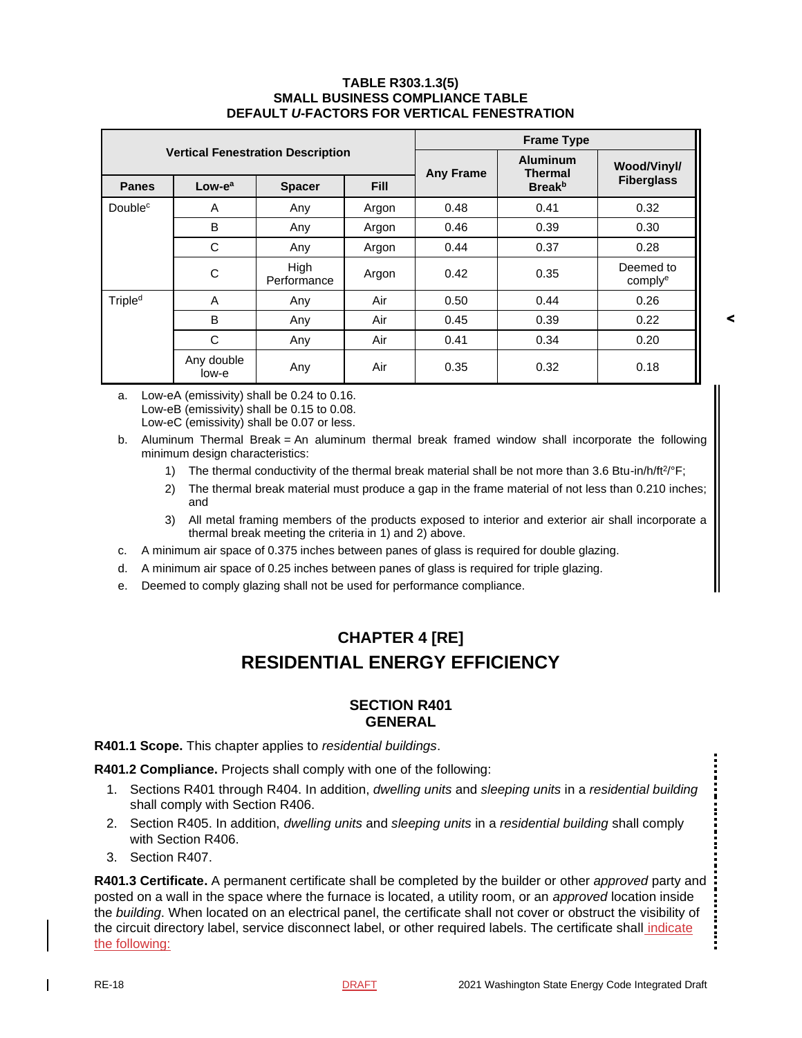#### **TABLE R303.1.3(5) SMALL BUSINESS COMPLIANCE TABLE DEFAULT** *U***-FACTORS FOR VERTICAL FENESTRATION**

|                     |                     |                                          | <b>Frame Type</b> |                                   |                |                                  |  |
|---------------------|---------------------|------------------------------------------|-------------------|-----------------------------------|----------------|----------------------------------|--|
|                     |                     | <b>Vertical Fenestration Description</b> | <b>Any Frame</b>  | <b>Aluminum</b><br><b>Thermal</b> | Wood/Vinyl/    |                                  |  |
| <b>Panes</b>        | $Low - ea$          | <b>Spacer</b>                            | Fill              |                                   | <b>Break</b> b | <b>Fiberglass</b>                |  |
| Double <sup>c</sup> | A                   | Any                                      | Argon             | 0.48                              | 0.41           | 0.32                             |  |
|                     | B                   | Any                                      | Argon             | 0.46                              | 0.39           | 0.30                             |  |
|                     | C                   | Any                                      | Argon             | 0.44                              | 0.37           | 0.28                             |  |
|                     | C                   | High<br>Performance                      | Argon             | 0.42                              | 0.35           | Deemed to<br>comply <sup>e</sup> |  |
| Triple <sup>d</sup> | A                   | Any                                      | Air               | 0.50                              | 0.44           | 0.26                             |  |
|                     | B                   | Any                                      | Air               | 0.45                              | 0.39           | 0.22                             |  |
|                     | C                   | Any                                      | Air               | 0.41                              | 0.34           | 0.20                             |  |
|                     | Any double<br>low-e | Any                                      | Air               | 0.35                              | 0.32           | 0.18                             |  |

a. Low-eA (emissivity) shall be 0.24 to 0.16. Low-eB (emissivity) shall be 0.15 to 0.08. Low-eC (emissivity) shall be 0.07 or less.

- b. Aluminum Thermal Break = An aluminum thermal break framed window shall incorporate the following minimum design characteristics:
	- 1) The thermal conductivity of the thermal break material shall be not more than 3.6 Btu-in/h/ft<sup>2/°</sup>F;
	- 2) The thermal break material must produce a gap in the frame material of not less than 0.210 inches; and
	- 3) All metal framing members of the products exposed to interior and exterior air shall incorporate a thermal break meeting the criteria in 1) and 2) above.
- c. A minimum air space of 0.375 inches between panes of glass is required for double glazing.
- d. A minimum air space of 0.25 inches between panes of glass is required for triple glazing.
- e. Deemed to comply glazing shall not be used for performance compliance.

# **CHAPTER 4 [RE] RESIDENTIAL ENERGY EFFICIENCY**

#### **SECTION R401 GENERAL**

**R401.1 Scope.** This chapter applies to *residential buildings*.

**R401.2 Compliance.** Projects shall comply with one of the following:

- 1. Sections R401 through R404. In addition, *dwelling units* and *sleeping units* in a *residential building* shall comply with Section R406.
- 2. Section R405. In addition, *dwelling units* and *sleeping units* in a *residential building* shall comply with Section R406.
- 3. Section R407.

**R401.3 Certificate.** A permanent certificate shall be completed by the builder or other *approved* party and posted on a wall in the space where the furnace is located, a utility room, or an *approved* location inside the *building*. When located on an electrical panel, the certificate shall not cover or obstruct the visibility of the circuit directory label, service disconnect label, or other required labels. The certificate shall indicate the following: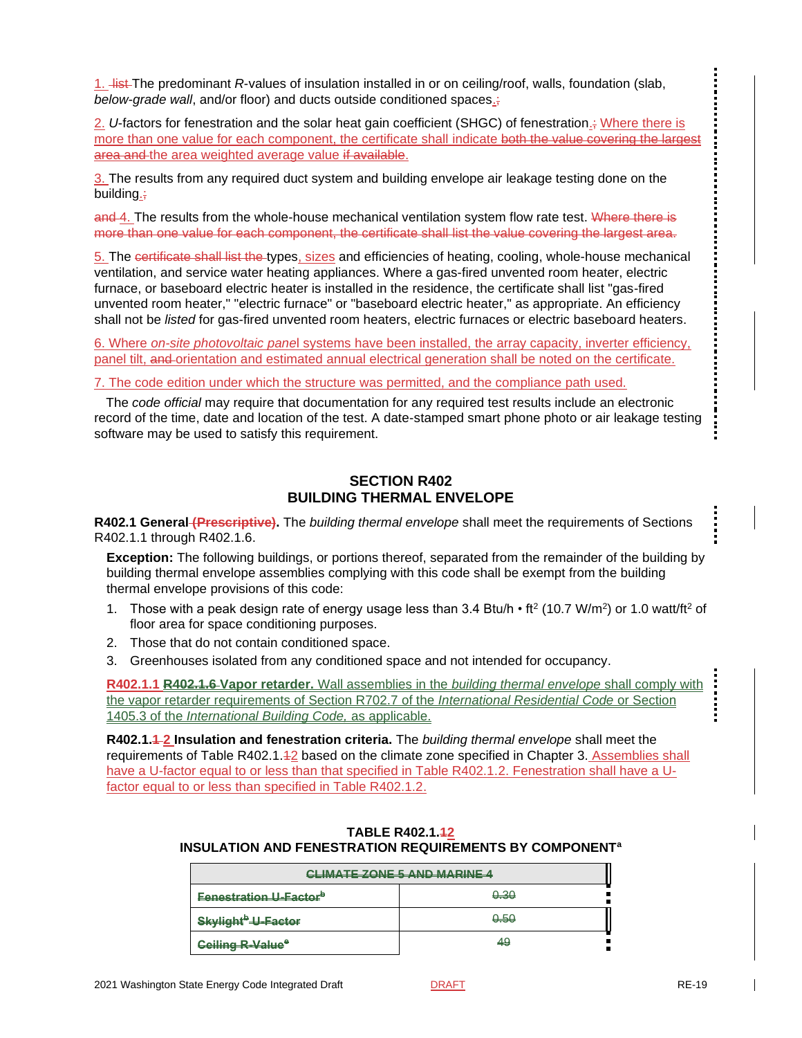1. list The predominant *R*-values of insulation installed in or on ceiling/roof, walls, foundation (slab, *below-grade wall*, and/or floor) and ducts outside conditioned spaces.;

2. *U*-factors for fenestration and the solar heat gain coefficient (SHGC) of fenestration.<sub>5</sub> Where there is more than one value for each component, the certificate shall indicate both the value covering the largest area and the area weighted average value if available.

3. The results from any required duct system and building envelope air leakage testing done on the building.

and 4. The results from the whole-house mechanical ventilation system flow rate test. Where there is more than one value for each component, the certificate shall list the value covering the largest area.

5. The certificate shall list the types, sizes and efficiencies of heating, cooling, whole-house mechanical ventilation, and service water heating appliances. Where a gas-fired unvented room heater, electric furnace, or baseboard electric heater is installed in the residence, the certificate shall list "gas-fired unvented room heater," "electric furnace" or "baseboard electric heater," as appropriate. An efficiency shall not be *listed* for gas-fired unvented room heaters, electric furnaces or electric baseboard heaters.

6. Where *on-site photovoltaic pane*l systems have been installed, the array capacity, inverter efficiency, panel tilt, and orientation and estimated annual electrical generation shall be noted on the certificate.

7. The code edition under which the structure was permitted, and the compliance path used.

The *code official* may require that documentation for any required test results include an electronic record of the time, date and location of the test. A date-stamped smart phone photo or air leakage testing software may be used to satisfy this requirement.

#### **SECTION R402 BUILDING THERMAL ENVELOPE**

**R402.1 General (Prescriptive).** The *building thermal envelope* shall meet the requirements of Sections R402.1.1 through R402.1.6.

**Exception:** The following buildings, or portions thereof, separated from the remainder of the building by building thermal envelope assemblies complying with this code shall be exempt from the building thermal envelope provisions of this code:

- 1. Those with a peak design rate of energy usage less than 3.4 Btu/h  $\cdot$  ft<sup>2</sup> (10.7 W/m<sup>2</sup>) or 1.0 watt/ft<sup>2</sup> of floor area for space conditioning purposes.
- 2. Those that do not contain conditioned space.
- 3. Greenhouses isolated from any conditioned space and not intended for occupancy.

**R402.1.1 R402.1.6 Vapor retarder.** Wall assemblies in the *building thermal envelope* shall comply with the vapor retarder requirements of Section R702.7 of the *International Residential Code* or Section 1405.3 of the *International Building Code,* as applicable.

**R402.1.1 2 Insulation and fenestration criteria.** The *building thermal envelope* shall meet the requirements of Table R402.1.42 based on the climate zone specified in Chapter 3. Assemblies shall have a U-factor equal to or less than that specified in Table R402.1.2. Fenestration shall have a Ufactor equal to or less than specified in Table R402.1.2.

| <b>CLIMATE ZONE 5 AND MARINE 4</b>  |                 |  |  |
|-------------------------------------|-----------------|--|--|
| Egnectration II Eactor <sup>b</sup> | <del>0.30</del> |  |  |
| Skylight <sup>b</sup> U-Factor      | <del>0.50</del> |  |  |
| Coiling R-Value <sup>e</sup>        |                 |  |  |

#### **TABLE R402.1.12 INSULATION AND FENESTRATION REQUIREMENTS BY COMPONENT<sup>a</sup>**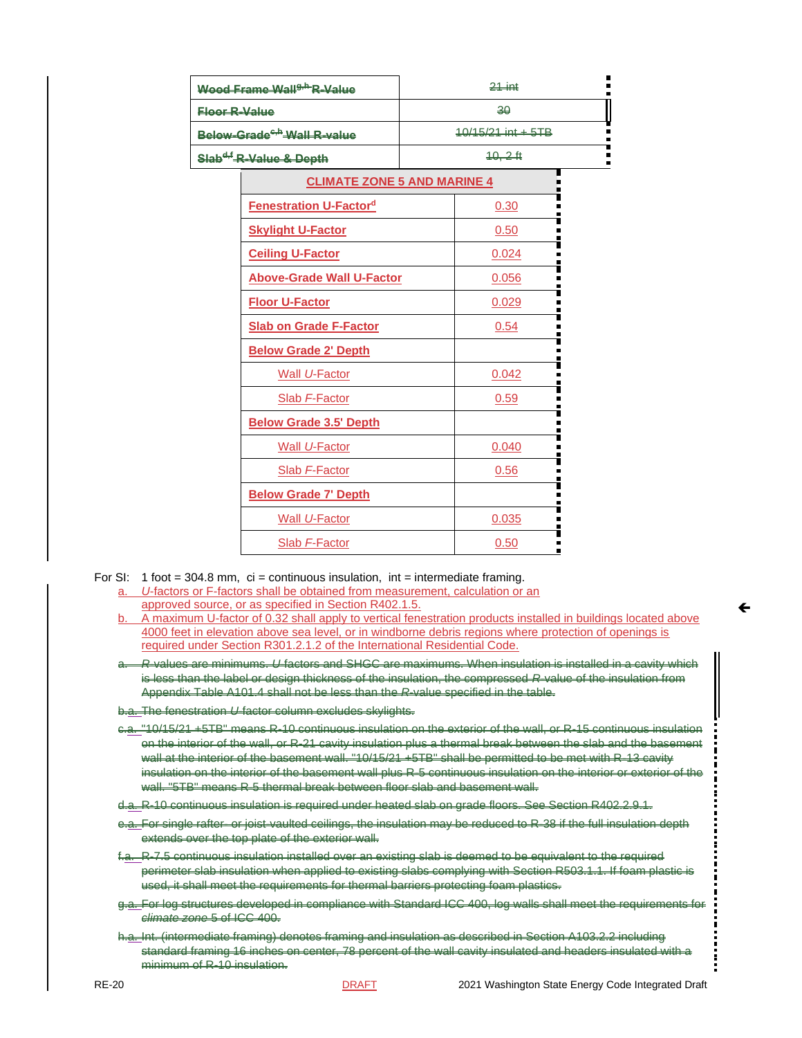|               | <u> Wood Framo Wall<del>ish</del> D Valuo</u> |    | $24$ int               |  |
|---------------|-----------------------------------------------|----|------------------------|--|
| Elger R Value |                                               | 30 |                        |  |
|               | Belew Grade <sup>c,h</sup> Wall R value       |    | $10/15/21$ int + $5TR$ |  |
|               | Slab <sup>d,f</sup> R Value & Depth           |    | 40, 24                 |  |
|               | <b>CLIMATE ZONE 5 AND MARINE 4</b>            |    |                        |  |
|               | <b>Fenestration U-Factord</b>                 |    | 0.30                   |  |
|               | <b>Skylight U-Factor</b>                      |    | 0.50                   |  |
|               | <b>Ceiling U-Factor</b>                       |    | 0.024                  |  |
|               | <b>Above-Grade Wall U-Factor</b>              |    | 0.056                  |  |
|               | <b>Floor U-Factor</b>                         |    | 0.029                  |  |
|               | <b>Slab on Grade F-Factor</b>                 |    | 0.54                   |  |
|               | <b>Below Grade 2' Depth</b>                   |    |                        |  |
|               | <b>Wall U-Factor</b>                          |    | 0.042                  |  |
|               | <b>Slab F-Factor</b>                          |    | 0.59                   |  |
|               | <b>Below Grade 3.5' Depth</b>                 |    |                        |  |
|               | <b>Wall U-Factor</b>                          |    | 0.040                  |  |
|               | <b>Slab F-Factor</b>                          |    | 0.56                   |  |
|               | <b>Below Grade 7' Depth</b>                   |    |                        |  |
|               | <b>Wall U-Factor</b>                          |    | 0.035                  |  |
|               | Slab F-Factor                                 |    | 0.50                   |  |

For SI: 1 foot =  $304.8$  mm, ci = continuous insulation, int = intermediate framing.

- U-factors or F-factors shall be obtained from measurement, calculation or an approved source, or as specified in Section R402.1.5.
- b. A maximum U-factor of 0.32 shall apply to vertical fenestration products installed in buildings located above 4000 feet in elevation above sea level, or in windborne debris regions where protection of openings is required under Section R301.2.1.2 of the International Residential Code.
- $U$ -factors and SHGC are maximums. When insulation is installed in a cavity which is less than the label or design thickness of the insulation, the compressed *R*-value of the insulation from Appendix Table A101.4 shall not be less than the *R*-value specified in the table.

fenestration *U*-factor column excludes skylights.

c.a. "10/15/21 +5TB" means R-10 continuous insulation on the exterior of the wall, or R-15 continuous insulation on the interior of the wall, or R-21 cavity insulation plus a thermal break between the slab and the basement wall at the interior of the basement wall. "10/15/21 +5TB" shall be permitted to be met with R-13 cavity insulation on the interior of the basement wall plus R-5 continuous insulation on the interior or exterior of the wall. "5TB" means R-5 thermal break between floor slab and basement wall.

d.a. R-10 continuous insulation is required under heated slab on grade floors. See Section R402.2.9.1.

- For single rafter- or joist-vaulted ceilings, the insulation may be reduced to R-38 if the full insulation depth extends over the top plate of the exterior wall.
- R-7.5 continuous insulation installed over an existing slab is deemed to be equivalent to the required perimeter slab insulation when applied to existing slabs complying with Section R503.1.1. If foam plastic is used, it shall meet the requirements for thermal barriers protecting foam plastics.
- For log structures developed in compliance with Standard ICC 400, log walls shall meet the requirements for *climate zone* 5 of ICC 400.
- (intermediate framing) denotes framing and insulation as described in Section A103.2.2 including standard framing 16 inches on center, 78 percent of the wall cavity insulated and headers insulated with a minimum of R-10 insulation.

←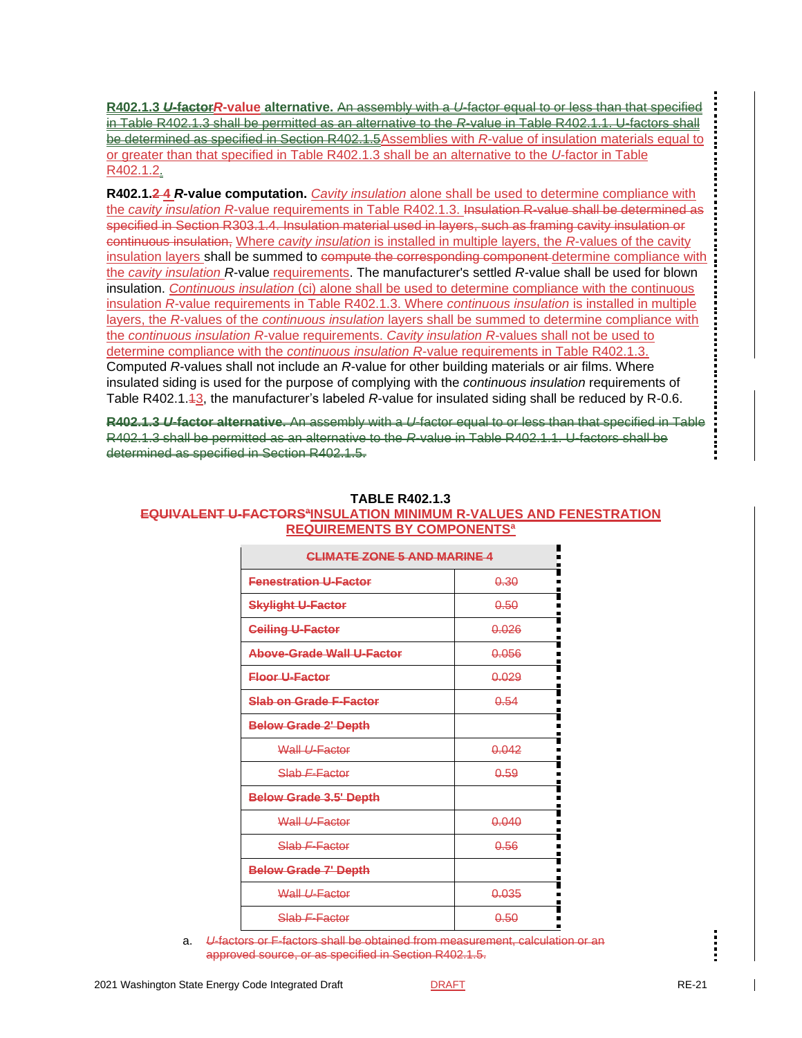**R402.1.3** *U***-factor***R***-value alternative.** An assembly with a *U*-factor equal to or less than that specified in Table R402.1.3 shall be permitted as an alternative to the *R*-value in Table R402.1.1. U-factors shall be determined as specified in Section R402.1.5Assemblies with *R*-value of insulation materials equal to or greater than that specified in Table R402.1.3 shall be an alternative to the *U*-factor in Table R402.1.2.

**R402.1.2 4** *R***-value computation.** *Cavity insulation* alone shall be used to determine compliance with the *cavity insulation R*-value requirements in Table R402.1.3. Insulation R-value shall be determined as specified in Section R303.1.4. Insulation material used in layers, such as framing cavity insulation or continuous insulation, Where *cavity insulation* is installed in multiple layers, the *R*-values of the cavity insulation layers shall be summed to compute the corresponding component determine compliance with the *cavity insulation R*-value requirements. The manufacturer's settled *R*-value shall be used for blown insulation. *Continuous insulation* (ci) alone shall be used to determine compliance with the continuous insulation *R*-value requirements in Table R402.1.3. Where *continuous insulation* is installed in multiple layers, the *R*-values of the *continuous insulation* layers shall be summed to determine compliance with the *continuous insulation R*-value requirements. *Cavity insulation R*-values shall not be used to determine compliance with the *continuous insulation R*-value requirements in Table R402.1.3. Computed *R*-values shall not include an *R*-value for other building materials or air films. Where insulated siding is used for the purpose of complying with the *continuous insulation* requirements of Table R402.1.13, the manufacturer's labeled *R*-value for insulated siding shall be reduced by R-0.6.

**R402.1.3** *U***-factor alternative.** An assembly with a *U*-factor equal to or less than that specified in Table R402.1.3 shall be permitted as an alternative to the *R*-value in Table R402.1.1. U-factors shall be determined as specified in Section R402.1.5.

|                               | <b>CLIMATE ZONE 5 AND MARINE 4</b> |  |  |  |
|-------------------------------|------------------------------------|--|--|--|
| <b>Fenestration U-Factor</b>  | 0.30                               |  |  |  |
| <b>Skylight U-Factor</b>      | 0.50                               |  |  |  |
| <b>Ceiling U-Factor</b>       | 0.026                              |  |  |  |
| Above-Grade Wall U-Factor     | <del>0.056</del>                   |  |  |  |
| <b>Floor U-Factor</b>         | 0.029                              |  |  |  |
| <b>Slab on Grade F-Factor</b> | 0.54                               |  |  |  |
| <b>Below Grade 2' Depth</b>   |                                    |  |  |  |
| Wall <i>U-Eactor</i>          | <del>0.042</del>                   |  |  |  |
| Slab E Factor                 | 0.59                               |  |  |  |
| <b>Below Grade 3.5' Depth</b> |                                    |  |  |  |
| Wall U-Factor                 | 0.040                              |  |  |  |
| Slab F-Factor                 | 0.56                               |  |  |  |
| <b>Below Grade 7' Depth</b>   |                                    |  |  |  |
| Wall <i>U-</i> Factor         | 0.035                              |  |  |  |
| Slab E-Eactor                 | 0.50                               |  |  |  |

#### **TABLE R402.1.3 EQUIVALENT U-FACTORS<sup>a</sup> INSULATION MINIMUM R-VALUES AND FENESTRATION**

**REQUIREMENTS BY COMPONENTS<sup>a</sup>**

a. *U*-factors or F-factors shall be obtained from measurement, calculation or an approved source, or as specified in Section R402.1.5.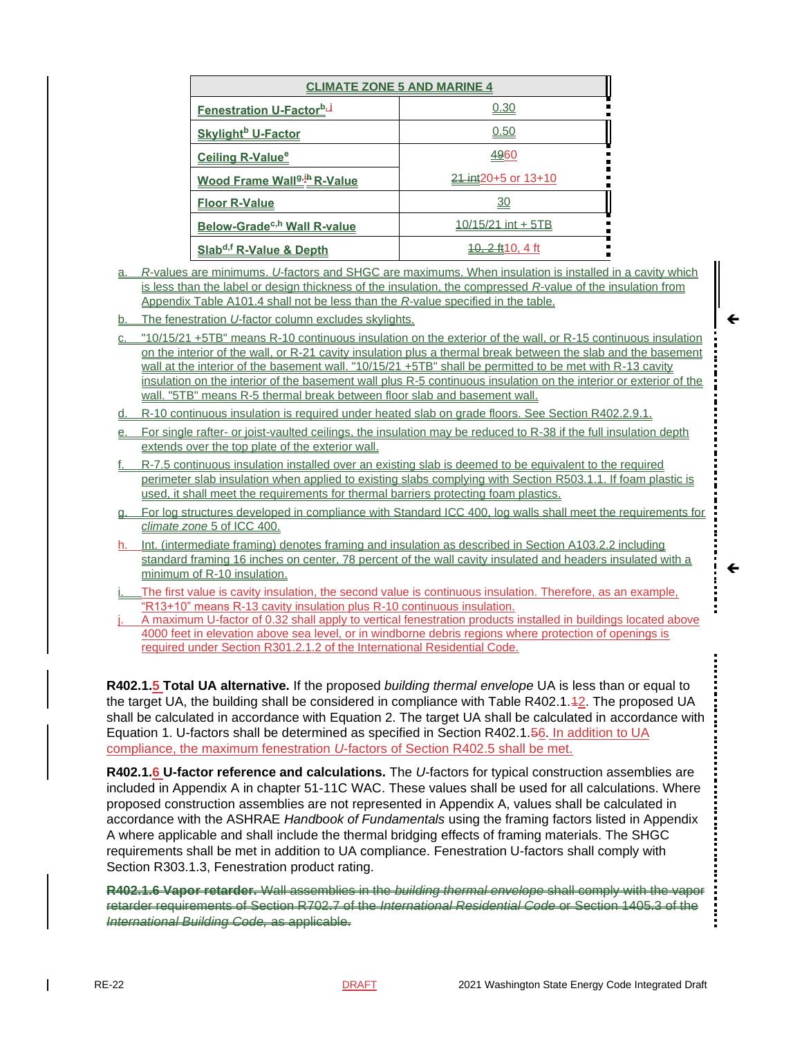| <b>CLIMATE ZONE 5 AND MARINE 4</b>        |                            |  |  |
|-------------------------------------------|----------------------------|--|--|
| <b>Fenestration U-Factor</b> <sup>b</sup> | 0.30                       |  |  |
| Skylight <sup>b</sup> U-Factor            | 0.50                       |  |  |
| <b>Ceiling R-Value<sup>e</sup></b>        | 4960                       |  |  |
| Wood Frame Wall <sup>g, ih</sup> R-Value  | 21 int20+5 or 13+10        |  |  |
| <b>Floor R-Value</b>                      | 30                         |  |  |
| Below-Grade <sup>c,h</sup> Wall R-value   | $10/15/21$ int + 5TB       |  |  |
| Slab <sup>d,f</sup> R-Value & Depth       | <del>10.2 ft</del> 10.4 ft |  |  |

- a. *R*-values are minimums. *U*-factors and SHGC are maximums. When insulation is installed in a cavity which is less than the label or design thickness of the insulation, the compressed *R*-value of the insulation from Appendix Table A101.4 shall not be less than the *R*-value specified in the table.
- The fenestration *U*-factor column excludes skylights.
- c. "10/15/21 +5TB" means R-10 continuous insulation on the exterior of the wall, or R-15 continuous insulation on the interior of the wall, or R-21 cavity insulation plus a thermal break between the slab and the basement wall at the interior of the basement wall. "10/15/21 +5TB" shall be permitted to be met with R-13 cavity insulation on the interior of the basement wall plus R-5 continuous insulation on the interior or exterior of the wall. "5TB" means R-5 thermal break between floor slab and basement wall.
- R-10 continuous insulation is required under heated slab on grade floors. See Section R402.2.9.1.
- For single rafter- or joist-vaulted ceilings, the insulation may be reduced to R-38 if the full insulation depth extends over the top plate of the exterior wall.
- f. R-7.5 continuous insulation installed over an existing slab is deemed to be equivalent to the required perimeter slab insulation when applied to existing slabs complying with Section R503.1.1. If foam plastic is used, it shall meet the requirements for thermal barriers protecting foam plastics.
- For log structures developed in compliance with Standard ICC 400, log walls shall meet the requirements for *climate zone* 5 of ICC 400.
- h. Int. (intermediate framing) denotes framing and insulation as described in Section A103.2.2 including standard framing 16 inches on center, 78 percent of the wall cavity insulated and headers insulated with a minimum of R-10 insulation.
- The first value is cavity insulation, the second value is continuous insulation. Therefore, as an example, "R13+10" means R-13 cavity insulation plus R-10 continuous insulation.
- A maximum U-factor of 0.32 shall apply to vertical fenestration products installed in buildings located above 4000 feet in elevation above sea level, or in windborne debris regions where protection of openings is required under Section R301.2.1.2 of the International Residential Code.

**R402.1.5 Total UA alternative.** If the proposed *building thermal envelope* UA is less than or equal to the target UA, the building shall be considered in compliance with Table R402.1.42. The proposed UA shall be calculated in accordance with Equation 2. The target UA shall be calculated in accordance with Equation 1. U-factors shall be determined as specified in Section R402.1.56. In addition to UA compliance, the maximum fenestration *U*-factors of Section R402.5 shall be met.

**R402.1.6 U-factor reference and calculations.** The *U*-factors for typical construction assemblies are included in Appendix A in chapter 51-11C WAC. These values shall be used for all calculations. Where proposed construction assemblies are not represented in Appendix A, values shall be calculated in accordance with the ASHRAE *Handbook of Fundamentals* using the framing factors listed in Appendix A where applicable and shall include the thermal bridging effects of framing materials. The SHGC requirements shall be met in addition to UA compliance. Fenestration U-factors shall comply with Section R303.1.3, Fenestration product rating.

**R402.1.6 Vapor retarder.** Wall assemblies in the *building thermal envelope* shall comply with the vapor retarder requirements of Section R702.7 of the *International Residential Code* or Section 1405.3 of the *International Building Code,* as applicable.

 $\leftarrow$ 

 $\leftarrow$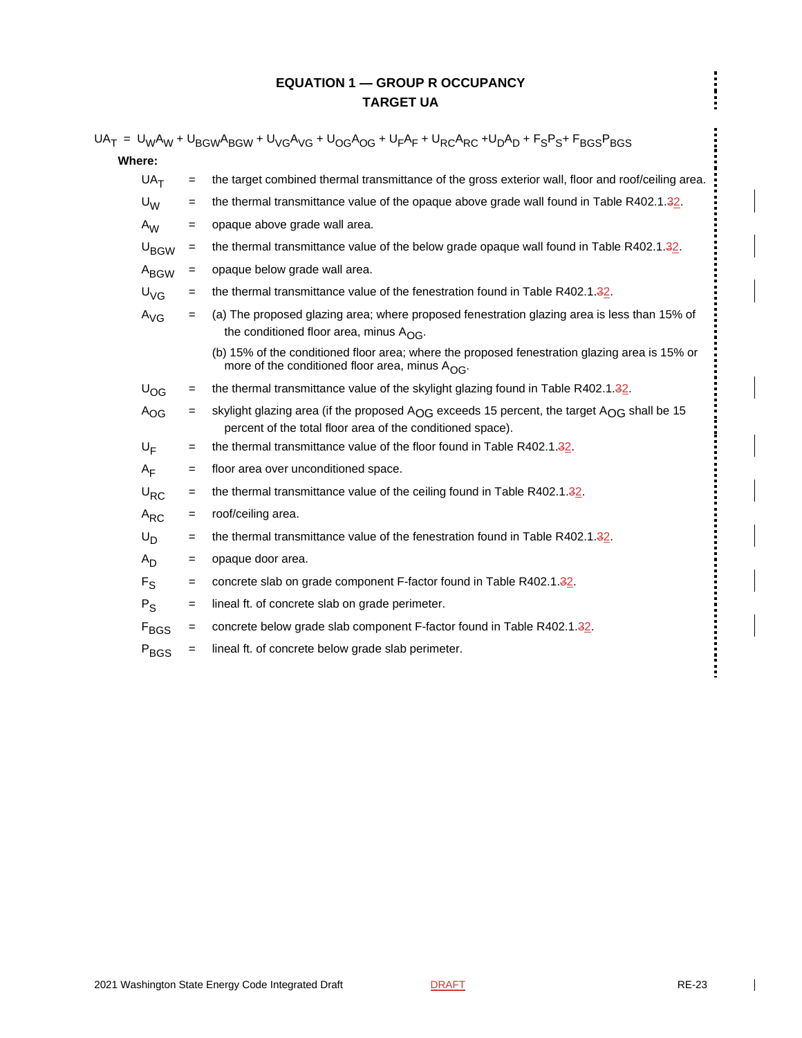#### **EQUATION 1 — GROUP R OCCUPANCY TARGET UA**

|                  |                   | $UA_T = U_W A_W + U_{BGW} A_{BGW} + U_{VG} A_{VG} + U_{OG} A_{OG} + U_F A_F + U_{RC} A_{RC} + U_D A_D + F_S P_S + F_{BGS} P_{BGS}$                      |
|------------------|-------------------|---------------------------------------------------------------------------------------------------------------------------------------------------------|
| Where:           |                   |                                                                                                                                                         |
| $UA_T$           | $=$               | the target combined thermal transmittance of the gross exterior wall, floor and roof/ceiling area.                                                      |
| $U_W$            | $=$               | the thermal transmittance value of the opaque above grade wall found in Table R402.1.32.                                                                |
| $A_{\rm W}$      | $=$               | opaque above grade wall area.                                                                                                                           |
| U <sub>BGW</sub> | $\qquad \qquad =$ | the thermal transmittance value of the below grade opaque wall found in Table R402.1.32.                                                                |
| A <sub>BGW</sub> | $=$               | opaque below grade wall area.                                                                                                                           |
| $U_{\vee G}$     | $=$               | the thermal transmittance value of the fenestration found in Table R402.1.32.                                                                           |
| $A_{\text{VG}}$  | $=$               | (a) The proposed glazing area; where proposed fenestration glazing area is less than 15% of<br>the conditioned floor area, minus $A_{\text{OG}}$ .      |
|                  |                   | (b) 15% of the conditioned floor area; where the proposed fenestration glazing area is 15% or<br>more of the conditioned floor area, minus $A_{OG}$ .   |
| $U_{OG}$         | $=$               | the thermal transmittance value of the skylight glazing found in Table R402.1.32.                                                                       |
| Aog              | $=$               | skylight glazing area (if the proposed AOG exceeds 15 percent, the target AOG shall be 15<br>percent of the total floor area of the conditioned space). |
| UF               | $=$               | the thermal transmittance value of the floor found in Table R402.1.32.                                                                                  |
| $A_F$            | $=$               | floor area over unconditioned space.                                                                                                                    |
| $U_{RC}$         | $=$               | the thermal transmittance value of the ceiling found in Table R402.1.32.                                                                                |
| $A_{RC}$         | $=$               | roof/ceiling area.                                                                                                                                      |
| $U_D$            | $=$               | the thermal transmittance value of the fenestration found in Table R402.1.32.                                                                           |
| $A_{D}$          | $=$               | opaque door area.                                                                                                                                       |
| $F_S$            | $=$               | concrete slab on grade component F-factor found in Table R402.1.32.                                                                                     |
| $P_S$            | $=$               | lineal ft. of concrete slab on grade perimeter.                                                                                                         |
| $F_{BGS}$        | $=$               | concrete below grade slab component F-factor found in Table R402.1.32.                                                                                  |
| P <sub>BGS</sub> | $=$               | lineal ft. of concrete below grade slab perimeter.                                                                                                      |

 $\overline{1}$ 

 $\begin{array}{c} \vdots \\ \vdots \\ \vdots \end{array}$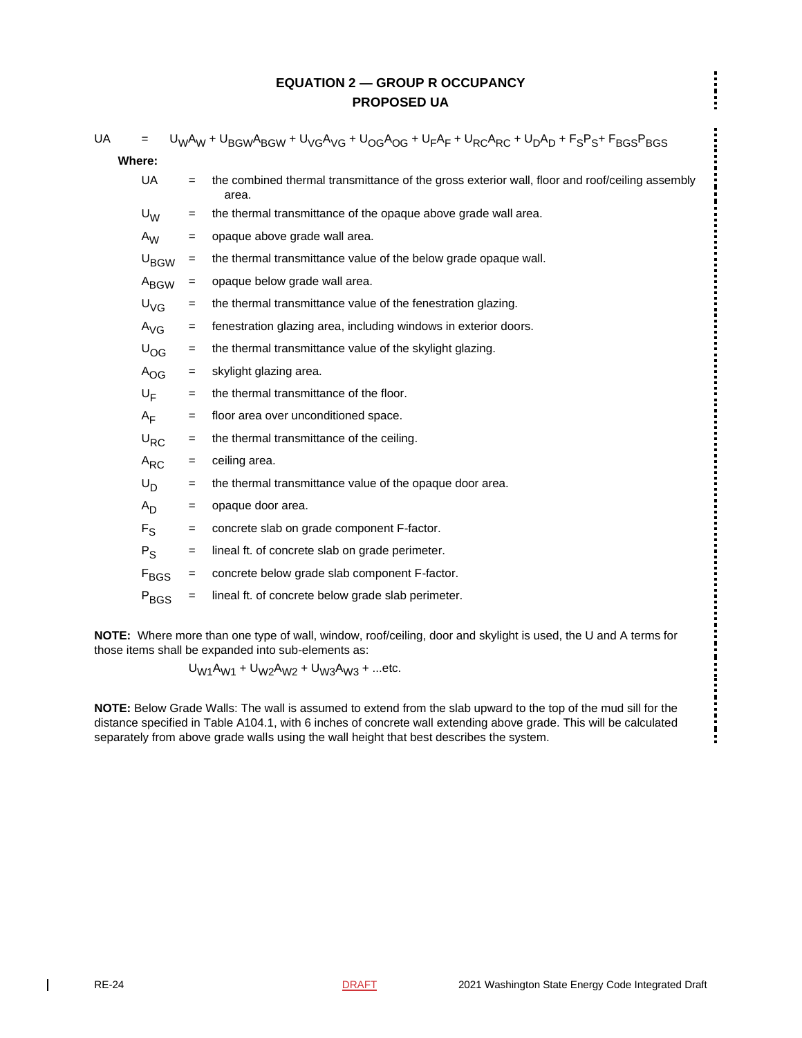#### **EQUATION 2 — GROUP R OCCUPANCY PROPOSED UA**

| UA | $=$              |     | U <sub>W</sub> A <sub>W</sub> + U <sub>BGW</sub> A <sub>BGW</sub> + U <sub>VG</sub> A <sub>VG</sub> + U <sub>OG</sub> A <sub>OG</sub> + U <sub>F</sub> A <sub>F</sub> + U <sub>RC</sub> A <sub>RC</sub> + U <sub>D</sub> A <sub>D</sub> + F <sub>S</sub> P <sub>S</sub> + F <sub>BGS</sub> P <sub>BGS</sub> |
|----|------------------|-----|-------------------------------------------------------------------------------------------------------------------------------------------------------------------------------------------------------------------------------------------------------------------------------------------------------------|
|    | Where:           |     |                                                                                                                                                                                                                                                                                                             |
|    | <b>UA</b>        | $=$ | the combined thermal transmittance of the gross exterior wall, floor and roof/ceiling assembly<br>area.                                                                                                                                                                                                     |
|    | $U_W$            | $=$ | the thermal transmittance of the opaque above grade wall area.                                                                                                                                                                                                                                              |
|    | $A_{\rm W}$      | $=$ | opaque above grade wall area.                                                                                                                                                                                                                                                                               |
|    | $U_{\text{BGW}}$ | $=$ | the thermal transmittance value of the below grade opaque wall.                                                                                                                                                                                                                                             |
|    | A <sub>BGW</sub> | $=$ | opaque below grade wall area.                                                                                                                                                                                                                                                                               |
|    | $U_{\text{VG}}$  | $=$ | the thermal transmittance value of the fenestration glazing.                                                                                                                                                                                                                                                |
|    | $A_{\text{VG}}$  | $=$ | fenestration glazing area, including windows in exterior doors.                                                                                                                                                                                                                                             |
|    | $U_{OG}$         | $=$ | the thermal transmittance value of the skylight glazing.                                                                                                                                                                                                                                                    |
|    | $A_{OG}$         | $=$ | skylight glazing area.                                                                                                                                                                                                                                                                                      |
|    | $U_F$            | $=$ | the thermal transmittance of the floor.                                                                                                                                                                                                                                                                     |
|    | $A_F$            | $=$ | floor area over unconditioned space.                                                                                                                                                                                                                                                                        |
|    | $U_{RC}$         | $=$ | the thermal transmittance of the ceiling.                                                                                                                                                                                                                                                                   |
|    | $A_{RC}$         | $=$ | ceiling area.                                                                                                                                                                                                                                                                                               |
|    | $U_D$            | $=$ | the thermal transmittance value of the opaque door area.                                                                                                                                                                                                                                                    |
|    | $A_{D}$          | $=$ | opaque door area.                                                                                                                                                                                                                                                                                           |
|    | $F_S$            | $=$ | concrete slab on grade component F-factor.                                                                                                                                                                                                                                                                  |
|    | $P_S$            | $=$ | lineal ft. of concrete slab on grade perimeter.                                                                                                                                                                                                                                                             |
|    | $F_{BGS}$        | $=$ | concrete below grade slab component F-factor.                                                                                                                                                                                                                                                               |
|    | P <sub>BGS</sub> | $=$ | lineal ft. of concrete below grade slab perimeter.                                                                                                                                                                                                                                                          |

**NOTE:** Where more than one type of wall, window, roof/ceiling, door and skylight is used, the U and A terms for those items shall be expanded into sub-elements as:

$$
U_{W1}A_{W1} + U_{W2}A_{W2} + U_{W3}A_{W3} + ... \text{etc.}
$$

**NOTE:** Below Grade Walls: The wall is assumed to extend from the slab upward to the top of the mud sill for the distance specified in Table A104.1, with 6 inches of concrete wall extending above grade. This will be calculated separately from above grade walls using the wall height that best describes the system.

 $\overline{\phantom{a}}$ 

 $\frac{1}{2}$ 

 $\frac{1}{2}$ Ē

ī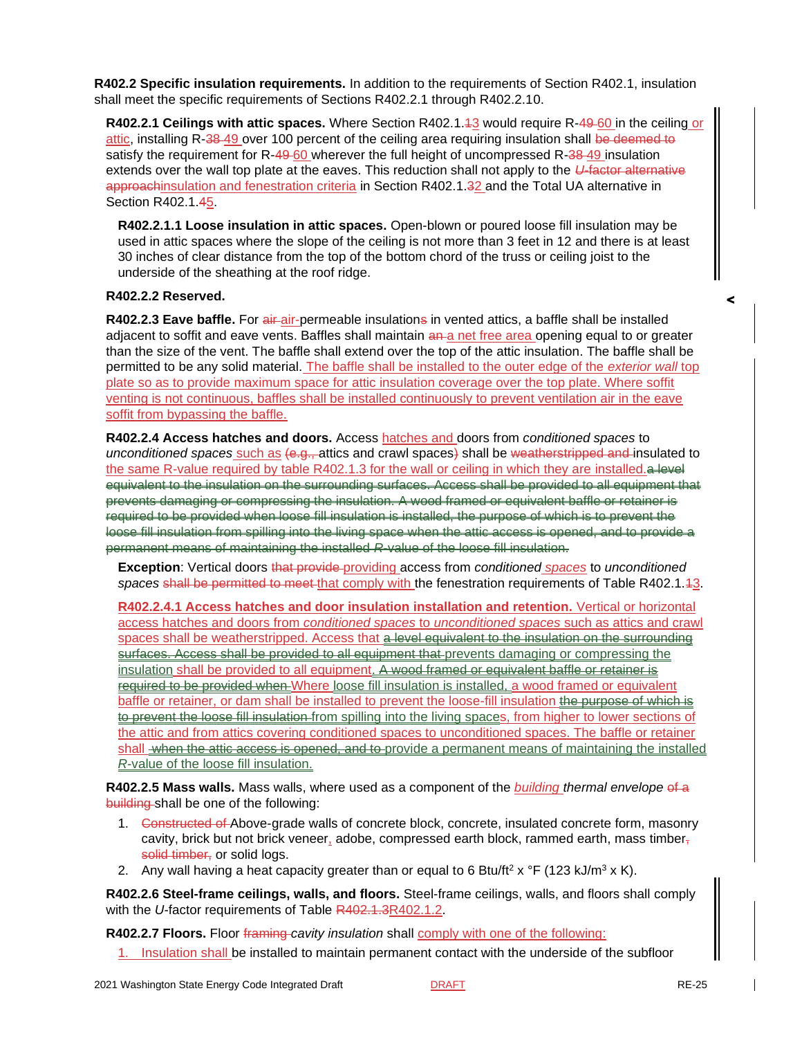**R402.2 Specific insulation requirements.** In addition to the requirements of Section R402.1, insulation shall meet the specific requirements of Sections R402.2.1 through R402.2.10.

**R402.2.1 Ceilings with attic spaces.** Where Section R402.1.13 would require R-49 60 in the ceiling or attic, installing R-38 49 over 100 percent of the ceiling area requiring insulation shall be deemed to satisfy the requirement for R-49-60 wherever the full height of uncompressed R-38-49 insulation extends over the wall top plate at the eaves. This reduction shall not apply to the U-factor alternative approachinsulation and fenestration criteria in Section R402.1.32 and the Total UA alternative in Section R402.1.45.

**R402.2.1.1 Loose insulation in attic spaces.** Open-blown or poured loose fill insulation may be used in attic spaces where the slope of the ceiling is not more than 3 feet in 12 and there is at least 30 inches of clear distance from the top of the bottom chord of the truss or ceiling joist to the underside of the sheathing at the roof ridge.

#### **R402.2.2 Reserved.**

**R402.2.3 Eave baffle.** For air-air-permeable insulations in vented attics, a baffle shall be installed adjacent to soffit and eave vents. Baffles shall maintain an a net free area opening equal to or greater than the size of the vent. The baffle shall extend over the top of the attic insulation. The baffle shall be permitted to be any solid material. The baffle shall be installed to the outer edge of the *exterior wall* top plate so as to provide maximum space for attic insulation coverage over the top plate. Where soffit venting is not continuous, baffles shall be installed continuously to prevent ventilation air in the eave soffit from bypassing the baffle.

**R402.2.4 Access hatches and doors.** Access hatches and doors from *conditioned spaces* to *unconditioned spaces* such as (e.g., attics and crawl spaces) shall be weatherstripped and insulated to the same R-value required by table R402.1.3 for the wall or ceiling in which they are installed. Hovel equivalent to the insulation on the surrounding surfaces. Access shall be provided to all equipment that prevents damaging or compressing the insulation. A wood framed or equivalent baffle or retainer is required to be provided when loose fill insulation is installed, the purpose of which is to prevent the loose fill insulation from spilling into the living space when the attic access is opened, and to provide a permanent means of maintaining the installed *R*-value of the loose fill insulation.

**Exception**: Vertical doors that provide providing access from *conditioned spaces* to *unconditioned* spaces shall be permitted to meet that comply with the fenestration requirements of Table R402.1.43.

**R402.2.4.1 Access hatches and door insulation installation and retention.** Vertical or horizontal access hatches and doors from *conditioned spaces* to *unconditioned spaces* such as attics and crawl spaces shall be weatherstripped. Access that a level equivalent to the insulation on the surrounding surfaces. Access shall be provided to all equipment that prevents damaging or compressing the insulation shall be provided to all equipment. A wood framed or equivalent baffle or retainer is required to be provided when Where loose fill insulation is installed, a wood framed or equivalent baffle or retainer, or dam shall be installed to prevent the loose-fill insulation the purpose of which is to prevent the loose fill insulation from spilling into the living spaces, from higher to lower sections of the attic and from attics covering conditioned spaces to unconditioned spaces. The baffle or retainer shall when the attic access is opened, and to provide a permanent means of maintaining the installed *R*-value of the loose fill insulation.

**R402.2.5 Mass walls.** Mass walls, where used as a component of the *building thermal envelope* of a building shall be one of the following:

- 1. Constructed of Above-grade walls of concrete block, concrete, insulated concrete form, masonry cavity, brick but not brick veneer, adobe, compressed earth block, rammed earth, mass timber, solid timber, or solid logs.
- 2. Any wall having a heat capacity greater than or equal to 6 Btu/ft<sup>2</sup> x  $\textdegree$  (123 kJ/m<sup>3</sup> x K).

**R402.2.6 Steel-frame ceilings, walls, and floors.** Steel-frame ceilings, walls, and floors shall comply with the U-factor requirements of Table R402.1.3R402.1.2.

**R402.2.7 Floors.** Floor framing-cavity insulation shall comply with one of the following:

1. Insulation shall be installed to maintain permanent contact with the underside of the subfloor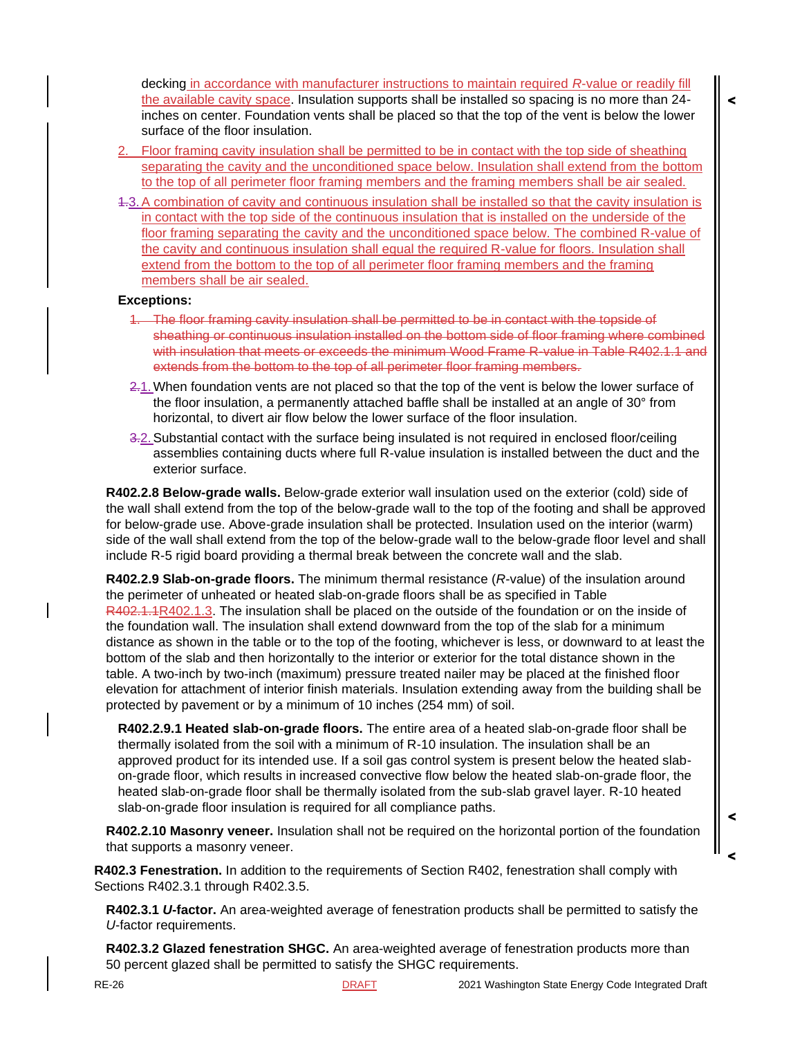$\prec$ 

decking in accordance with manufacturer instructions to maintain required *R*-value or readily fill the available cavity space. Insulation supports shall be installed so spacing is no more than 24 inches on center. Foundation vents shall be placed so that the top of the vent is below the lower surface of the floor insulation.

- 2. Floor framing cavity insulation shall be permitted to be in contact with the top side of sheathing separating the cavity and the unconditioned space below. Insulation shall extend from the bottom to the top of all perimeter floor framing members and the framing members shall be air sealed.
- 1.3.A combination of cavity and continuous insulation shall be installed so that the cavity insulation is in contact with the top side of the continuous insulation that is installed on the underside of the floor framing separating the cavity and the unconditioned space below. The combined R-value of the cavity and continuous insulation shall equal the required R-value for floors. Insulation shall extend from the bottom to the top of all perimeter floor framing members and the framing members shall be air sealed.

#### **Exceptions:**

- 1. The floor framing cavity insulation shall be permitted to be in contact with the topside of sheathing or continuous insulation installed on the bottom side of floor framing where combined with insulation that meets or exceeds the minimum Wood Frame R-value in Table R402.1.1 and extends from the bottom to the top of all perimeter floor framing members.
- 2.1.When foundation vents are not placed so that the top of the vent is below the lower surface of the floor insulation, a permanently attached baffle shall be installed at an angle of 30° from horizontal, to divert air flow below the lower surface of the floor insulation.
- 3-2. Substantial contact with the surface being insulated is not required in enclosed floor/ceiling assemblies containing ducts where full R-value insulation is installed between the duct and the exterior surface.

**R402.2.8 Below-grade walls.** Below-grade exterior wall insulation used on the exterior (cold) side of the wall shall extend from the top of the below-grade wall to the top of the footing and shall be approved for below-grade use. Above-grade insulation shall be protected. Insulation used on the interior (warm) side of the wall shall extend from the top of the below-grade wall to the below-grade floor level and shall include R-5 rigid board providing a thermal break between the concrete wall and the slab.

**R402.2.9 Slab-on-grade floors.** The minimum thermal resistance (*R*-value) of the insulation around the perimeter of unheated or heated slab-on-grade floors shall be as specified in Table R402.1.1R402.1.3. The insulation shall be placed on the outside of the foundation or on the inside of the foundation wall. The insulation shall extend downward from the top of the slab for a minimum distance as shown in the table or to the top of the footing, whichever is less, or downward to at least the bottom of the slab and then horizontally to the interior or exterior for the total distance shown in the table. A two-inch by two-inch (maximum) pressure treated nailer may be placed at the finished floor elevation for attachment of interior finish materials. Insulation extending away from the building shall be protected by pavement or by a minimum of 10 inches (254 mm) of soil.

**R402.2.9.1 Heated slab-on-grade floors.** The entire area of a heated slab-on-grade floor shall be thermally isolated from the soil with a minimum of R-10 insulation. The insulation shall be an approved product for its intended use. If a soil gas control system is present below the heated slabon-grade floor, which results in increased convective flow below the heated slab-on-grade floor, the heated slab-on-grade floor shall be thermally isolated from the sub-slab gravel layer. R-10 heated slab-on-grade floor insulation is required for all compliance paths.

**R402.2.10 Masonry veneer.** Insulation shall not be required on the horizontal portion of the foundation that supports a masonry veneer.

**R402.3 Fenestration.** In addition to the requirements of Section R402, fenestration shall comply with Sections R402.3.1 through R402.3.5.

**R402.3.1** *U***-factor.** An area-weighted average of fenestration products shall be permitted to satisfy the *U*-factor requirements.

**R402.3.2 Glazed fenestration SHGC.** An area-weighted average of fenestration products more than 50 percent glazed shall be permitted to satisfy the SHGC requirements.

<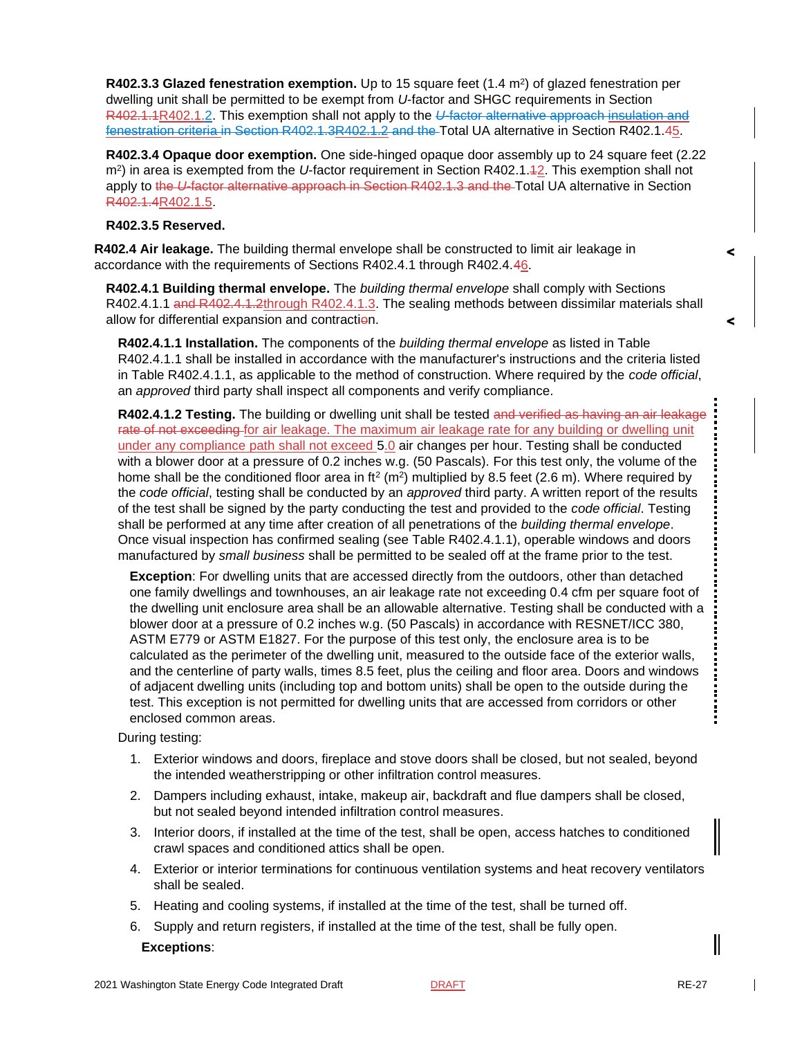**R402.3.3 Glazed fenestration exemption.** Up to 15 square feet (1.4 m<sup>2</sup>) of glazed fenestration per dwelling unit shall be permitted to be exempt from *U*-factor and SHGC requirements in Section R402.1.1R402.1.2. This exemption shall not apply to the *U*-factor alternative approach insulation and fenestration criteria in Section R402.1.3R402.1.2 and the Total UA alternative in Section R402.1.45.

**R402.3.4 Opaque door exemption.** One side-hinged opaque door assembly up to 24 square feet (2.22 m<sup>2</sup>) in area is exempted from the U-factor requirement in Section R402.1.42. This exemption shall not apply to the *U*-factor alternative approach in Section R402.1.3 and the Total UA alternative in Section R402.1.4R402.1.5.

#### **R402.3.5 Reserved.**

**R402.4 Air leakage.** The building thermal envelope shall be constructed to limit air leakage in accordance with the requirements of Sections R402.4.1 through R402.4.46.

**R402.4.1 Building thermal envelope.** The *building thermal envelope* shall comply with Sections R402.4.1.1 and R402.4.1.2through R402.4.1.3. The sealing methods between dissimilar materials shall allow for differential expansion and contraction.

**R402.4.1.1 Installation.** The components of the *building thermal envelope* as listed in Table R402.4.1.1 shall be installed in accordance with the manufacturer's instructions and the criteria listed in Table R402.4.1.1, as applicable to the method of construction. Where required by the *code official*, an *approved* third party shall inspect all components and verify compliance.

**R402.4.1.2 Testing.** The building or dwelling unit shall be tested and verified as having an air leakage rate of not exceeding for air leakage. The maximum air leakage rate for any building or dwelling unit under any compliance path shall not exceed 5.0 air changes per hour. Testing shall be conducted with a blower door at a pressure of 0.2 inches w.g. (50 Pascals). For this test only, the volume of the home shall be the conditioned floor area in  $ft^2$  (m<sup>2</sup>) multiplied by 8.5 feet (2.6 m). Where required by the *code official*, testing shall be conducted by an *approved* third party. A written report of the results of the test shall be signed by the party conducting the test and provided to the *code official*. Testing shall be performed at any time after creation of all penetrations of the *building thermal envelope*. Once visual inspection has confirmed sealing (see Table R402.4.1.1), operable windows and doors manufactured by *small business* shall be permitted to be sealed off at the frame prior to the test.

**Exception**: For dwelling units that are accessed directly from the outdoors, other than detached one family dwellings and townhouses, an air leakage rate not exceeding 0.4 cfm per square foot of the dwelling unit enclosure area shall be an allowable alternative. Testing shall be conducted with a blower door at a pressure of 0.2 inches w.g. (50 Pascals) in accordance with RESNET/ICC 380, ASTM E779 or ASTM E1827. For the purpose of this test only, the enclosure area is to be calculated as the perimeter of the dwelling unit, measured to the outside face of the exterior walls, and the centerline of party walls, times 8.5 feet, plus the ceiling and floor area. Doors and windows of adjacent dwelling units (including top and bottom units) shall be open to the outside during the test. This exception is not permitted for dwelling units that are accessed from corridors or other enclosed common areas.

During testing:

- 1. Exterior windows and doors, fireplace and stove doors shall be closed, but not sealed, beyond the intended weatherstripping or other infiltration control measures.
- 2. Dampers including exhaust, intake, makeup air, backdraft and flue dampers shall be closed, but not sealed beyond intended infiltration control measures.
- 3. Interior doors, if installed at the time of the test, shall be open, access hatches to conditioned crawl spaces and conditioned attics shall be open.
- 4. Exterior or interior terminations for continuous ventilation systems and heat recovery ventilators shall be sealed.
- 5. Heating and cooling systems, if installed at the time of the test, shall be turned off.
- 6. Supply and return registers, if installed at the time of the test, shall be fully open.

#### **Exceptions**:

<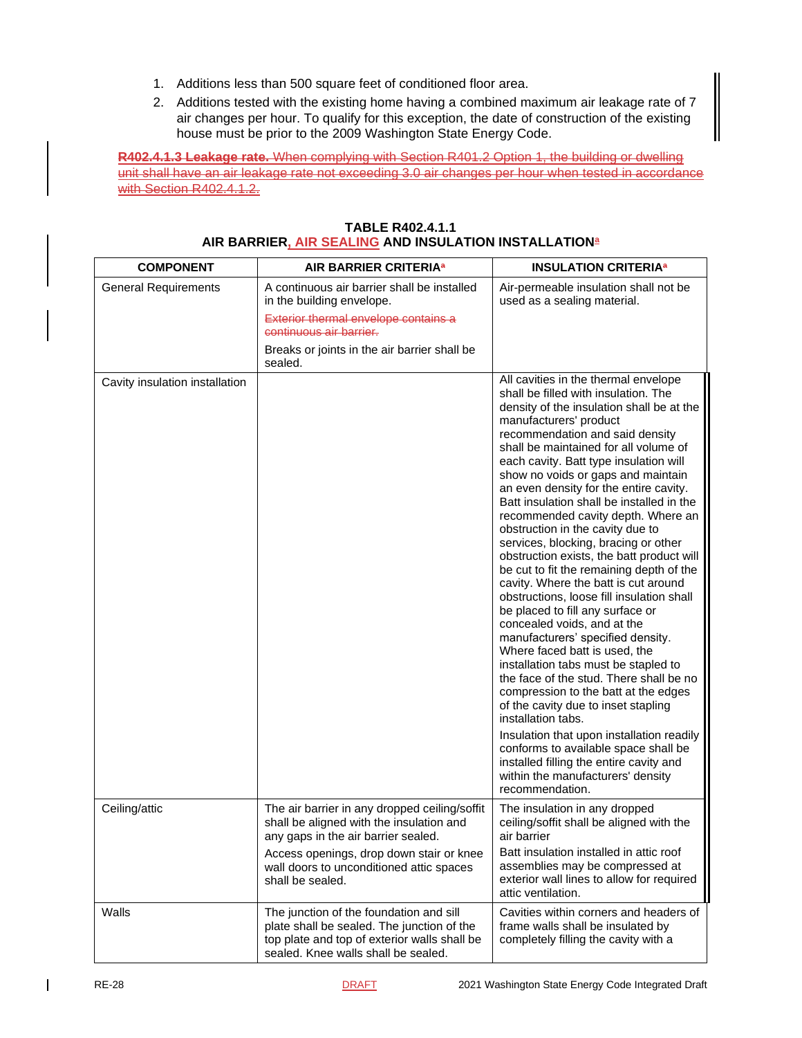- 1. Additions less than 500 square feet of conditioned floor area.
- 2. Additions tested with the existing home having a combined maximum air leakage rate of 7 air changes per hour. To qualify for this exception, the date of construction of the existing house must be prior to the 2009 Washington State Energy Code.

**R402.4.1.3 Leakage rate.** When complying with Section R401.2 Option 1, the building or dwelling unit shall have an air leakage rate not exceeding 3.0 air changes per hour when tested in accordance with Section R402.4.1.2.

| <b>COMPONENT</b>               | AIR BARRIER CRITERIA <sup>a</sup>                                                                                                                                                                                        | <b>INSULATION CRITERIA<sup>a</sup></b>                                                                                                                                                                                                                                                                                                                                                                                                                                                                                                                                                                                                                                                                                                                                                                                                                                                                                                                                                                                                                                                                                                                                                                                          |
|--------------------------------|--------------------------------------------------------------------------------------------------------------------------------------------------------------------------------------------------------------------------|---------------------------------------------------------------------------------------------------------------------------------------------------------------------------------------------------------------------------------------------------------------------------------------------------------------------------------------------------------------------------------------------------------------------------------------------------------------------------------------------------------------------------------------------------------------------------------------------------------------------------------------------------------------------------------------------------------------------------------------------------------------------------------------------------------------------------------------------------------------------------------------------------------------------------------------------------------------------------------------------------------------------------------------------------------------------------------------------------------------------------------------------------------------------------------------------------------------------------------|
| <b>General Requirements</b>    | A continuous air barrier shall be installed<br>in the building envelope.<br>Exterior thermal envelope contains a<br>continuous air barrier.<br>Breaks or joints in the air barrier shall be<br>sealed.                   | Air-permeable insulation shall not be<br>used as a sealing material.                                                                                                                                                                                                                                                                                                                                                                                                                                                                                                                                                                                                                                                                                                                                                                                                                                                                                                                                                                                                                                                                                                                                                            |
| Cavity insulation installation |                                                                                                                                                                                                                          | All cavities in the thermal envelope<br>shall be filled with insulation. The<br>density of the insulation shall be at the<br>manufacturers' product<br>recommendation and said density<br>shall be maintained for all volume of<br>each cavity. Batt type insulation will<br>show no voids or gaps and maintain<br>an even density for the entire cavity.<br>Batt insulation shall be installed in the<br>recommended cavity depth. Where an<br>obstruction in the cavity due to<br>services, blocking, bracing or other<br>obstruction exists, the batt product will<br>be cut to fit the remaining depth of the<br>cavity. Where the batt is cut around<br>obstructions, loose fill insulation shall<br>be placed to fill any surface or<br>concealed voids, and at the<br>manufacturers' specified density.<br>Where faced batt is used, the<br>installation tabs must be stapled to<br>the face of the stud. There shall be no<br>compression to the batt at the edges<br>of the cavity due to inset stapling<br>installation tabs.<br>Insulation that upon installation readily<br>conforms to available space shall be<br>installed filling the entire cavity and<br>within the manufacturers' density<br>recommendation. |
| Ceiling/attic                  | The air barrier in any dropped ceiling/soffit<br>shall be aligned with the insulation and<br>any gaps in the air barrier sealed.<br>Access openings, drop down stair or knee<br>wall doors to unconditioned attic spaces | The insulation in any dropped<br>ceiling/soffit shall be aligned with the<br>air barrier<br>Batt insulation installed in attic roof<br>assemblies may be compressed at                                                                                                                                                                                                                                                                                                                                                                                                                                                                                                                                                                                                                                                                                                                                                                                                                                                                                                                                                                                                                                                          |
| Walls                          | shall be sealed.<br>The junction of the foundation and sill<br>plate shall be sealed. The junction of the<br>top plate and top of exterior walls shall be<br>sealed. Knee walls shall be sealed.                         | exterior wall lines to allow for required<br>attic ventilation.<br>Cavities within corners and headers of<br>frame walls shall be insulated by<br>completely filling the cavity with a                                                                                                                                                                                                                                                                                                                                                                                                                                                                                                                                                                                                                                                                                                                                                                                                                                                                                                                                                                                                                                          |

#### **TABLE R402.4.1.1 AIR BARRIER, AIR SEALING AND INSULATION INSTALLATION<sup>a</sup>**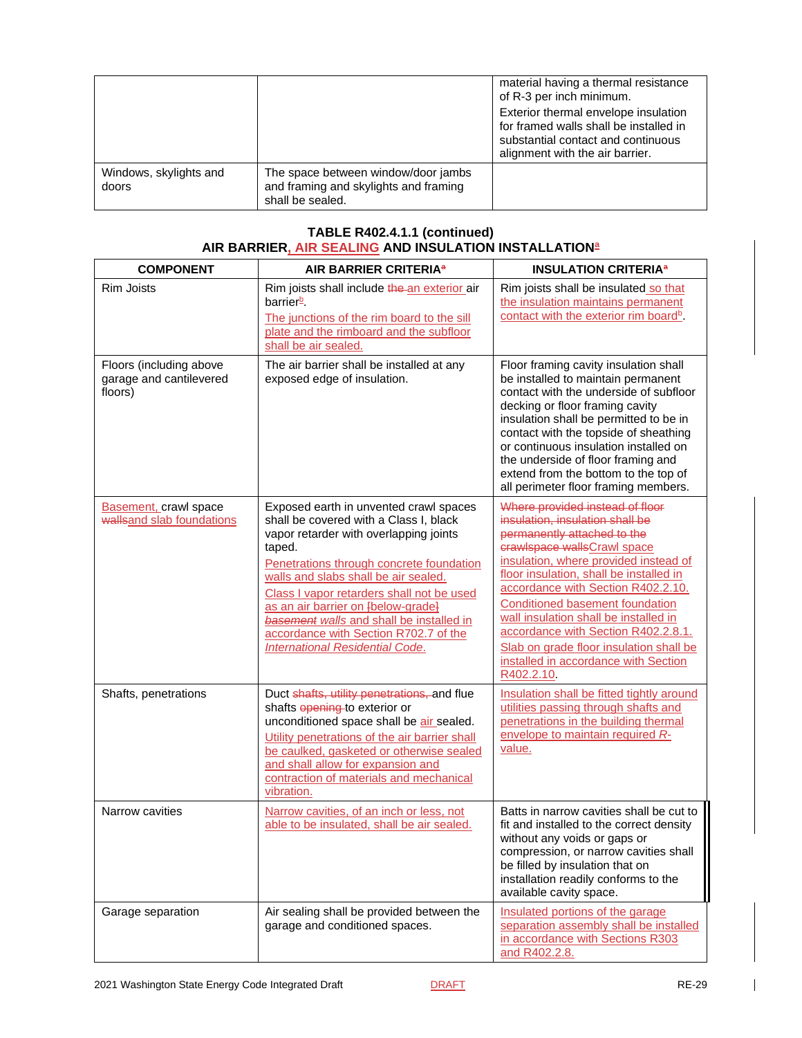|                                 |                                                                                                  | material having a thermal resistance<br>of R-3 per inch minimum.                                                                                        |
|---------------------------------|--------------------------------------------------------------------------------------------------|---------------------------------------------------------------------------------------------------------------------------------------------------------|
|                                 |                                                                                                  | Exterior thermal envelope insulation<br>for framed walls shall be installed in<br>substantial contact and continuous<br>alignment with the air barrier. |
| Windows, skylights and<br>doors | The space between window/door jambs<br>and framing and skylights and framing<br>shall be sealed. |                                                                                                                                                         |

#### **TABLE R402.4.1.1 (continued) AIR BARRIER, AIR SEALING AND INSULATION INSTALLATION<sup>a</sup>**

| <b>COMPONENT</b>                                              | <b>AIR BARRIER CRITERIA<sup>a</sup></b>                                                                                                                                                                                                                                                                                                                                                                                                    | <b>INSULATION CRITERIA<sup>a</sup></b>                                                                                                                                                                                                                                                                                                                                                                                                                                               |
|---------------------------------------------------------------|--------------------------------------------------------------------------------------------------------------------------------------------------------------------------------------------------------------------------------------------------------------------------------------------------------------------------------------------------------------------------------------------------------------------------------------------|--------------------------------------------------------------------------------------------------------------------------------------------------------------------------------------------------------------------------------------------------------------------------------------------------------------------------------------------------------------------------------------------------------------------------------------------------------------------------------------|
| <b>Rim Joists</b>                                             | Rim joists shall include the an exterior air<br>barrier <sup>b</sup> .<br>The junctions of the rim board to the sill<br>plate and the rimboard and the subfloor<br>shall be air sealed.                                                                                                                                                                                                                                                    | Rim joists shall be insulated so that<br>the insulation maintains permanent<br>contact with the exterior rim board <sup>b</sup> .                                                                                                                                                                                                                                                                                                                                                    |
| Floors (including above<br>garage and cantilevered<br>floors) | The air barrier shall be installed at any<br>exposed edge of insulation.                                                                                                                                                                                                                                                                                                                                                                   | Floor framing cavity insulation shall<br>be installed to maintain permanent<br>contact with the underside of subfloor<br>decking or floor framing cavity<br>insulation shall be permitted to be in<br>contact with the topside of sheathing<br>or continuous insulation installed on<br>the underside of floor framing and<br>extend from the bottom to the top of<br>all perimeter floor framing members.                                                                           |
| Basement, crawl space<br>wallsand slab foundations            | Exposed earth in unvented crawl spaces<br>shall be covered with a Class I, black<br>vapor retarder with overlapping joints<br>taped.<br>Penetrations through concrete foundation<br>walls and slabs shall be air sealed.<br>Class I vapor retarders shall not be used<br>as an air barrier on [below-grade]<br>basement walls and shall be installed in<br>accordance with Section R702.7 of the<br><b>International Residential Code.</b> | Where provided instead of floor<br>insulation, insulation shall be<br>permanently attached to the<br>crawlspace wallsCrawl space<br>insulation, where provided instead of<br>floor insulation, shall be installed in<br>accordance with Section R402.2.10.<br><b>Conditioned basement foundation</b><br>wall insulation shall be installed in<br>accordance with Section R402.2.8.1.<br>Slab on grade floor insulation shall be<br>installed in accordance with Section<br>R402.2.10 |
| Shafts, penetrations                                          | Duct shafts, utility penetrations, and flue<br>shafts opening to exterior or<br>unconditioned space shall be air sealed.<br>Utility penetrations of the air barrier shall<br>be caulked, gasketed or otherwise sealed<br>and shall allow for expansion and<br>contraction of materials and mechanical<br>vibration.                                                                                                                        | Insulation shall be fitted tightly around<br>utilities passing through shafts and<br>penetrations in the building thermal<br>envelope to maintain required R-<br>value.                                                                                                                                                                                                                                                                                                              |
| Narrow cavities                                               | Narrow cavities, of an inch or less, not<br>able to be insulated, shall be air sealed.                                                                                                                                                                                                                                                                                                                                                     | Batts in narrow cavities shall be cut to<br>fit and installed to the correct density<br>without any voids or gaps or<br>compression, or narrow cavities shall<br>be filled by insulation that on<br>installation readily conforms to the<br>available cavity space.                                                                                                                                                                                                                  |
| Garage separation                                             | Air sealing shall be provided between the<br>garage and conditioned spaces.                                                                                                                                                                                                                                                                                                                                                                | Insulated portions of the garage<br>separation assembly shall be installed<br>in accordance with Sections R303<br>and R402.2.8.                                                                                                                                                                                                                                                                                                                                                      |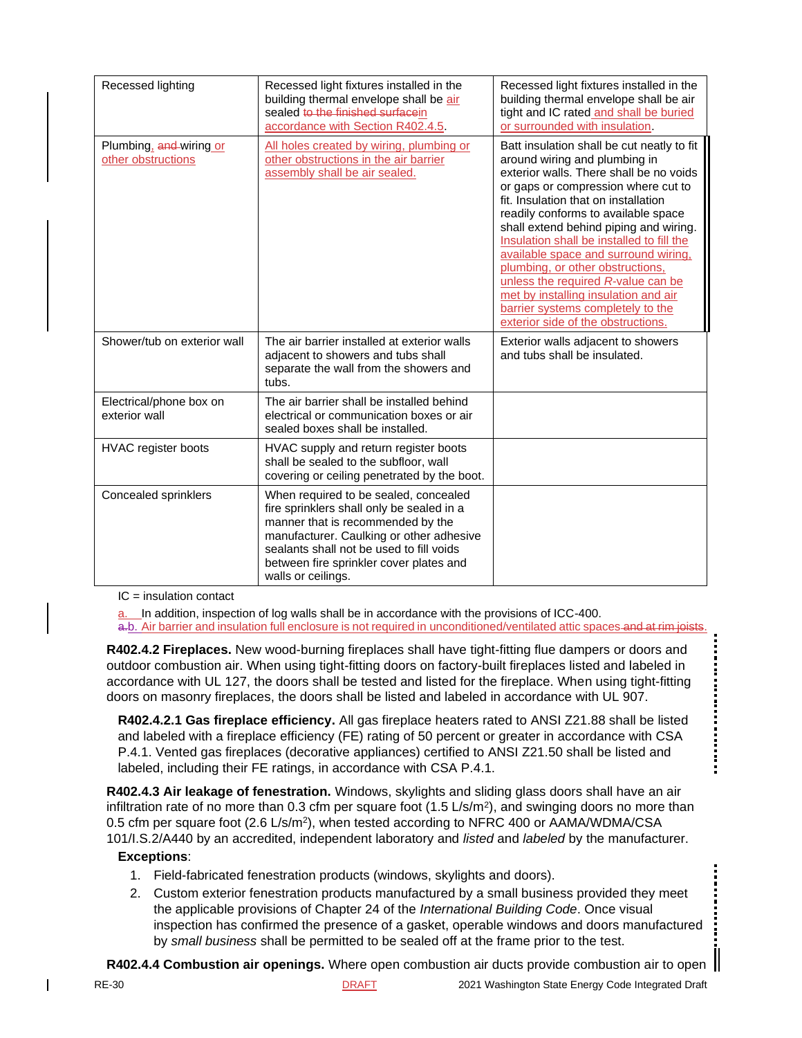| Recessed lighting                             | Recessed light fixtures installed in the<br>building thermal envelope shall be air<br>sealed to the finished surfacein<br>accordance with Section R402.4.5.                                                                                                                      | Recessed light fixtures installed in the<br>building thermal envelope shall be air<br>tight and IC rated and shall be buried<br>or surrounded with insulation.                                                                                                                                                                                                                                                                                                                                                                                                           |
|-----------------------------------------------|----------------------------------------------------------------------------------------------------------------------------------------------------------------------------------------------------------------------------------------------------------------------------------|--------------------------------------------------------------------------------------------------------------------------------------------------------------------------------------------------------------------------------------------------------------------------------------------------------------------------------------------------------------------------------------------------------------------------------------------------------------------------------------------------------------------------------------------------------------------------|
| Plumbing, and wiring or<br>other obstructions | All holes created by wiring, plumbing or<br>other obstructions in the air barrier<br>assembly shall be air sealed.                                                                                                                                                               | Batt insulation shall be cut neatly to fit<br>around wiring and plumbing in<br>exterior walls. There shall be no voids<br>or gaps or compression where cut to<br>fit. Insulation that on installation<br>readily conforms to available space<br>shall extend behind piping and wiring.<br>Insulation shall be installed to fill the<br>available space and surround wiring,<br>plumbing, or other obstructions,<br>unless the required R-value can be<br>met by installing insulation and air<br>barrier systems completely to the<br>exterior side of the obstructions. |
| Shower/tub on exterior wall                   | The air barrier installed at exterior walls<br>adjacent to showers and tubs shall<br>separate the wall from the showers and<br>tubs.                                                                                                                                             | Exterior walls adjacent to showers<br>and tubs shall be insulated.                                                                                                                                                                                                                                                                                                                                                                                                                                                                                                       |
| Electrical/phone box on<br>exterior wall      | The air barrier shall be installed behind<br>electrical or communication boxes or air<br>sealed boxes shall be installed.                                                                                                                                                        |                                                                                                                                                                                                                                                                                                                                                                                                                                                                                                                                                                          |
| HVAC register boots                           | HVAC supply and return register boots<br>shall be sealed to the subfloor, wall<br>covering or ceiling penetrated by the boot.                                                                                                                                                    |                                                                                                                                                                                                                                                                                                                                                                                                                                                                                                                                                                          |
| Concealed sprinklers                          | When required to be sealed, concealed<br>fire sprinklers shall only be sealed in a<br>manner that is recommended by the<br>manufacturer. Caulking or other adhesive<br>sealants shall not be used to fill voids<br>between fire sprinkler cover plates and<br>walls or ceilings. |                                                                                                                                                                                                                                                                                                                                                                                                                                                                                                                                                                          |

 $IC =$  insulation contact

In addition, inspection of log walls shall be in accordance with the provisions of ICC-400.

a.b. Air barrier and insulation full enclosure is not required in unconditioned/ventilated attic spaces and at rim joists

**R402.4.2 Fireplaces.** New wood-burning fireplaces shall have tight-fitting flue dampers or doors and outdoor combustion air. When using tight-fitting doors on factory-built fireplaces listed and labeled in accordance with UL 127, the doors shall be tested and listed for the fireplace. When using tight-fitting doors on masonry fireplaces, the doors shall be listed and labeled in accordance with UL 907.

**R402.4.2.1 Gas fireplace efficiency.** All gas fireplace heaters rated to ANSI Z21.88 shall be listed and labeled with a fireplace efficiency (FE) rating of 50 percent or greater in accordance with CSA P.4.1. Vented gas fireplaces (decorative appliances) certified to ANSI Z21.50 shall be listed and labeled, including their FE ratings, in accordance with CSA P.4.1.

**R402.4.3 Air leakage of fenestration.** Windows, skylights and sliding glass doors shall have an air infiltration rate of no more than 0.3 cfm per square foot  $(1.5 \text{ L/s/m}^2)$ , and swinging doors no more than 0.5 cfm per square foot (2.6 L/s/m<sup>2</sup>), when tested according to NFRC 400 or AAMA/WDMA/CSA 101/I.S.2/A440 by an accredited, independent laboratory and *listed* and *labeled* by the manufacturer.

#### **Exceptions**:

- 1. Field-fabricated fenestration products (windows, skylights and doors).
- 2. Custom exterior fenestration products manufactured by a small business provided they meet the applicable provisions of Chapter 24 of the *International Building Code*. Once visual inspection has confirmed the presence of a gasket, operable windows and doors manufactured by *small business* shall be permitted to be sealed off at the frame prior to the test.

**R402.4.4 Combustion air openings.** Where open combustion air ducts provide combustion air to open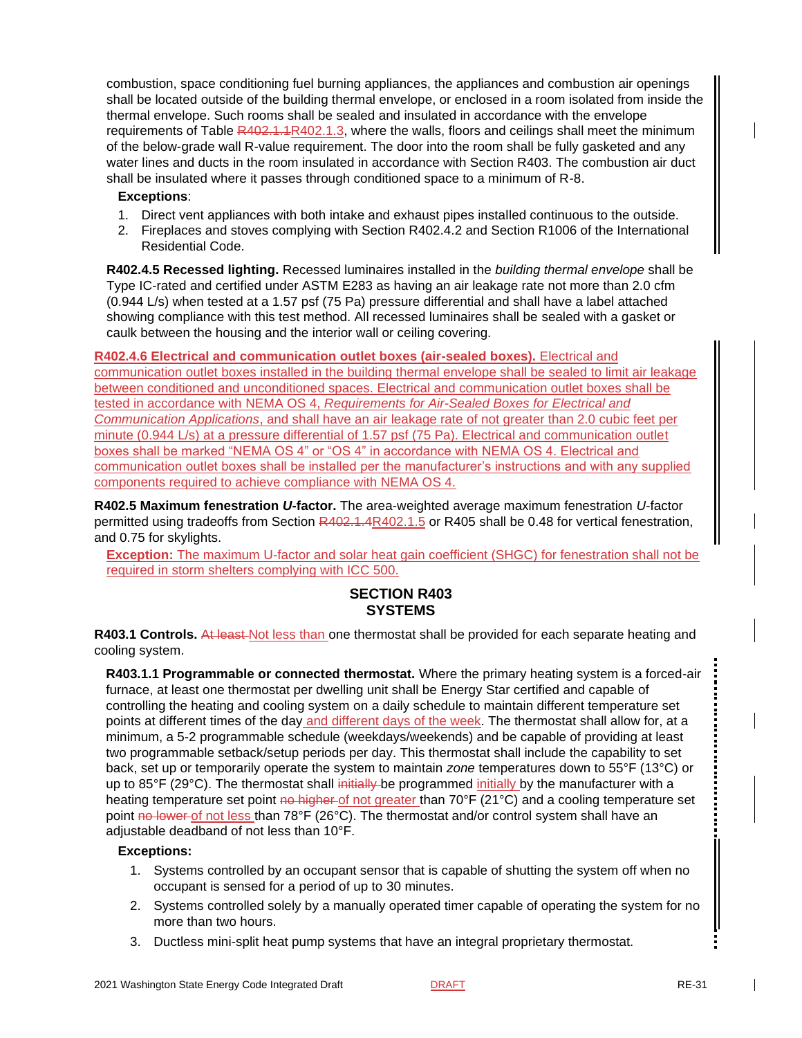combustion, space conditioning fuel burning appliances, the appliances and combustion air openings shall be located outside of the building thermal envelope, or enclosed in a room isolated from inside the thermal envelope. Such rooms shall be sealed and insulated in accordance with the envelope requirements of Table R402.1.1R402.1.3, where the walls, floors and ceilings shall meet the minimum of the below-grade wall R-value requirement. The door into the room shall be fully gasketed and any water lines and ducts in the room insulated in accordance with Section R403. The combustion air duct shall be insulated where it passes through conditioned space to a minimum of R-8.

#### **Exceptions**:

- 1. Direct vent appliances with both intake and exhaust pipes installed continuous to the outside.
- 2. Fireplaces and stoves complying with Section R402.4.2 and Section R1006 of the International Residential Code.

**R402.4.5 Recessed lighting.** Recessed luminaires installed in the *building thermal envelope* shall be Type IC-rated and certified under ASTM E283 as having an air leakage rate not more than 2.0 cfm (0.944 L/s) when tested at a 1.57 psf (75 Pa) pressure differential and shall have a label attached showing compliance with this test method. All recessed luminaires shall be sealed with a gasket or caulk between the housing and the interior wall or ceiling covering.

**R402.4.6 Electrical and communication outlet boxes (air-sealed boxes).** Electrical and communication outlet boxes installed in the building thermal envelope shall be sealed to limit air leakage between conditioned and unconditioned spaces. Electrical and communication outlet boxes shall be tested in accordance with NEMA OS 4, *Requirements for Air-Sealed Boxes for Electrical and Communication Applications*, and shall have an air leakage rate of not greater than 2.0 cubic feet per minute (0.944 L/s) at a pressure differential of 1.57 psf (75 Pa). Electrical and communication outlet boxes shall be marked "NEMA OS 4" or "OS 4" in accordance with NEMA OS 4. Electrical and communication outlet boxes shall be installed per the manufacturer's instructions and with any supplied components required to achieve compliance with NEMA OS 4.

**R402.5 Maximum fenestration** *U***-factor.** The area-weighted average maximum fenestration *U*-factor permitted using tradeoffs from Section R402.1.4R402.1.5 or R405 shall be 0.48 for vertical fenestration, and 0.75 for skylights.

**Exception:** The maximum U-factor and solar heat gain coefficient (SHGC) for fenestration shall not be required in storm shelters complying with ICC 500.

#### **SECTION R403 SYSTEMS**

**R403.1 Controls.** At least Not less than one thermostat shall be provided for each separate heating and cooling system.

**R403.1.1 Programmable or connected thermostat.** Where the primary heating system is a forced-air furnace, at least one thermostat per dwelling unit shall be Energy Star certified and capable of controlling the heating and cooling system on a daily schedule to maintain different temperature set points at different times of the day and different days of the week. The thermostat shall allow for, at a minimum, a 5-2 programmable schedule (weekdays/weekends) and be capable of providing at least two programmable setback/setup periods per day. This thermostat shall include the capability to set back, set up or temporarily operate the system to maintain *zone* temperatures down to 55°F (13°C) or up to 85°F (29°C). The thermostat shall initially be programmed initially by the manufacturer with a heating temperature set point no higher of not greater than 70°F (21°C) and a cooling temperature set point no lower of not less than 78°F (26°C). The thermostat and/or control system shall have an adjustable deadband of not less than 10°F.

#### **Exceptions:**

- 1. Systems controlled by an occupant sensor that is capable of shutting the system off when no occupant is sensed for a period of up to 30 minutes.
- 2. Systems controlled solely by a manually operated timer capable of operating the system for no more than two hours.
- 3. Ductless mini-split heat pump systems that have an integral proprietary thermostat.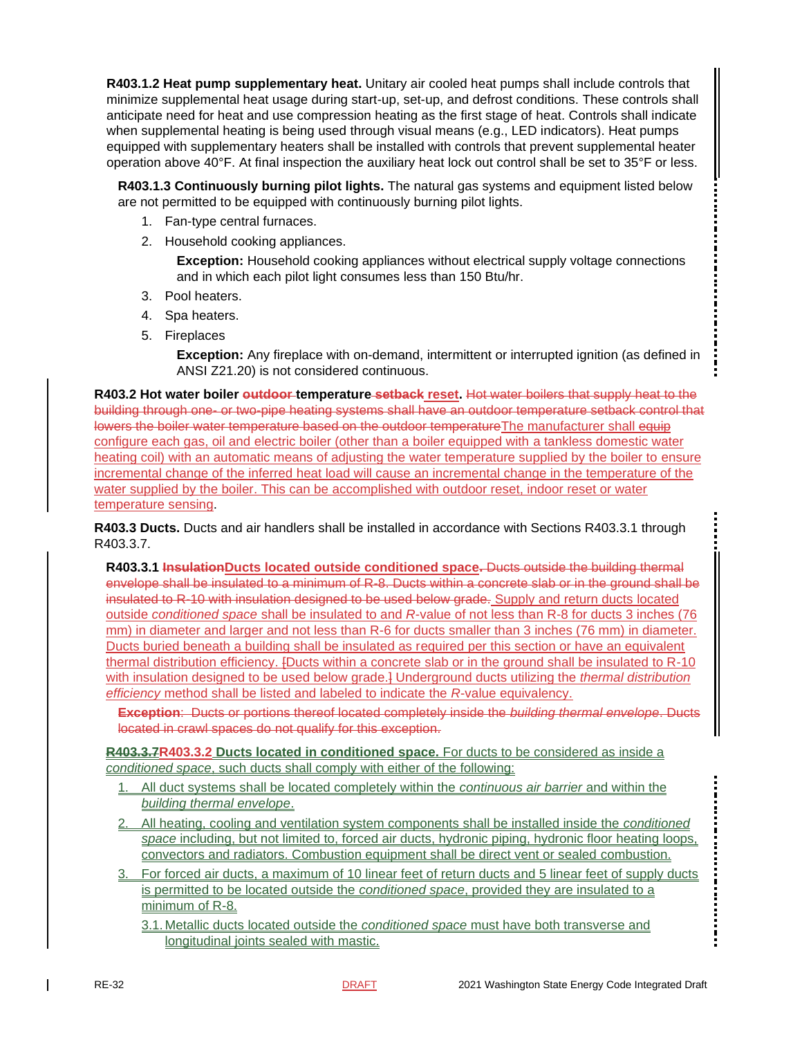**R403.1.2 Heat pump supplementary heat.** Unitary air cooled heat pumps shall include controls that minimize supplemental heat usage during start-up, set-up, and defrost conditions. These controls shall anticipate need for heat and use compression heating as the first stage of heat. Controls shall indicate when supplemental heating is being used through visual means (e.g., LED indicators). Heat pumps equipped with supplementary heaters shall be installed with controls that prevent supplemental heater operation above 40°F. At final inspection the auxiliary heat lock out control shall be set to 35°F or less.

**R403.1.3 Continuously burning pilot lights.** The natural gas systems and equipment listed below are not permitted to be equipped with continuously burning pilot lights.

- 1. Fan-type central furnaces.
- 2. Household cooking appliances.

**Exception:** Household cooking appliances without electrical supply voltage connections and in which each pilot light consumes less than 150 Btu/hr.

- 3. Pool heaters.
- 4. Spa heaters.
- 5. Fireplaces

**Exception:** Any fireplace with on-demand, intermittent or interrupted ignition (as defined in ANSI Z21.20) is not considered continuous.

**R403.2 Hot water boiler outdoor temperature setback reset.** Hot water boilers that supply heat to the building through one- or two-pipe heating systems shall have an outdoor temperature setback control that lowers the boiler water temperature based on the outdoor temperatureThe manufacturer shall equip configure each gas, oil and electric boiler (other than a boiler equipped with a tankless domestic water heating coil) with an automatic means of adjusting the water temperature supplied by the boiler to ensure incremental change of the inferred heat load will cause an incremental change in the temperature of the water supplied by the boiler. This can be accomplished with outdoor reset, indoor reset or water temperature sensing.

**R403.3 Ducts.** Ducts and air handlers shall be installed in accordance with Sections R403.3.1 through R403.3.7.

**R403.3.1 InsulationDucts located outside conditioned space.** Ducts outside the building thermal envelope shall be insulated to a minimum of R-8. Ducts within a concrete slab or in the ground shall be insulated to R-10 with insulation designed to be used below grade. Supply and return ducts located outside *conditioned space* shall be insulated to and *R*-value of not less than R-8 for ducts 3 inches (76 mm) in diameter and larger and not less than R-6 for ducts smaller than 3 inches (76 mm) in diameter. Ducts buried beneath a building shall be insulated as required per this section or have an equivalent thermal distribution efficiency. [Ducts within a concrete slab or in the ground shall be insulated to R-10 with insulation designed to be used below grade.] Underground ducts utilizing the *thermal distribution efficiency* method shall be listed and labeled to indicate the *R*-value equivalency.

**Exception**: Ducts or portions thereof located completely inside the *building thermal envelope*. Ducts located in crawl spaces do not qualify for this exception.

**R403.3.7R403.3.2 Ducts located in conditioned space.** For ducts to be considered as inside a *conditioned space*, such ducts shall comply with either of the following:

- 1. All duct systems shall be located completely within the *continuous air barrier* and within the *building thermal envelope*.
- 2. All heating, cooling and ventilation system components shall be installed inside the *conditioned space* including, but not limited to, forced air ducts, hydronic piping, hydronic floor heating loops, convectors and radiators. Combustion equipment shall be direct vent or sealed combustion.
- 3. For forced air ducts, a maximum of 10 linear feet of return ducts and 5 linear feet of supply ducts is permitted to be located outside the *conditioned space*, provided they are insulated to a minimum of R-8.
	- 3.1. Metallic ducts located outside the *conditioned space* must have both transverse and longitudinal joints sealed with mastic.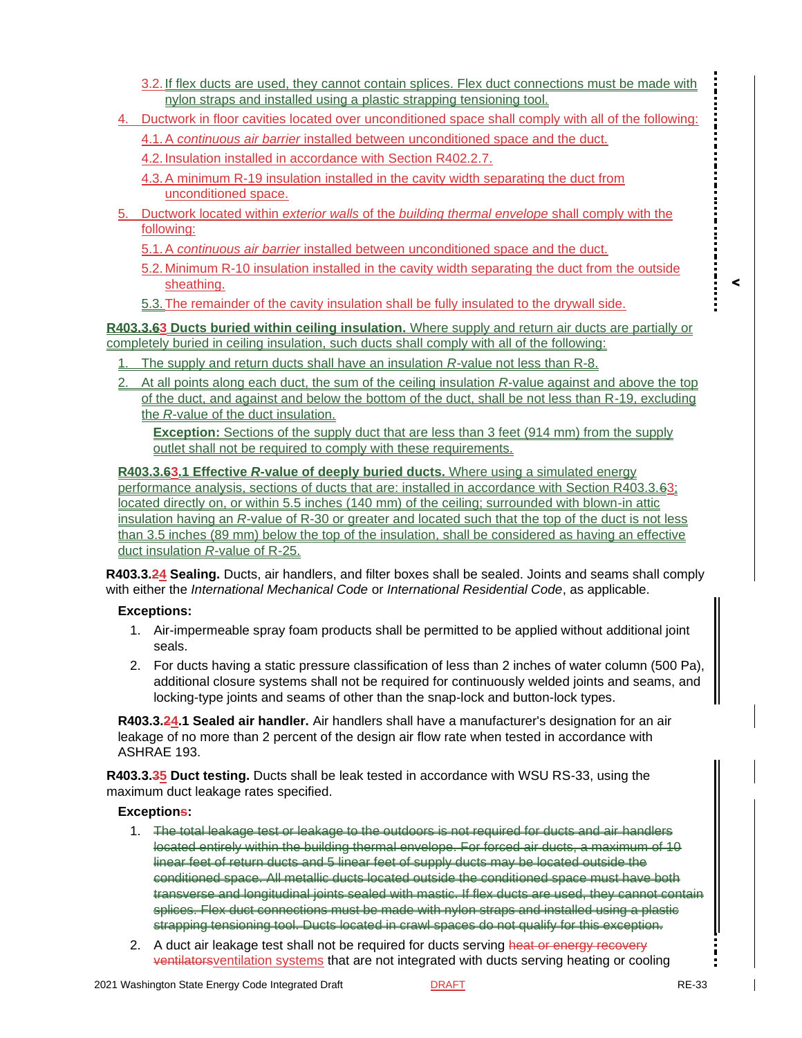- 3.2. If flex ducts are used, they cannot contain splices. Flex duct connections must be made with nylon straps and installed using a plastic strapping tensioning tool.
- 4. Ductwork in floor cavities located over unconditioned space shall comply with all of the following:
	- 4.1.A *continuous air barrier* installed between unconditioned space and the duct.
	- 4.2. Insulation installed in accordance with Section R402.2.7.
	- 4.3.A minimum R-19 insulation installed in the cavity width separating the duct from unconditioned space.
- 5. Ductwork located within *exterior walls* of the *building thermal envelope* shall comply with the following:
	- 5.1.A *continuous air barrier* installed between unconditioned space and the duct.
	- 5.2. Minimum R-10 insulation installed in the cavity width separating the duct from the outside sheathing.
	- 5.3.The remainder of the cavity insulation shall be fully insulated to the drywall side.

**R403.3.63 Ducts buried within ceiling insulation.** Where supply and return air ducts are partially or completely buried in ceiling insulation, such ducts shall comply with all of the following:

- 1. The supply and return ducts shall have an insulation *R*-value not less than R-8.
- 2. At all points along each duct, the sum of the ceiling insulation *R*-value against and above the top of the duct, and against and below the bottom of the duct, shall be not less than R-19, excluding the *R*-value of the duct insulation.

**Exception:** Sections of the supply duct that are less than 3 feet (914 mm) from the supply outlet shall not be required to comply with these requirements.

**R403.3.63.1 Effective** *R***-value of deeply buried ducts.** Where using a simulated energy performance analysis, sections of ducts that are: installed in accordance with Section R403.3.63; located directly on, or within 5.5 inches (140 mm) of the ceiling; surrounded with blown-in attic insulation having an *R*-value of R-30 or greater and located such that the top of the duct is not less than 3.5 inches (89 mm) below the top of the insulation, shall be considered as having an effective duct insulation *R*-value of R-25.

**R403.3.24 Sealing.** Ducts, air handlers, and filter boxes shall be sealed. Joints and seams shall comply with either the *International Mechanical Code* or *International Residential Code*, as applicable.

#### **Exceptions:**

- 1. Air-impermeable spray foam products shall be permitted to be applied without additional joint seals.
- 2. For ducts having a static pressure classification of less than 2 inches of water column (500 Pa), additional closure systems shall not be required for continuously welded joints and seams, and locking-type joints and seams of other than the snap-lock and button-lock types.

**R403.3.24.1 Sealed air handler.** Air handlers shall have a manufacturer's designation for an air leakage of no more than 2 percent of the design air flow rate when tested in accordance with ASHRAE 193.

**R403.3.35 Duct testing.** Ducts shall be leak tested in accordance with WSU RS-33, using the maximum duct leakage rates specified.

#### **Exceptions:**

- 1. The total leakage test or leakage to the outdoors is not required for ducts and air handlers located entirely within the building thermal envelope. For forced air ducts, a maximum of 10 linear feet of return ducts and 5 linear feet of supply ducts may be located outside the conditioned space. All metallic ducts located outside the conditioned space must have both transverse and longitudinal joints sealed with mastic. If flex ducts are used, they cannet contain splices. Flex duct connections must be made with nylon straps and installed using a plastic strapping tensioning tool. Ducts located in crawl spaces do not qualify for this exception.
- 2. A duct air leakage test shall not be required for ducts serving heat or energy recovery ventilatorsventilation systems that are not integrated with ducts serving heating or cooling

 $\prec$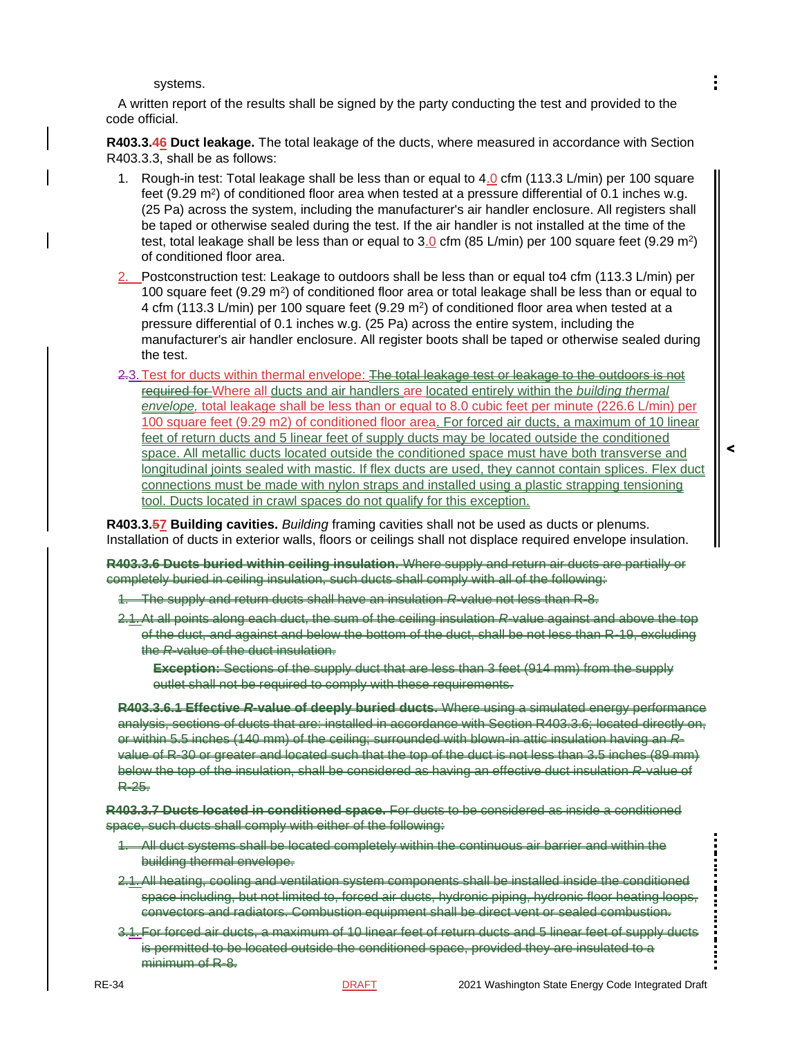systems.

A written report of the results shall be signed by the party conducting the test and provided to the code official.

**R403.3.46 Duct leakage.** The total leakage of the ducts, where measured in accordance with Section R403.3.3, shall be as follows:

- 1. Rough-in test: Total leakage shall be less than or equal to 4.0 cfm (113.3 L/min) per 100 square feet (9.29 m<sup>2</sup>) of conditioned floor area when tested at a pressure differential of 0.1 inches w.g. (25 Pa) across the system, including the manufacturer's air handler enclosure. All registers shall be taped or otherwise sealed during the test. If the air handler is not installed at the time of the test, total leakage shall be less than or equal to  $3.0$  cfm (85 L/min) per 100 square feet (9.29 m<sup>2</sup>) of conditioned floor area.
- 2. Postconstruction test: Leakage to outdoors shall be less than or equal to4 cfm (113.3 L/min) per 100 square feet (9.29 m<sup>2</sup>) of conditioned floor area or total leakage shall be less than or equal to 4 cfm (113.3 L/min) per 100 square feet (9.29 m<sup>2</sup>) of conditioned floor area when tested at a pressure differential of 0.1 inches w.g. (25 Pa) across the entire system, including the manufacturer's air handler enclosure. All register boots shall be taped or otherwise sealed during the test.
- 2.3. Test for ducts within thermal envelope: The total leakage test or leakage to the outdoors is not required for Where all ducts and air handlers are located entirely within the *building thermal envelope,* total leakage shall be less than or equal to 8.0 cubic feet per minute (226.6 L/min) per 100 square feet (9.29 m2) of conditioned floor area. For forced air ducts, a maximum of 10 linear feet of return ducts and 5 linear feet of supply ducts may be located outside the conditioned space. All metallic ducts located outside the conditioned space must have both transverse and longitudinal joints sealed with mastic. If flex ducts are used, they cannot contain splices. Flex duct connections must be made with nylon straps and installed using a plastic strapping tensioning tool. Ducts located in crawl spaces do not qualify for this exception.

**R403.3.57 Building cavities.** *Building* framing cavities shall not be used as ducts or plenums. Installation of ducts in exterior walls, floors or ceilings shall not displace required envelope insulation.

**R403.3.6 Ducts buried within ceiling insulation.** Where supply and return air ducts are partially or completely buried in ceiling insulation, such ducts shall comply with all of the following:

- 1. The supply and return ducts shall have an insulation *R*-value not less than R-8.
- 2.1.At all points along each duct, the sum of the ceiling insulation *R*-value against and above the top of the duct, and against and below the bottom of the duct, shall be not less than R-19, excluding the *R*-value of the duct insulation.

**Exception:** Sections of the supply duct that are less than 3 feet (914 mm) from the supply outlet shall not be required to comply with these requirements.

**R403.3.6.1 Effective** *R***-value of deeply buried ducts.** Where using a simulated energy performance analysis, sections of ducts that are: installed in accordance with Section R403.3.6; located directly on, or within 5.5 inches (140 mm) of the ceiling; surrounded with blown-in attic insulation having an *R*value of R-30 or greater and located such that the top of the duct is not less than 3.5 inches (89 mm) below the top of the insulation, shall be considered as having an effective duct insulation *R*-value of R-25.

**R403.3.7 Ducts located in conditioned space.** For ducts to be considered as inside a conditioned space, such ducts shall comply with either of the following:

- 1. All duct systems shall be located completely within the continuous air barrier and within the building thermal envelope.
- 2.1.All heating, cooling and ventilation system components shall be installed inside the conditioned space including, but not limited to, forced air ducts, hydronic piping, hydronic floor heating loops, convectors and radiators. Combustion equipment shall be direct vent or sealed combustion.
- 3.1.For forced air ducts, a maximum of 10 linear feet of return ducts and 5 linear feet of supply ducts is permitted to be located outside the conditioned space, provided they are insulated to a minimum of R-8.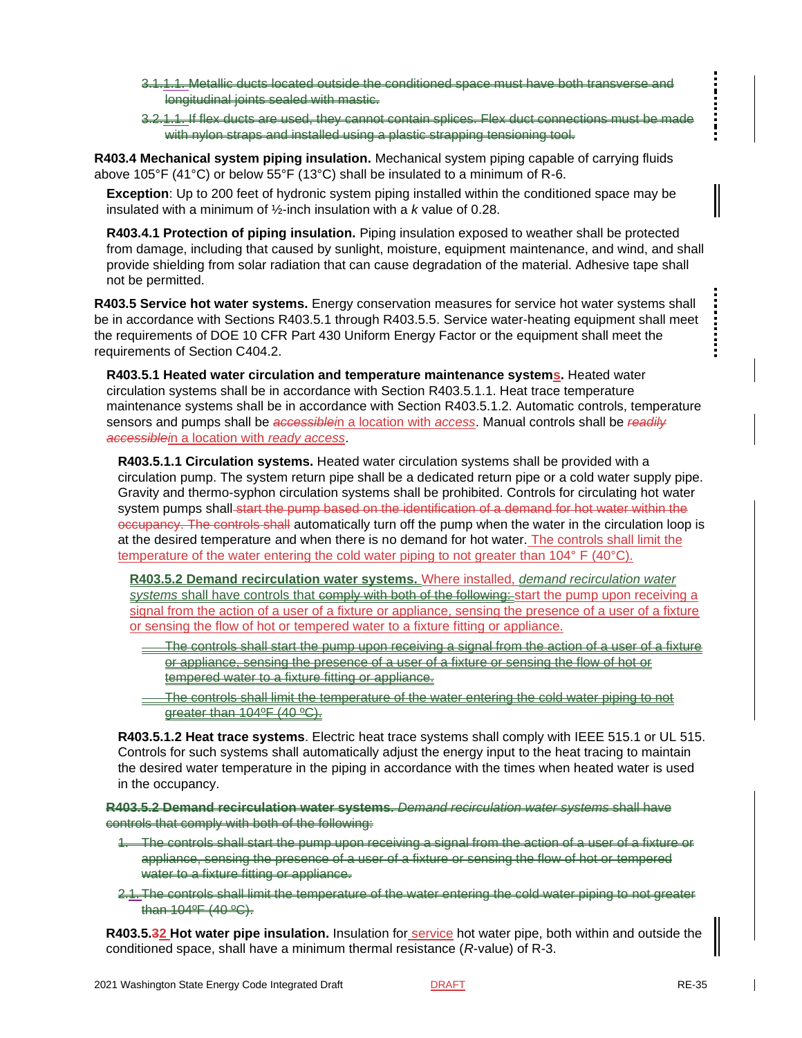- 3.1.1.1. Metallic ducts located outside the conditioned space must have both transverse and longitudinal joints sealed with mastic.
- If flex ducts are used, they cannot contain splices. Flex duct connections with nylon straps and installed using a plastic strapping tensioning tool.

**R403.4 Mechanical system piping insulation.** Mechanical system piping capable of carrying fluids above 105°F (41°C) or below 55°F (13°C) shall be insulated to a minimum of R-6.

**Exception**: Up to 200 feet of hydronic system piping installed within the conditioned space may be insulated with a minimum of ½-inch insulation with a *k* value of 0.28.

**R403.4.1 Protection of piping insulation.** Piping insulation exposed to weather shall be protected from damage, including that caused by sunlight, moisture, equipment maintenance, and wind, and shall provide shielding from solar radiation that can cause degradation of the material. Adhesive tape shall not be permitted.

**R403.5 Service hot water systems.** Energy conservation measures for service hot water systems shall be in accordance with Sections R403.5.1 through R403.5.5. Service water-heating equipment shall meet the requirements of DOE 10 CFR Part 430 Uniform Energy Factor or the equipment shall meet the requirements of Section C404.2.

**R403.5.1 Heated water circulation and temperature maintenance systems.** Heated water circulation systems shall be in accordance with Section R403.5.1.1. Heat trace temperature maintenance systems shall be in accordance with Section R403.5.1.2. Automatic controls, temperature sensors and pumps shall be *accessiblei*n a location with *access*. Manual controls shall be *readily accessiblei*n a location with *ready access*.

**R403.5.1.1 Circulation systems.** Heated water circulation systems shall be provided with a circulation pump. The system return pipe shall be a dedicated return pipe or a cold water supply pipe. Gravity and thermo-syphon circulation systems shall be prohibited. Controls for circulating hot water system pumps shall start the pump based on the identification of a demand for hot water within the occupancy. The controls shall automatically turn off the pump when the water in the circulation loop is at the desired temperature and when there is no demand for hot water. The controls shall limit the temperature of the water entering the cold water piping to not greater than 104° F (40°C).

**R403.5.2 Demand recirculation water systems.** Where installed, *demand recirculation water systems* shall have controls that comply with both of the following: start the pump upon receiving a signal from the action of a user of a fixture or appliance, sensing the presence of a user of a fixture or sensing the flow of hot or tempered water to a fixture fitting or appliance.

- The controls shall start the pump upon receiving a signal from the action of a user of a fixture or appliance, sensing the presence of a user of a fixture or sensing the flow of hot or tempered water to a fixture fitting or appliance.
- The controls shall limit the temperature of the water entering the cold water piping to not greater than 104°F (40 °C).

**R403.5.1.2 Heat trace systems**. Electric heat trace systems shall comply with IEEE 515.1 or UL 515. Controls for such systems shall automatically adjust the energy input to the heat tracing to maintain the desired water temperature in the piping in accordance with the times when heated water is used in the occupancy.

**R403.5.2 Demand recirculation water systems.** *Demand recirculation water systems* shall have controls that comply with both of the following:

- The controls shall start the pump upon receiving a signal from the appliance, sensing the presence of a user of a fixture or sensing the flow of hot or tempered water to a fixture fitting or appliance.
- 2.1.The controls shall limit the temperature of the water entering the cold water piping to not greater than 104ºF (40 ºC).

**R403.5.32 Hot water pipe insulation.** Insulation for service hot water pipe, both within and outside the conditioned space, shall have a minimum thermal resistance (*R*-value) of R-3.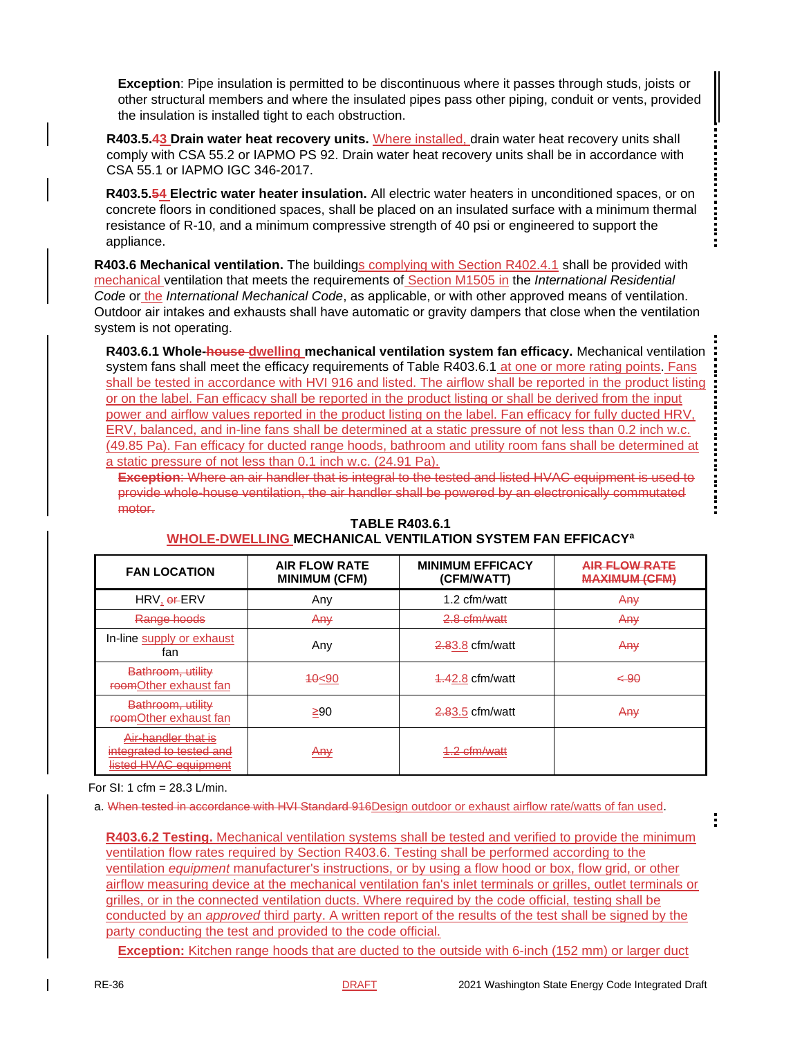**Exception**: Pipe insulation is permitted to be discontinuous where it passes through studs, joists or other structural members and where the insulated pipes pass other piping, conduit or vents, provided the insulation is installed tight to each obstruction.

**R403.5.43 Drain water heat recovery units.** Where installed, drain water heat recovery units shall comply with CSA 55.2 or IAPMO PS 92. Drain water heat recovery units shall be in accordance with CSA 55.1 or IAPMO IGC 346-2017.

**R403.5.54 Electric water heater insulation.** All electric water heaters in unconditioned spaces, or on concrete floors in conditioned spaces, shall be placed on an insulated surface with a minimum thermal resistance of R-10, and a minimum compressive strength of 40 psi or engineered to support the appliance.

**R403.6 Mechanical ventilation.** The buildings complying with Section R402.4.1 shall be provided with mechanical ventilation that meets the requirements of Section M1505 in the *International Residential Code* or the *International Mechanical Code*, as applicable, or with other approved means of ventilation. Outdoor air intakes and exhausts shall have automatic or gravity dampers that close when the ventilation system is not operating.

**R403.6.1 Whole-house dwelling mechanical ventilation system fan efficacy.** Mechanical ventilation system fans shall meet the efficacy requirements of Table R403.6.1 at one or more rating points. Fans shall be tested in accordance with HVI 916 and listed. The airflow shall be reported in the product listing or on the label. Fan efficacy shall be reported in the product listing or shall be derived from the input power and airflow values reported in the product listing on the label. Fan efficacy for fully ducted HRV, ERV, balanced, and in-line fans shall be determined at a static pressure of not less than 0.2 inch w.c. (49.85 Pa). Fan efficacy for ducted range hoods, bathroom and utility room fans shall be determined at a static pressure of not less than 0.1 inch w.c. (24.91 Pa).

**Exception**: Where an air handler that is integral to the tested and listed HVAC equipment is used to provide whole-house ventilation, the air handler shall be powered by an electronically commutated motor.

| <b>FAN LOCATION</b>                                                      | <b>AIR FLOW RATE</b><br><b>MINIMUM (CFM)</b> | <b>MINIMUM EFFICACY</b><br>(CFM/WATT) | <u>AID EI AW DATE</u><br><b>MAXIMUM (CFM)</b> |
|--------------------------------------------------------------------------|----------------------------------------------|---------------------------------------|-----------------------------------------------|
| HRV, or ERV                                                              | Any                                          | 1.2 cfm/watt                          | Any                                           |
| Range hoods                                                              | Any                                          | 2.8 cfm/watt                          | Any                                           |
| In-line supply or exhaust<br>fan                                         | Any                                          | 2.83.8 cfm/watt                       | Any                                           |
| Bathroom, utility<br>roomOther exhaust fan                               | 40<90                                        | $4.42.8$ cfm/watt                     | $-90$                                         |
| Bathroom, utility<br>room Other exhaust fan                              | ≥90                                          | $2.83.5$ cfm/watt                     | Any                                           |
| Air-handler that is<br>integrated to tested and<br>listed HVAC equipment | Any                                          | 1.2 cfm/watt                          |                                               |

#### **TABLE R403.6.1 WHOLE-DWELLING MECHANICAL VENTILATION SYSTEM FAN EFFICACY<sup>a</sup>**

For SI: 1 cfm = 28.3 L/min.

a. When tested in accordance with HVI Standard 916Design outdoor or exhaust airflow rate/watts of fan used.

**R403.6.2 Testing.** Mechanical ventilation systems shall be tested and verified to provide the minimum ventilation flow rates required by Section R403.6. Testing shall be performed according to the ventilation *equipment* manufacturer's instructions, or by using a flow hood or box, flow grid, or other airflow measuring device at the mechanical ventilation fan's inlet terminals or grilles, outlet terminals or grilles, or in the connected ventilation ducts. Where required by the code official, testing shall be conducted by an *approved* third party. A written report of the results of the test shall be signed by the party conducting the test and provided to the code official.

**Exception:** Kitchen range hoods that are ducted to the outside with 6-inch (152 mm) or larger duct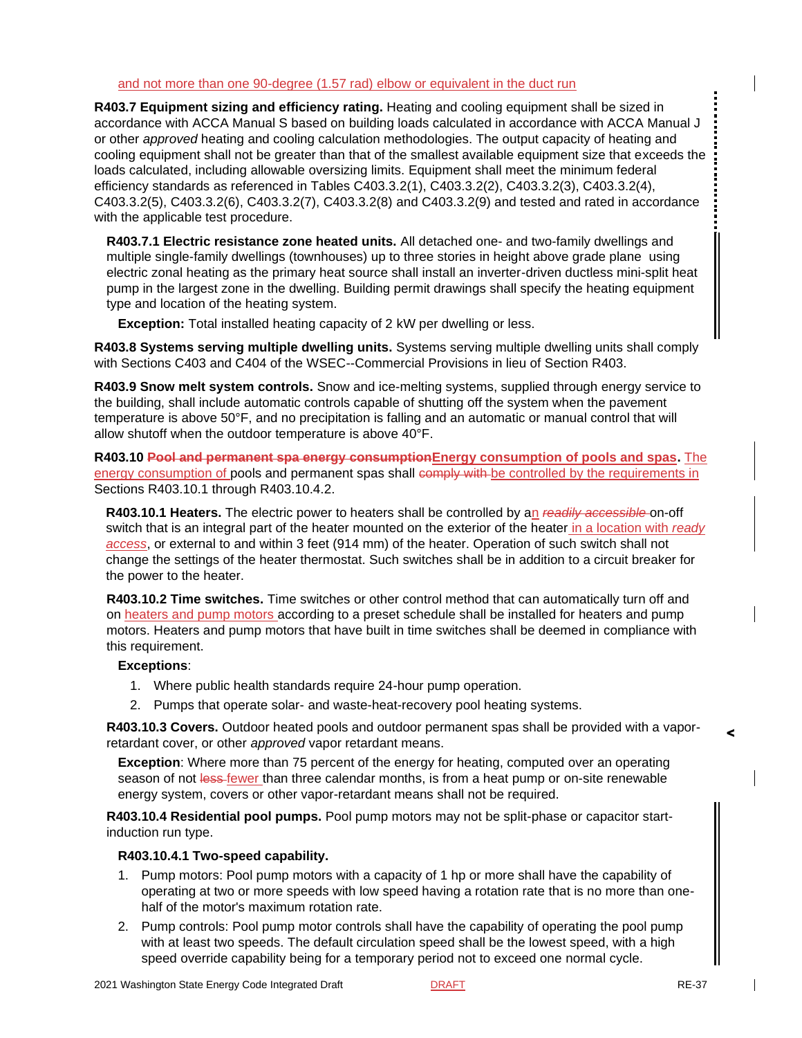#### and not more than one 90-degree (1.57 rad) elbow or equivalent in the duct run

**R403.7 Equipment sizing and efficiency rating.** Heating and cooling equipment shall be sized in accordance with ACCA Manual S based on building loads calculated in accordance with ACCA Manual J or other *approved* heating and cooling calculation methodologies. The output capacity of heating and cooling equipment shall not be greater than that of the smallest available equipment size that exceeds the loads calculated, including allowable oversizing limits. Equipment shall meet the minimum federal efficiency standards as referenced in Tables C403.3.2(1), C403.3.2(2), C403.3.2(3), C403.3.2(4), C403.3.2(5), C403.3.2(6), C403.3.2(7), C403.3.2(8) and C403.3.2(9) and tested and rated in accordance with the applicable test procedure.

**R403.7.1 Electric resistance zone heated units.** All detached one- and two-family dwellings and multiple single-family dwellings (townhouses) up to three stories in height above grade plane using electric zonal heating as the primary heat source shall install an inverter-driven ductless mini-split heat pump in the largest zone in the dwelling. Building permit drawings shall specify the heating equipment type and location of the heating system.

**Exception:** Total installed heating capacity of 2 kW per dwelling or less.

**R403.8 Systems serving multiple dwelling units.** Systems serving multiple dwelling units shall comply with Sections C403 and C404 of the WSEC--Commercial Provisions in lieu of Section R403.

**R403.9 Snow melt system controls.** Snow and ice-melting systems, supplied through energy service to the building, shall include automatic controls capable of shutting off the system when the pavement temperature is above 50°F, and no precipitation is falling and an automatic or manual control that will allow shutoff when the outdoor temperature is above 40°F.

**R403.10 Pool and permanent spa energy consumptionEnergy consumption of pools and spas.** The energy consumption of pools and permanent spas shall comply with be controlled by the requirements in Sections R403.10.1 through R403.10.4.2.

**R403.10.1 Heaters.** The electric power to heaters shall be controlled by an *readily accessible* on-off switch that is an integral part of the heater mounted on the exterior of the heater in a location with *ready access*, or external to and within 3 feet (914 mm) of the heater. Operation of such switch shall not change the settings of the heater thermostat. Such switches shall be in addition to a circuit breaker for the power to the heater.

**R403.10.2 Time switches.** Time switches or other control method that can automatically turn off and on heaters and pump motors according to a preset schedule shall be installed for heaters and pump motors. Heaters and pump motors that have built in time switches shall be deemed in compliance with this requirement.

#### **Exceptions**:

- 1. Where public health standards require 24-hour pump operation.
- 2. Pumps that operate solar- and waste-heat-recovery pool heating systems.

**R403.10.3 Covers.** Outdoor heated pools and outdoor permanent spas shall be provided with a vaporretardant cover, or other *approved* vapor retardant means.

**Exception**: Where more than 75 percent of the energy for heating, computed over an operating season of not less-fewer than three calendar months, is from a heat pump or on-site renewable energy system, covers or other vapor-retardant means shall not be required.

**R403.10.4 Residential pool pumps.** Pool pump motors may not be split-phase or capacitor startinduction run type.

#### **R403.10.4.1 Two-speed capability.**

- 1. Pump motors: Pool pump motors with a capacity of 1 hp or more shall have the capability of operating at two or more speeds with low speed having a rotation rate that is no more than onehalf of the motor's maximum rotation rate.
- 2. Pump controls: Pool pump motor controls shall have the capability of operating the pool pump with at least two speeds. The default circulation speed shall be the lowest speed, with a high speed override capability being for a temporary period not to exceed one normal cycle.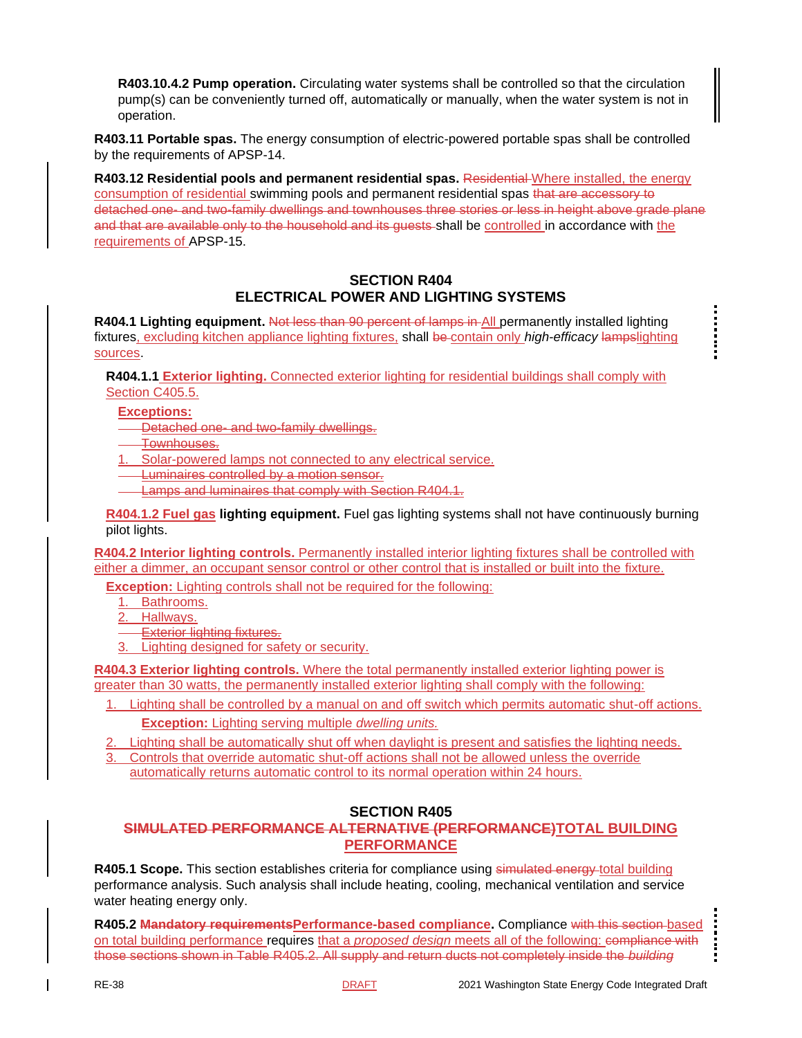**R403.10.4.2 Pump operation.** Circulating water systems shall be controlled so that the circulation pump(s) can be conveniently turned off, automatically or manually, when the water system is not in operation.

**R403.11 Portable spas.** The energy consumption of electric-powered portable spas shall be controlled by the requirements of APSP-14.

**R403.12 Residential pools and permanent residential spas.** Residential Where installed, the energy consumption of residential swimming pools and permanent residential spas that are accessory to detached one- and two-family dwellings and townhouses three stories or less in height above grade plane and that are available only to the household and its guests shall be controlled in accordance with the requirements of APSP-15.

#### **SECTION R404 ELECTRICAL POWER AND LIGHTING SYSTEMS**

**R404.1 Lighting equipment.** Not less than 90 percent of lamps in All permanently installed lighting fixtures, excluding kitchen appliance lighting fixtures, shall be contain only *high-efficacy* lampslighting sources.

**R404.1.1 Exterior lighting.** Connected exterior lighting for residential buildings shall comply with Section C405.5.

**Exceptions:**

- **Detached one- and two-family dwellings.**
- Townhouses.
- 1. Solar-powered lamps not connected to any electrical service.
- Luminaires controlled by a motion sensor.
- Lamps and luminaires that comply with Section R404.1.

**R404.1.2 Fuel gas lighting equipment.** Fuel gas lighting systems shall not have continuously burning pilot lights.

**R404.2 Interior lighting controls.** Permanently installed interior lighting fixtures shall be controlled with either a dimmer, an occupant sensor control or other control that is installed or built into the fixture.

**Exception:** Lighting controls shall not be required for the following:

- 1. Bathrooms.
- 2. Hallways.
- Exterior lighting fixtures.
- 3. Lighting designed for safety or security.

**R404.3 Exterior lighting controls.** Where the total permanently installed exterior lighting power is greater than 30 watts, the permanently installed exterior lighting shall comply with the following:

1. Lighting shall be controlled by a manual on and off switch which permits automatic shut-off actions.

**Exception:** Lighting serving multiple *dwelling units.*

2. Lighting shall be automatically shut off when daylight is present and satisfies the lighting needs.

3. Controls that override automatic shut-off actions shall not be allowed unless the override automatically returns automatic control to its normal operation within 24 hours.

#### **SECTION R405**

#### **SIMULATED PERFORMANCE ALTERNATIVE (PERFORMANCE)TOTAL BUILDING PERFORMANCE**

R405.1 Scope. This section establishes criteria for compliance using simulated energy total building performance analysis. Such analysis shall include heating, cooling, mechanical ventilation and service water heating energy only.

**R405.2 Mandatory requirementsPerformance-based compliance.** Compliance with this section based on total building performance requires that a *proposed design* meets all of the following: compliance with those sections shown in Table R405.2. All supply and return ducts not completely inside the *building*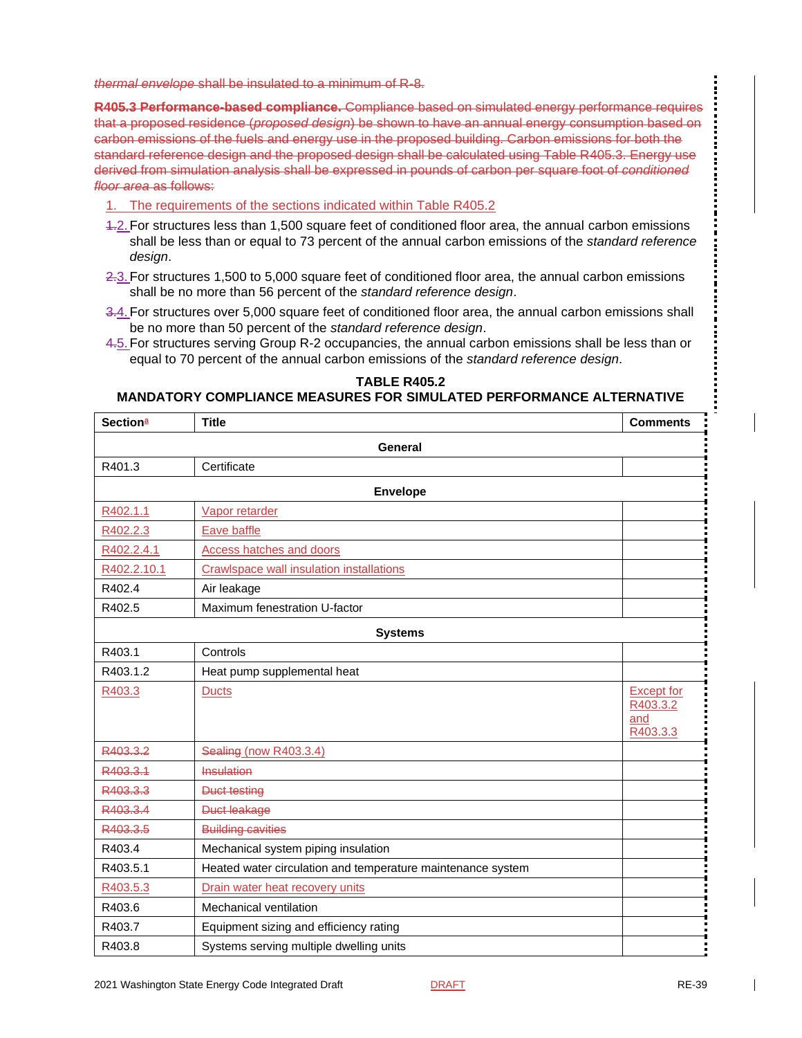*thermal envelope* shall be insulated to a minimum of R-8.

**R405.3 Performance-based compliance.** Compliance based on simulated energy performance requires that a proposed residence (*proposed design*) be shown to have an annual energy consumption based on carbon emissions of the fuels and energy use in the proposed building. Carbon emissions for both the standard reference design and the proposed design shall be calculated using Table R405.3. Energy use derived from simulation analysis shall be expressed in pounds of carbon per square foot of *conditioned floor area* as follows:

#### 1. The requirements of the sections indicated within Table R405.2

- 1.2.For structures less than 1,500 square feet of conditioned floor area, the annual carbon emissions shall be less than or equal to 73 percent of the annual carbon emissions of the *standard reference design*.
- 2.3.For structures 1,500 to 5,000 square feet of conditioned floor area, the annual carbon emissions shall be no more than 56 percent of the *standard reference design*.
- 3.4.For structures over 5,000 square feet of conditioned floor area, the annual carbon emissions shall be no more than 50 percent of the *standard reference design*.
- 4.5. For structures serving Group R-2 occupancies, the annual carbon emissions shall be less than or equal to 70 percent of the annual carbon emissions of the *standard reference design*.

| <b>Sectiona</b> | <b>Title</b>                                                | <b>Comments</b>                                  |
|-----------------|-------------------------------------------------------------|--------------------------------------------------|
|                 | General                                                     |                                                  |
| R401.3          | Certificate                                                 |                                                  |
|                 | <b>Envelope</b>                                             |                                                  |
| R402.1.1        | Vapor retarder                                              |                                                  |
| R402.2.3        | Eave baffle                                                 |                                                  |
| R402.2.4.1      | Access hatches and doors                                    |                                                  |
| R402.2.10.1     | Crawlspace wall insulation installations                    |                                                  |
| R402.4          | Air leakage                                                 |                                                  |
| R402.5          | Maximum fenestration U-factor                               |                                                  |
| <b>Systems</b>  |                                                             |                                                  |
| R403.1          | Controls                                                    |                                                  |
| R403.1.2        | Heat pump supplemental heat                                 |                                                  |
| R403.3          | <b>Ducts</b>                                                | <b>Except for</b><br>R403.3.2<br>and<br>R403.3.3 |
| R403.3.2        | Sealing (now R403.3.4)                                      |                                                  |
| R403.3.1        | Insulation                                                  |                                                  |
| R403.3.3        | <b>Duct testing</b>                                         |                                                  |
| R403.3.4        | Duct leakage                                                |                                                  |
| R403.3.5        | <b>Building cavities</b>                                    |                                                  |
| R403.4          | Mechanical system piping insulation                         |                                                  |
| R403.5.1        | Heated water circulation and temperature maintenance system |                                                  |
| R403.5.3        | Drain water heat recovery units                             |                                                  |
| R403.6          | Mechanical ventilation                                      |                                                  |
| R403.7          | Equipment sizing and efficiency rating                      |                                                  |
| R403.8          | Systems serving multiple dwelling units                     |                                                  |

#### **TABLE R405.2**

#### **MANDATORY COMPLIANCE MEASURES FOR SIMULATED PERFORMANCE ALTERNATIVE**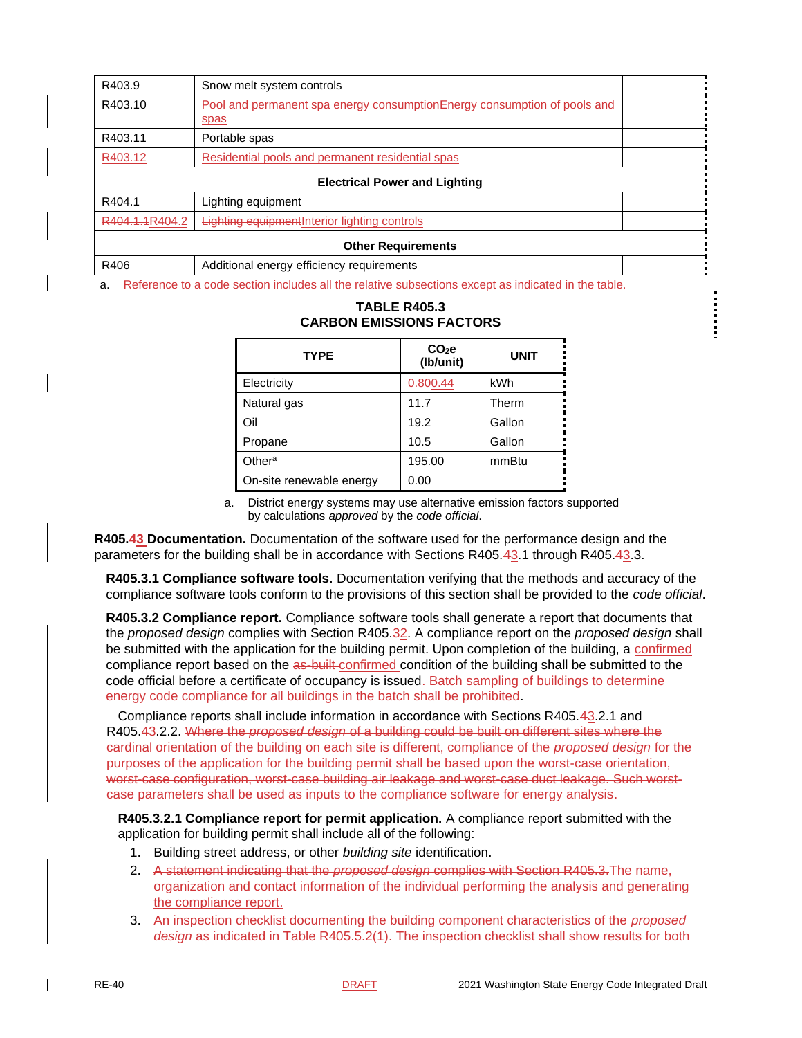| R403.9                               | Snow melt system controls                                                         |  |
|--------------------------------------|-----------------------------------------------------------------------------------|--|
| R403.10                              | Pool and permanent spa energy consumption Energy consumption of pools and<br>spas |  |
| R403.11                              | Portable spas                                                                     |  |
| R403.12                              | Residential pools and permanent residential spas                                  |  |
| <b>Electrical Power and Lighting</b> |                                                                                   |  |
| R404.1                               | Lighting equipment                                                                |  |
| R404.1.1R404.2                       | <b>Lighting equipmentInterior lighting controls</b>                               |  |
| <b>Other Requirements</b>            |                                                                                   |  |
| R406                                 | Additional energy efficiency requirements                                         |  |

a. Reference to a code section includes all the relative subsections except as indicated in the table.

| <u>UANDUN LIVIIJJIUNJ I AUTUNJ</u> |                                |             |  |
|------------------------------------|--------------------------------|-------------|--|
| <b>TYPE</b>                        | CO <sub>2</sub> e<br>(Ib/unit) | <b>UNIT</b> |  |
| Electricity                        | 0.800.44                       | kWh         |  |
| Natural gas                        | 11.7                           | Therm       |  |
| Oil                                | 19.2                           | Gallon      |  |
| Propane                            | 10.5                           | Gallon      |  |
| Other <sup>a</sup>                 | 195.00                         | mmBtu       |  |
| On-site renewable energy           | 0.00                           |             |  |

#### **TABLE R405.3 CARBON EMISSIONS FACTORS**

a. District energy systems may use alternative emission factors supported by calculations *approved* by the *code official*.

**R405.43 Documentation.** Documentation of the software used for the performance design and the parameters for the building shall be in accordance with Sections R405.43.1 through R405.43.3.

**R405.3.1 Compliance software tools.** Documentation verifying that the methods and accuracy of the compliance software tools conform to the provisions of this section shall be provided to the *code official*.

**R405.3.2 Compliance report.** Compliance software tools shall generate a report that documents that the *proposed design* complies with Section R405.32. A compliance report on the *proposed design* shall be submitted with the application for the building permit. Upon completion of the building, a confirmed compliance report based on the as-built-confirmed condition of the building shall be submitted to the code official before a certificate of occupancy is issued. Batch sampling of buildings to determine energy code compliance for all buildings in the batch shall be prohibited.

Compliance reports shall include information in accordance with Sections R405.43.2.1 and R405.43.2.2. Where the *proposed design* of a building could be built on different sites where the cardinal orientation of the building on each site is different, compliance of the *proposed design* for the purposes of the application for the building permit shall be based upon the worst-case orientation, worst-case configuration, worst-case building air leakage and worst-case duct leakage. Such worstcase parameters shall be used as inputs to the compliance software for energy analysis.

**R405.3.2.1 Compliance report for permit application.** A compliance report submitted with the application for building permit shall include all of the following:

- 1. Building street address, or other *building site* identification.
- 2. A statement indicating that the *proposed design* complies with Section R405.3.The name, organization and contact information of the individual performing the analysis and generating the compliance report.
- 3. An inspection checklist documenting the building component characteristics of the *proposed design* as indicated in Table R405.5.2(1). The inspection checklist shall show results for both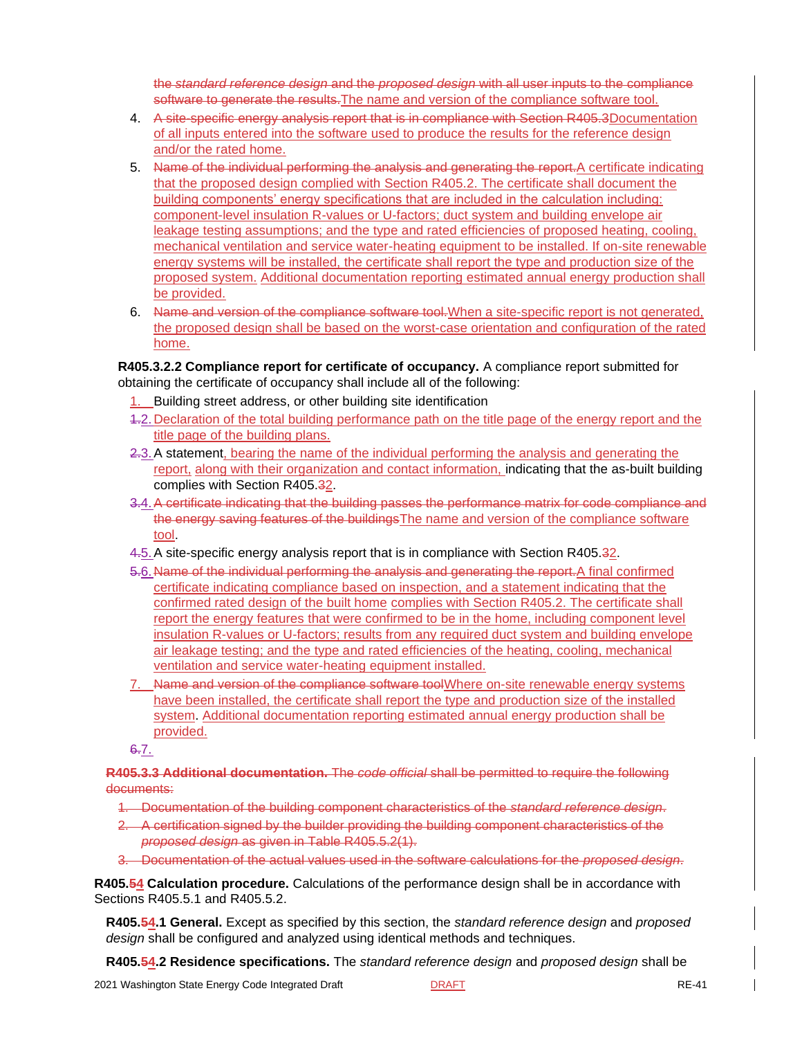the *standard reference design* and the *proposed design* with all user inputs to the compliance software to generate the results. The name and version of the compliance software tool.

- 4. A site-specific energy analysis report that is in compliance with Section R405.3Documentation of all inputs entered into the software used to produce the results for the reference design and/or the rated home.
- 5. Name of the individual performing the analysis and generating the report.A certificate indicating that the proposed design complied with Section R405.2. The certificate shall document the building components' energy specifications that are included in the calculation including: component-level insulation R-values or U-factors; duct system and building envelope air leakage testing assumptions; and the type and rated efficiencies of proposed heating, cooling, mechanical ventilation and service water-heating equipment to be installed. If on-site renewable energy systems will be installed, the certificate shall report the type and production size of the proposed system. Additional documentation reporting estimated annual energy production shall be provided.
- 6. Name and version of the compliance software tool. When a site-specific report is not generated, the proposed design shall be based on the worst-case orientation and configuration of the rated home.

#### **R405.3.2.2 Compliance report for certificate of occupancy.** A compliance report submitted for obtaining the certificate of occupancy shall include all of the following:

- 1. Building street address, or other building site identification
- 1.2.Declaration of the total building performance path on the title page of the energy report and the title page of the building plans.
- 2.3.A statement, bearing the name of the individual performing the analysis and generating the report, along with their organization and contact information, indicating that the as-built building complies with Section R405.32.
- 3.4.A certificate indicating that the building passes the performance matrix for code compliance and the energy saving features of the buildings The name and version of the compliance software tool.
- 4.5.A site-specific energy analysis report that is in compliance with Section R405.32.
- 5.6.Name of the individual performing the analysis and generating the report.A final confirmed certificate indicating compliance based on inspection, and a statement indicating that the confirmed rated design of the built home complies with Section R405.2. The certificate shall report the energy features that were confirmed to be in the home, including component level insulation R-values or U-factors; results from any required duct system and building envelope air leakage testing; and the type and rated efficiencies of the heating, cooling, mechanical ventilation and service water-heating equipment installed.
- 7. Name and version of the compliance software toolWhere on-site renewable energy systems have been installed, the certificate shall report the type and production size of the installed system. Additional documentation reporting estimated annual energy production shall be provided.

 $6.7.$ 

**R405.3.3 Additional documentation.** The *code official* shall be permitted to require the following documents:

- 1. Documentation of the building component characteristics of the *standard reference design*.
- 2. A certification signed by the builder providing the building component characteristics of the *proposed design* as given in Table R405.5.2(1).
- 3. Documentation of the actual values used in the software calculations for the *proposed design*.

**R405.54 Calculation procedure.** Calculations of the performance design shall be in accordance with Sections R405.5.1 and R405.5.2.

**R405.54.1 General.** Except as specified by this section, the *standard reference design* and *proposed design* shall be configured and analyzed using identical methods and techniques.

**R405.54.2 Residence specifications.** The *standard reference design* and *proposed design* shall be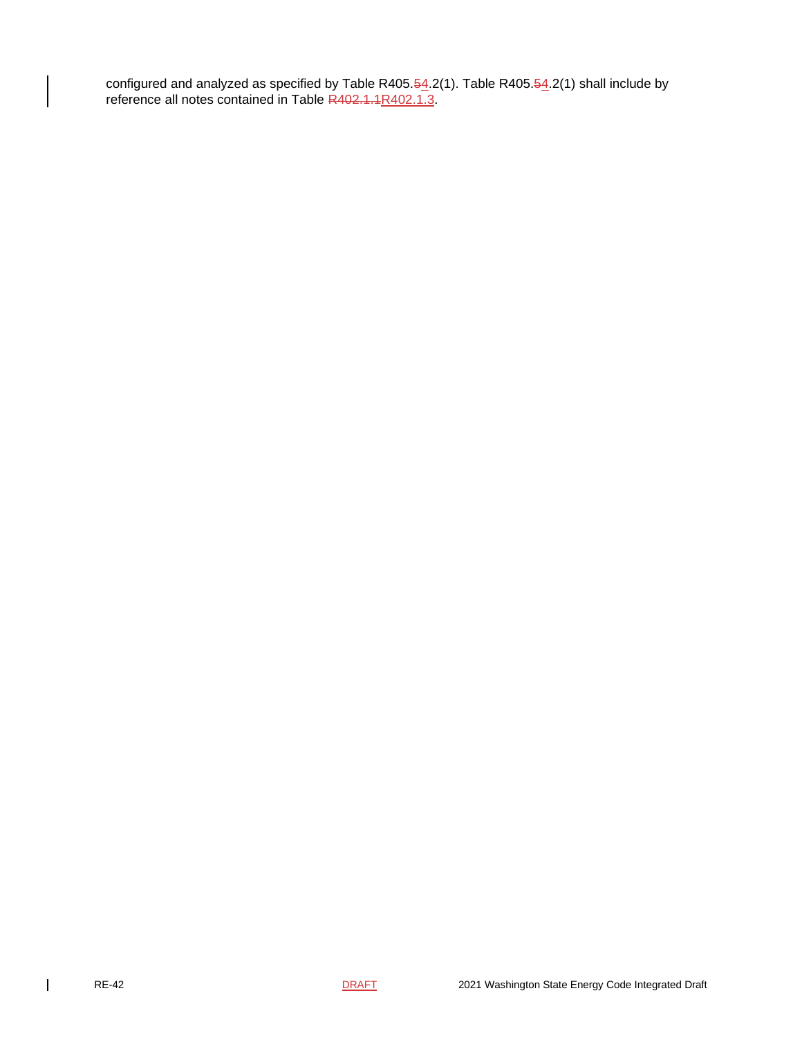configured and analyzed as specified by Table R405. $54.2(1)$ . Table R405. $54.2(1)$  shall include by reference all notes contained in Table R402.1.1R402.1.3.

 $\overline{1}$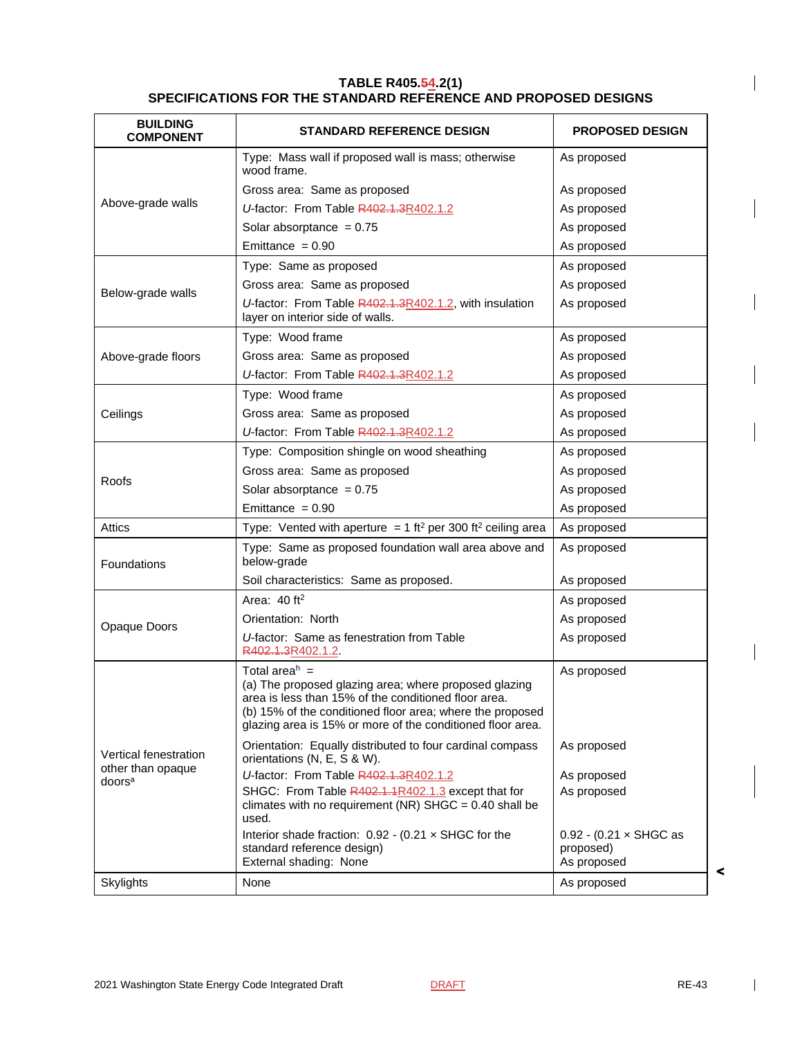#### **TABLE R405.54.2(1) SPECIFICATIONS FOR THE STANDARD REFERENCE AND PROPOSED DESIGNS**

| <b>BUILDING</b><br><b>COMPONENT</b>                                                 | <b>STANDARD REFERENCE DESIGN</b>                                                                                                                                                                                                                                     | <b>PROPOSED DESIGN</b>                                    |
|-------------------------------------------------------------------------------------|----------------------------------------------------------------------------------------------------------------------------------------------------------------------------------------------------------------------------------------------------------------------|-----------------------------------------------------------|
|                                                                                     | Type: Mass wall if proposed wall is mass; otherwise<br>wood frame.                                                                                                                                                                                                   | As proposed                                               |
|                                                                                     | Gross area: Same as proposed                                                                                                                                                                                                                                         | As proposed                                               |
| Above-grade walls                                                                   | U-factor: From Table R402.1.3R402.1.2                                                                                                                                                                                                                                | As proposed                                               |
|                                                                                     | Solar absorptance = $0.75$                                                                                                                                                                                                                                           | As proposed                                               |
|                                                                                     | Emittance $= 0.90$                                                                                                                                                                                                                                                   | As proposed                                               |
|                                                                                     | Type: Same as proposed                                                                                                                                                                                                                                               | As proposed                                               |
| Below-grade walls                                                                   | Gross area: Same as proposed                                                                                                                                                                                                                                         | As proposed                                               |
|                                                                                     | U-factor: From Table R402.1.3R402.1.2, with insulation<br>layer on interior side of walls.                                                                                                                                                                           | As proposed                                               |
|                                                                                     | Type: Wood frame                                                                                                                                                                                                                                                     | As proposed                                               |
| Above-grade floors                                                                  | Gross area: Same as proposed                                                                                                                                                                                                                                         | As proposed                                               |
|                                                                                     | U-factor: From Table R402.1.3R402.1.2                                                                                                                                                                                                                                | As proposed                                               |
|                                                                                     | Type: Wood frame                                                                                                                                                                                                                                                     | As proposed                                               |
| Ceilings                                                                            | Gross area: Same as proposed                                                                                                                                                                                                                                         | As proposed                                               |
|                                                                                     | U-factor: From Table R402.1.3R402.1.2                                                                                                                                                                                                                                | As proposed                                               |
|                                                                                     | Type: Composition shingle on wood sheathing                                                                                                                                                                                                                          | As proposed                                               |
|                                                                                     | Gross area: Same as proposed                                                                                                                                                                                                                                         | As proposed                                               |
| Roofs                                                                               | Solar absorptance = $0.75$                                                                                                                                                                                                                                           | As proposed                                               |
|                                                                                     | Emittance $= 0.90$                                                                                                                                                                                                                                                   | As proposed                                               |
| Attics                                                                              | Type: Vented with aperture = 1 ft <sup>2</sup> per 300 ft <sup>2</sup> ceiling area                                                                                                                                                                                  | As proposed                                               |
| Type: Same as proposed foundation wall area above and<br>below-grade<br>Foundations |                                                                                                                                                                                                                                                                      | As proposed                                               |
|                                                                                     | Soil characteristics: Same as proposed.                                                                                                                                                                                                                              | As proposed                                               |
|                                                                                     | Area: $40 ft2$                                                                                                                                                                                                                                                       | As proposed                                               |
| Opaque Doors                                                                        | Orientation: North                                                                                                                                                                                                                                                   | As proposed                                               |
|                                                                                     | U-factor: Same as fenestration from Table<br>R402.1.3R402.1.2                                                                                                                                                                                                        | As proposed                                               |
|                                                                                     | Total area <sup>h</sup> =<br>(a) The proposed glazing area; where proposed glazing<br>area is less than 15% of the conditioned floor area<br>(b) 15% of the conditioned floor area; where the proposed<br>glazing area is 15% or more of the conditioned floor area. | As proposed                                               |
| Vertical fenestration<br>other than opaque                                          | Orientation: Equally distributed to four cardinal compass<br>orientations (N, E, S & W).                                                                                                                                                                             | As proposed                                               |
| doors <sup>a</sup>                                                                  | U-factor: From Table R402.1.3R402.1.2                                                                                                                                                                                                                                | As proposed                                               |
|                                                                                     | SHGC: From Table R402.1.4R402.1.3 except that for<br>climates with no requirement (NR) SHGC = $0.40$ shall be<br>used.                                                                                                                                               | As proposed                                               |
|                                                                                     | Interior shade fraction: 0.92 - (0.21 x SHGC for the<br>standard reference design)<br>External shading: None                                                                                                                                                         | $0.92 - (0.21 \times SHGC as$<br>proposed)<br>As proposed |
| Skylights                                                                           | None                                                                                                                                                                                                                                                                 | As proposed                                               |

 $\,<$ 

 $\overline{\phantom{a}}$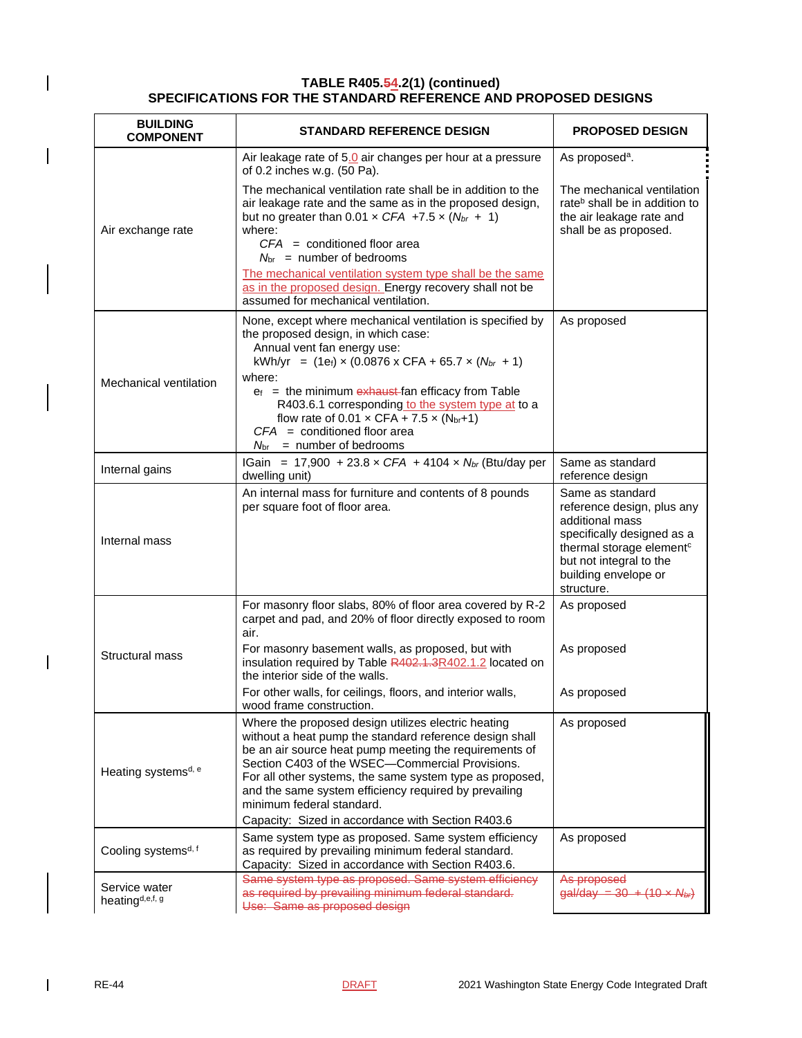#### **TABLE R405.54.2(1) (continued) SPECIFICATIONS FOR THE STANDARD REFERENCE AND PROPOSED DESIGNS**

| <b>BUILDING</b><br><b>COMPONENT</b>                                                                                                                                                                                                                                                                   | <b>STANDARD REFERENCE DESIGN</b>                                                                                                                                                                                                                                                                                                                                                                                                                                                                | <b>PROPOSED DESIGN</b>                                                                                                                                                                                   |  |
|-------------------------------------------------------------------------------------------------------------------------------------------------------------------------------------------------------------------------------------------------------------------------------------------------------|-------------------------------------------------------------------------------------------------------------------------------------------------------------------------------------------------------------------------------------------------------------------------------------------------------------------------------------------------------------------------------------------------------------------------------------------------------------------------------------------------|----------------------------------------------------------------------------------------------------------------------------------------------------------------------------------------------------------|--|
|                                                                                                                                                                                                                                                                                                       | Air leakage rate of $5.0$ air changes per hour at a pressure<br>of 0.2 inches w.g. (50 Pa).                                                                                                                                                                                                                                                                                                                                                                                                     | As proposed <sup>a</sup> .                                                                                                                                                                               |  |
| Air exchange rate                                                                                                                                                                                                                                                                                     | The mechanical ventilation rate shall be in addition to the<br>air leakage rate and the same as in the proposed design,<br>but no greater than 0.01 $\times$ CFA +7.5 $\times$ (N <sub>br</sub> + 1)<br>where:<br>$CFA =$ conditioned floor area<br>$N_{\text{br}}$ = number of bedrooms<br>The mechanical ventilation system type shall be the same<br>as in the proposed design. Energy recovery shall not be<br>assumed for mechanical ventilation.                                          |                                                                                                                                                                                                          |  |
| Mechanical ventilation                                                                                                                                                                                                                                                                                | None, except where mechanical ventilation is specified by<br>As proposed<br>the proposed design, in which case:<br>Annual vent fan energy use:<br>kWh/yr = $(1e_i) \times (0.0876 \times CFA + 65.7 \times (N_{br} + 1))$<br>where:<br>$e_f$ = the minimum exhaust fan efficacy from Table<br>R403.6.1 corresponding to the system type at to a<br>flow rate of 0.01 $\times$ CFA + 7.5 $\times$ (N <sub>br</sub> +1)<br>$CFA =$ conditioned floor area<br>$N_{\text{br}}$ = number of bedrooms |                                                                                                                                                                                                          |  |
| Internal gains                                                                                                                                                                                                                                                                                        | IGain = 17,900 + 23.8 x CFA + 4104 x $N_{br}$ (Btu/day per<br>dwelling unit)                                                                                                                                                                                                                                                                                                                                                                                                                    | Same as standard<br>reference design                                                                                                                                                                     |  |
| An internal mass for furniture and contents of 8 pounds<br>per square foot of floor area.<br>Internal mass                                                                                                                                                                                            |                                                                                                                                                                                                                                                                                                                                                                                                                                                                                                 | Same as standard<br>reference design, plus any<br>additional mass<br>specifically designed as a<br>thermal storage element <sup>c</sup><br>but not integral to the<br>building envelope or<br>structure. |  |
| For masonry floor slabs, 80% of floor area covered by R-2<br>carpet and pad, and 20% of floor directly exposed to room<br>air.<br>For masonry basement walls, as proposed, but with<br>Structural mass<br>insulation required by Table R402.1.3R402.1.2 located on<br>the interior side of the walls. |                                                                                                                                                                                                                                                                                                                                                                                                                                                                                                 | As proposed<br>As proposed<br>As proposed                                                                                                                                                                |  |
|                                                                                                                                                                                                                                                                                                       | For other walls, for ceilings, floors, and interior walls,<br>wood frame construction.                                                                                                                                                                                                                                                                                                                                                                                                          |                                                                                                                                                                                                          |  |
| Heating systems <sup>d, e</sup>                                                                                                                                                                                                                                                                       | Where the proposed design utilizes electric heating<br>As proposed<br>without a heat pump the standard reference design shall<br>be an air source heat pump meeting the requirements of<br>Section C403 of the WSEC-Commercial Provisions.<br>For all other systems, the same system type as proposed,<br>and the same system efficiency required by prevailing<br>minimum federal standard.<br>Capacity: Sized in accordance with Section R403.6                                               |                                                                                                                                                                                                          |  |
| Cooling systems <sup>d, f</sup>                                                                                                                                                                                                                                                                       | Same system type as proposed. Same system efficiency<br>as required by prevailing minimum federal standard.<br>Capacity: Sized in accordance with Section R403.6.                                                                                                                                                                                                                                                                                                                               | As proposed                                                                                                                                                                                              |  |
| Service water<br>heatingd,e,f, g                                                                                                                                                                                                                                                                      | Same system type as proposed. Same system efficiency<br>as required by prevailing minimum federal standard.<br>Use: Same as proposed design                                                                                                                                                                                                                                                                                                                                                     | As proposed<br>$g$ al/day = 30                                                                                                                                                                           |  |

 $\overline{\phantom{a}}$ 

 $\mathbf{I}$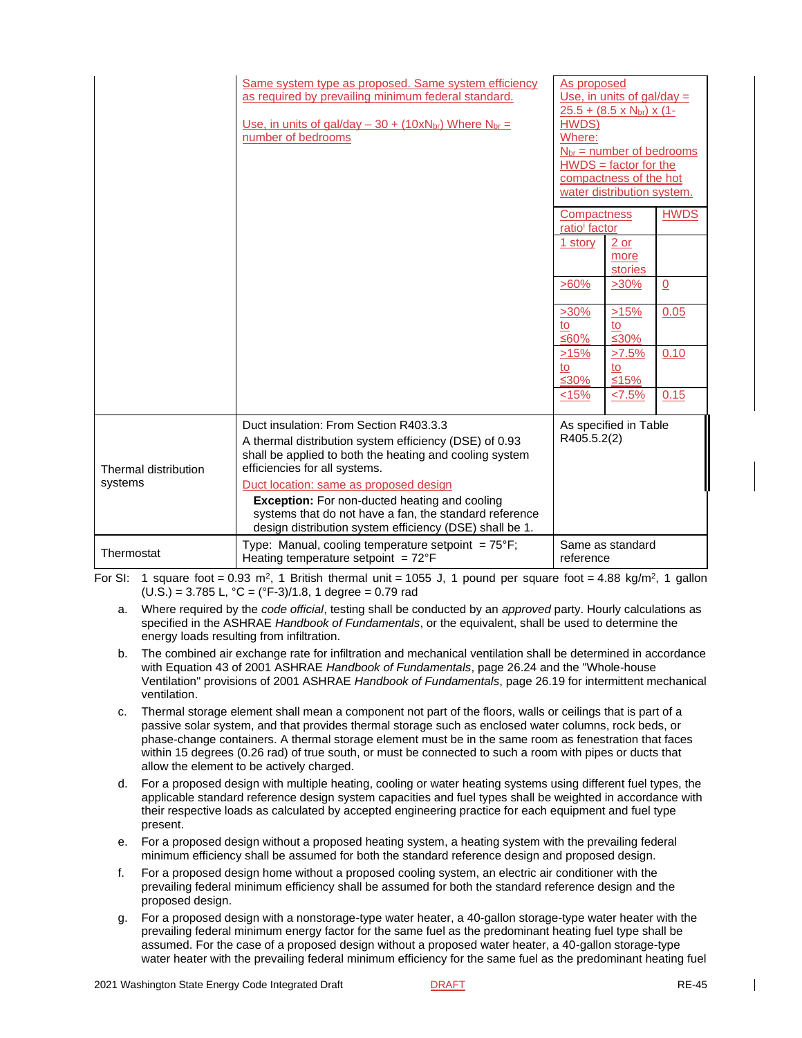|                      | Same system type as proposed. Same system efficiency<br>as required by prevailing minimum federal standard.<br>Use, in units of gal/day - $30 + (10xN_{br})$ Where N <sub>br</sub> =<br>number of bedrooms | As proposed<br>Use, in units of gal/day $=$<br>$25.5 + (8.5 \times N_{\rm br}) \times (1 -$<br>HWDS)<br>Where:<br>$N_{\text{br}}$ = number of bedrooms<br>$HWDS = factor for the$<br>compactness of the hot<br>water distribution system. |                          |                 |
|----------------------|------------------------------------------------------------------------------------------------------------------------------------------------------------------------------------------------------------|-------------------------------------------------------------------------------------------------------------------------------------------------------------------------------------------------------------------------------------------|--------------------------|-----------------|
|                      |                                                                                                                                                                                                            | Compactness<br>ratio <sup><i>i</i></sup> factor<br>1 story                                                                                                                                                                                | $2$ or                   | <b>HWDS</b>     |
|                      |                                                                                                                                                                                                            |                                                                                                                                                                                                                                           | more<br>stories          |                 |
|                      |                                                                                                                                                                                                            | $>60\%$                                                                                                                                                                                                                                   | $>30\%$                  | $\underline{0}$ |
|                      |                                                                                                                                                                                                            | $>30\%$<br>to<br>≤60%                                                                                                                                                                                                                     | >15%<br>to<br>$≤30\%$    | 0.05            |
|                      |                                                                                                                                                                                                            | >15%<br>to<br>$≤30\%$                                                                                                                                                                                                                     | $>7.5\%$<br>to<br>$≤15%$ | 0.10            |
|                      |                                                                                                                                                                                                            | < 15%                                                                                                                                                                                                                                     | $<7.5\%$                 | 0.15            |
| Thermal distribution | Duct insulation: From Section R403.3.3<br>A thermal distribution system efficiency (DSE) of 0.93<br>shall be applied to both the heating and cooling system<br>efficiencies for all systems.               | R405.5.2(2)                                                                                                                                                                                                                               | As specified in Table    |                 |
| systems              | Duct location: same as proposed design                                                                                                                                                                     |                                                                                                                                                                                                                                           |                          |                 |
|                      | <b>Exception:</b> For non-ducted heating and cooling<br>systems that do not have a fan, the standard reference<br>design distribution system efficiency (DSE) shall be 1.                                  |                                                                                                                                                                                                                                           |                          |                 |
| Thermostat           | Type: Manual, cooling temperature setpoint = $75^{\circ}F$ ;<br>Heating temperature setpoint $= 72^{\circ}$ F                                                                                              | reference                                                                                                                                                                                                                                 | Same as standard         |                 |

For SI: 1 square foot = 0.93 m<sup>2</sup>, 1 British thermal unit = 1055 J, 1 pound per square foot = 4.88 kg/m<sup>2</sup>, 1 gallon  $(U.S.) = 3.785 L, °C = (°F-3)/1.8, 1 \text{ degree} = 0.79 \text{ rad}$ 

a. Where required by the *code official*, testing shall be conducted by an *approved* party. Hourly calculations as specified in the ASHRAE *Handbook of Fundamentals*, or the equivalent, shall be used to determine the energy loads resulting from infiltration.

- b. The combined air exchange rate for infiltration and mechanical ventilation shall be determined in accordance with Equation 43 of 2001 ASHRAE *Handbook of Fundamentals*, page 26.24 and the "Whole-house Ventilation" provisions of 2001 ASHRAE *Handbook of Fundamentals*, page 26.19 for intermittent mechanical ventilation.
- c. Thermal storage element shall mean a component not part of the floors, walls or ceilings that is part of a passive solar system, and that provides thermal storage such as enclosed water columns, rock beds, or phase-change containers. A thermal storage element must be in the same room as fenestration that faces within 15 degrees (0.26 rad) of true south, or must be connected to such a room with pipes or ducts that allow the element to be actively charged.
- d. For a proposed design with multiple heating, cooling or water heating systems using different fuel types, the applicable standard reference design system capacities and fuel types shall be weighted in accordance with their respective loads as calculated by accepted engineering practice for each equipment and fuel type present.
- e. For a proposed design without a proposed heating system, a heating system with the prevailing federal minimum efficiency shall be assumed for both the standard reference design and proposed design.
- f. For a proposed design home without a proposed cooling system, an electric air conditioner with the prevailing federal minimum efficiency shall be assumed for both the standard reference design and the proposed design.
- g. For a proposed design with a nonstorage-type water heater, a 40-gallon storage-type water heater with the prevailing federal minimum energy factor for the same fuel as the predominant heating fuel type shall be assumed. For the case of a proposed design without a proposed water heater, a 40-gallon storage-type water heater with the prevailing federal minimum efficiency for the same fuel as the predominant heating fuel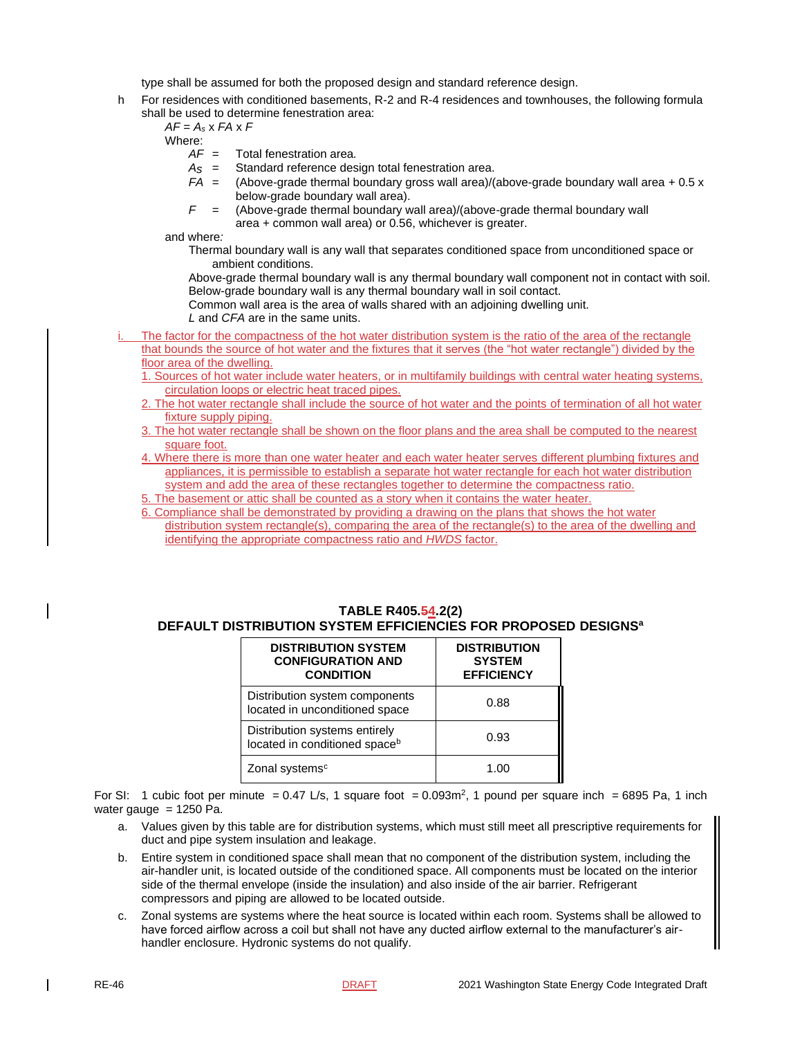type shall be assumed for both the proposed design and standard reference design.

h For residences with conditioned basements, R-2 and R-4 residences and townhouses, the following formula shall be used to determine fenestration area:

*AF* = *A<sup>s</sup>* x *FA* x *F*

Where:

- *AF* = Total fenestration area*.*
- *As* = Standard reference design total fenestration area.
- *FA* = (Above-grade thermal boundary gross wall area)/(above-grade boundary wall area + 0.5 x below-grade boundary wall area).
- *F* = (Above-grade thermal boundary wall area)/(above-grade thermal boundary wall area + common wall area) or 0.56, whichever is greater.

and where*:*

Thermal boundary wall is any wall that separates conditioned space from unconditioned space or ambient conditions.

Above-grade thermal boundary wall is any thermal boundary wall component not in contact with soil. Below-grade boundary wall is any thermal boundary wall in soil contact.

Common wall area is the area of walls shared with an adjoining dwelling unit. *L* and *CFA* are in the same units.

The factor for the compactness of the hot water distribution system is the ratio of the area of the rectangle that bounds the source of hot water and the fixtures that it serves (the "hot water rectangle") divided by the floor area of the dwelling.

1. Sources of hot water include water heaters, or in multifamily buildings with central water heating systems, circulation loops or electric heat traced pipes.

- 2. The hot water rectangle shall include the source of hot water and the points of termination of all hot water fixture supply piping.
- 3. The hot water rectangle shall be shown on the floor plans and the area shall be computed to the nearest square foot.
- 4. Where there is more than one water heater and each water heater serves different plumbing fixtures and appliances, it is permissible to establish a separate hot water rectangle for each hot water distribution system and add the area of these rectangles together to determine the compactness ratio.
- 5. The basement or attic shall be counted as a story when it contains the water heater.

6. Compliance shall be demonstrated by providing a drawing on the plans that shows the hot water distribution system rectangle(s), comparing the area of the rectangle(s) to the area of the dwelling and identifying the appropriate compactness ratio and *HWDS* factor.

#### **TABLE R405.54.2(2) DEFAULT DISTRIBUTION SYSTEM EFFICIENCIES FOR PROPOSED DESIGNS<sup>a</sup>**

| <b>DISTRIBUTION SYSTEM</b><br><b>CONFIGURATION AND</b><br><b>CONDITION</b> | <b>DISTRIBUTION</b><br><b>SYSTEM</b><br><b>EFFICIENCY</b> |
|----------------------------------------------------------------------------|-----------------------------------------------------------|
| Distribution system components<br>located in unconditioned space           | 0.88                                                      |
| Distribution systems entirely<br>located in conditioned spaceb             | 0.93                                                      |
| Zonal systems <sup>c</sup>                                                 | 1 በበ                                                      |

For SI: 1 cubic foot per minute =  $0.47$  L/s, 1 square foot =  $0.093m^2$ , 1 pound per square inch = 6895 Pa, 1 inch water gauge  $= 1250$  Pa.

- a. Values given by this table are for distribution systems, which must still meet all prescriptive requirements for duct and pipe system insulation and leakage.
- b. Entire system in conditioned space shall mean that no component of the distribution system, including the air-handler unit, is located outside of the conditioned space. All components must be located on the interior side of the thermal envelope (inside the insulation) and also inside of the air barrier. Refrigerant compressors and piping are allowed to be located outside.
- c. Zonal systems are systems where the heat source is located within each room. Systems shall be allowed to have forced airflow across a coil but shall not have any ducted airflow external to the manufacturer's airhandler enclosure. Hydronic systems do not qualify.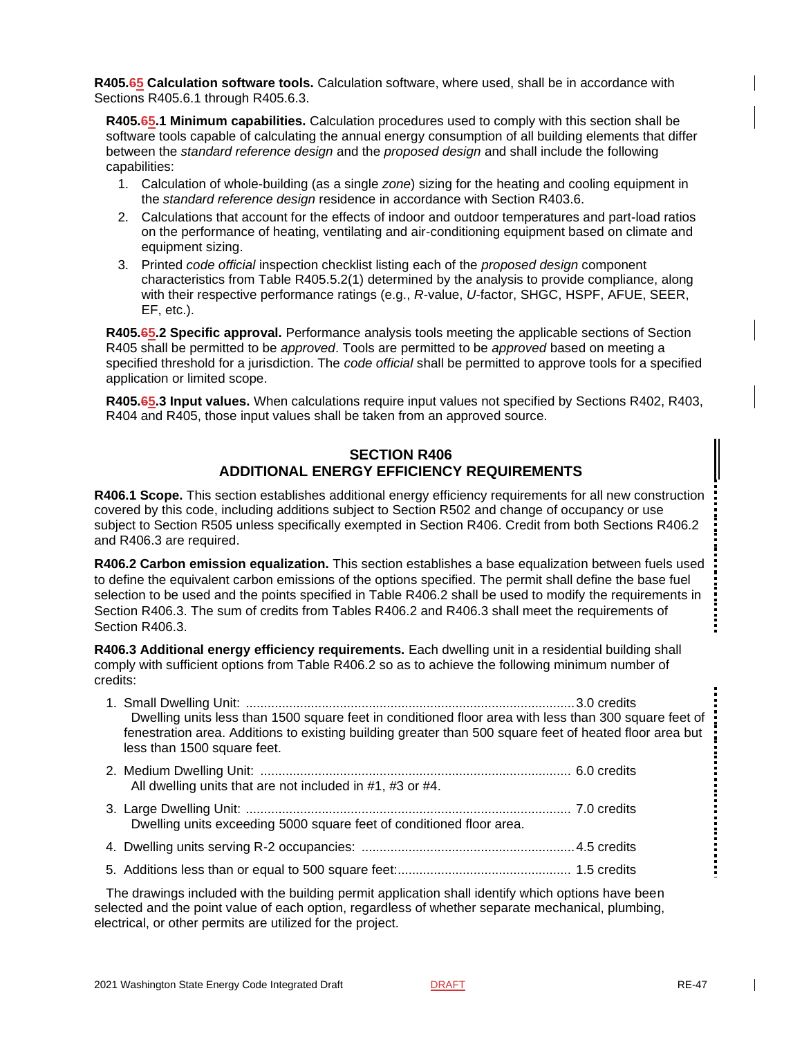**R405.65 Calculation software tools.** Calculation software, where used, shall be in accordance with Sections R405.6.1 through R405.6.3.

**R405.65.1 Minimum capabilities.** Calculation procedures used to comply with this section shall be software tools capable of calculating the annual energy consumption of all building elements that differ between the *standard reference design* and the *proposed design* and shall include the following capabilities:

- 1. Calculation of whole-building (as a single *zone*) sizing for the heating and cooling equipment in the *standard reference design* residence in accordance with Section R403.6.
- 2. Calculations that account for the effects of indoor and outdoor temperatures and part-load ratios on the performance of heating, ventilating and air-conditioning equipment based on climate and equipment sizing.
- 3. Printed *code official* inspection checklist listing each of the *proposed design* component characteristics from Table R405.5.2(1) determined by the analysis to provide compliance, along with their respective performance ratings (e.g., *R*-value, *U*-factor, SHGC, HSPF, AFUE, SEER, EF, etc.).

**R405.65.2 Specific approval.** Performance analysis tools meeting the applicable sections of Section R405 shall be permitted to be *approved*. Tools are permitted to be *approved* based on meeting a specified threshold for a jurisdiction. The *code official* shall be permitted to approve tools for a specified application or limited scope.

**R405.65.3 Input values.** When calculations require input values not specified by Sections R402, R403, R404 and R405, those input values shall be taken from an approved source.

#### **SECTION R406 ADDITIONAL ENERGY EFFICIENCY REQUIREMENTS**

**R406.1 Scope.** This section establishes additional energy efficiency requirements for all new construction covered by this code, including additions subject to Section R502 and change of occupancy or use subject to Section R505 unless specifically exempted in Section R406. Credit from both Sections R406.2 and R406.3 are required.

**R406.2 Carbon emission equalization.** This section establishes a base equalization between fuels used to define the equivalent carbon emissions of the options specified. The permit shall define the base fuel selection to be used and the points specified in Table R406.2 shall be used to modify the requirements in Section R406.3. The sum of credits from Tables R406.2 and R406.3 shall meet the requirements of Section R406.3.

**R406.3 Additional energy efficiency requirements.** Each dwelling unit in a residential building shall comply with sufficient options from Table R406.2 so as to achieve the following minimum number of credits:

| Dwelling units less than 1500 square feet in conditioned floor area with less than 300 square feet of<br>fenestration area. Additions to existing building greater than 500 square feet of heated floor area but<br>less than 1500 square feet. |  |
|-------------------------------------------------------------------------------------------------------------------------------------------------------------------------------------------------------------------------------------------------|--|
| All dwelling units that are not included in #1, #3 or #4.                                                                                                                                                                                       |  |
| Dwelling units exceeding 5000 square feet of conditioned floor area.                                                                                                                                                                            |  |
|                                                                                                                                                                                                                                                 |  |
|                                                                                                                                                                                                                                                 |  |

The drawings included with the building permit application shall identify which options have been selected and the point value of each option, regardless of whether separate mechanical, plumbing, electrical, or other permits are utilized for the project.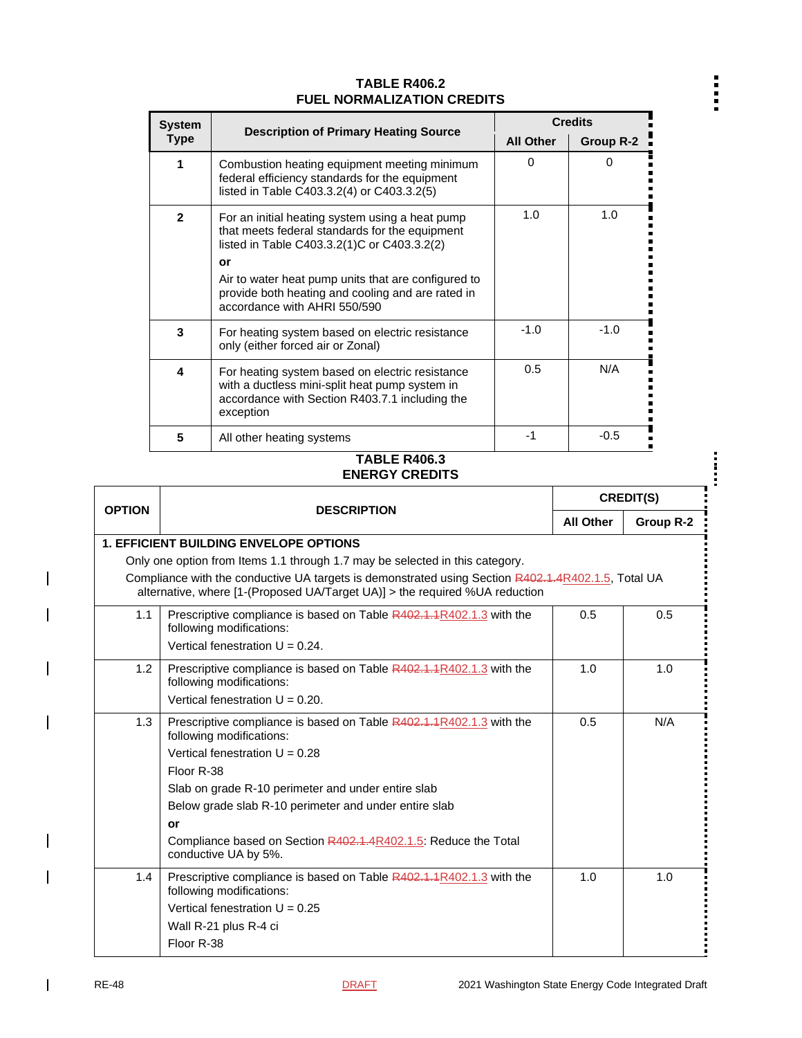l

#### **TABLE R406.2 FUEL NORMALIZATION CREDITS**

| <b>System</b> |                                                                                                                                                                                                                                                                                                    |                  | <b>Credits</b> |
|---------------|----------------------------------------------------------------------------------------------------------------------------------------------------------------------------------------------------------------------------------------------------------------------------------------------------|------------------|----------------|
| <b>Type</b>   | <b>Description of Primary Heating Source</b>                                                                                                                                                                                                                                                       | <b>All Other</b> | Group R-2      |
| 1             | Combustion heating equipment meeting minimum<br>federal efficiency standards for the equipment<br>listed in Table C403.3.2(4) or C403.3.2(5)                                                                                                                                                       | $\Omega$         | 0              |
| $\mathbf{2}$  | For an initial heating system using a heat pump<br>that meets federal standards for the equipment<br>listed in Table C403.3.2(1)C or C403.3.2(2)<br>or<br>Air to water heat pump units that are configured to<br>provide both heating and cooling and are rated in<br>accordance with AHRI 550/590 | 1.0              | 1.0            |
| 3             | For heating system based on electric resistance<br>only (either forced air or Zonal)                                                                                                                                                                                                               | $-1.0$           | $-1.0$         |
| 4             | For heating system based on electric resistance<br>with a ductless mini-split heat pump system in<br>accordance with Section R403.7.1 including the<br>exception                                                                                                                                   | 0.5              | N/A            |
| 5             | All other heating systems                                                                                                                                                                                                                                                                          | -1               | $-0.5$         |
|               | <b>TABLE R406.3</b>                                                                                                                                                                                                                                                                                |                  |                |

# **ENERGY CREDITS**

|               |                                                                                                                                                                                   | <b>CREDIT(S)</b> |           |
|---------------|-----------------------------------------------------------------------------------------------------------------------------------------------------------------------------------|------------------|-----------|
| <b>OPTION</b> | <b>DESCRIPTION</b>                                                                                                                                                                | <b>All Other</b> | Group R-2 |
|               | <b>1. EFFICIENT BUILDING ENVELOPE OPTIONS</b>                                                                                                                                     |                  |           |
|               | Only one option from Items 1.1 through 1.7 may be selected in this category.                                                                                                      |                  |           |
|               | Compliance with the conductive UA targets is demonstrated using Section R402.1.4R402.1.5, Total UA<br>alternative, where [1-(Proposed UA/Target UA)] > the required %UA reduction |                  |           |
| 1.1           | Prescriptive compliance is based on Table R402.1.1R402.1.3 with the<br>following modifications:                                                                                   | 0.5              | 0.5       |
|               | Vertical fenestration $U = 0.24$ .                                                                                                                                                |                  |           |
| 1.2           | Prescriptive compliance is based on Table R402.1.1 R402.1.3 with the<br>following modifications:                                                                                  | 1.0              | 1.0       |
|               | Vertical fenestration $U = 0.20$ .                                                                                                                                                |                  |           |
| 1.3           | Prescriptive compliance is based on Table R402.1.1R402.1.3 with the<br>following modifications:                                                                                   | 0.5              | N/A       |
|               | Vertical fenestration $U = 0.28$                                                                                                                                                  |                  |           |
|               | Floor R-38                                                                                                                                                                        |                  |           |
|               | Slab on grade R-10 perimeter and under entire slab                                                                                                                                |                  |           |
|               | Below grade slab R-10 perimeter and under entire slab                                                                                                                             |                  |           |
|               | or                                                                                                                                                                                |                  |           |
|               | Compliance based on Section R402.1.4R402.1.5: Reduce the Total<br>conductive UA by 5%.                                                                                            |                  |           |
| 1.4           | Prescriptive compliance is based on Table R402.1.1 R402.1.3 with the<br>following modifications:                                                                                  | 1.0              | 1.0       |
|               | Vertical fenestration $U = 0.25$                                                                                                                                                  |                  |           |
|               | Wall R-21 plus R-4 ci                                                                                                                                                             |                  |           |
|               | Floor R-38                                                                                                                                                                        |                  |           |

 $\frac{1}{2}$ 

 $\overline{\phantom{a}}$ 

 $\overline{\phantom{a}}$ 

 $\overline{\phantom{a}}$ 

 $\overline{\phantom{a}}$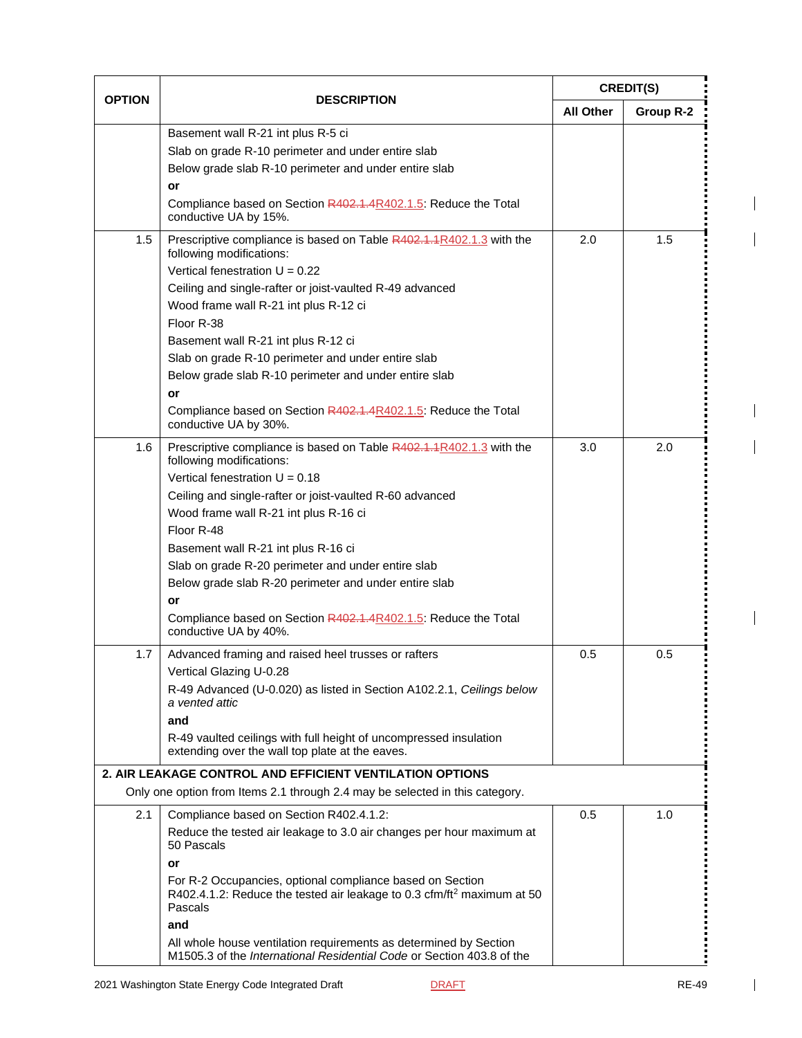| <b>OPTION</b>                                                                | <b>DESCRIPTION</b>                                                                                                                                         | <b>CREDIT(S)</b> |           |
|------------------------------------------------------------------------------|------------------------------------------------------------------------------------------------------------------------------------------------------------|------------------|-----------|
|                                                                              |                                                                                                                                                            | <b>All Other</b> | Group R-2 |
|                                                                              | Basement wall R-21 int plus R-5 ci                                                                                                                         |                  |           |
|                                                                              | Slab on grade R-10 perimeter and under entire slab                                                                                                         |                  |           |
|                                                                              | Below grade slab R-10 perimeter and under entire slab<br>or                                                                                                |                  |           |
|                                                                              | Compliance based on Section R402.1.4R402.1.5: Reduce the Total<br>conductive UA by 15%.                                                                    |                  |           |
| 1.5                                                                          | Prescriptive compliance is based on Table R402.1.1 R402.1.3 with the<br>following modifications:                                                           | 2.0              | 1.5       |
|                                                                              | Vertical fenestration $U = 0.22$                                                                                                                           |                  |           |
|                                                                              | Ceiling and single-rafter or joist-vaulted R-49 advanced                                                                                                   |                  |           |
|                                                                              | Wood frame wall R-21 int plus R-12 ci                                                                                                                      |                  |           |
|                                                                              | Floor R-38                                                                                                                                                 |                  |           |
|                                                                              | Basement wall R-21 int plus R-12 ci                                                                                                                        |                  |           |
|                                                                              | Slab on grade R-10 perimeter and under entire slab                                                                                                         |                  |           |
|                                                                              | Below grade slab R-10 perimeter and under entire slab                                                                                                      |                  |           |
|                                                                              | or                                                                                                                                                         |                  |           |
|                                                                              | Compliance based on Section R402.1.4R402.1.5: Reduce the Total<br>conductive UA by 30%.                                                                    |                  |           |
| 1.6                                                                          | Prescriptive compliance is based on Table R402.1.1R402.1.3 with the<br>following modifications:                                                            | 3.0              | 2.0       |
|                                                                              | Vertical fenestration $U = 0.18$                                                                                                                           |                  |           |
|                                                                              | Ceiling and single-rafter or joist-vaulted R-60 advanced                                                                                                   |                  |           |
|                                                                              | Wood frame wall R-21 int plus R-16 ci                                                                                                                      |                  |           |
|                                                                              | Floor R-48                                                                                                                                                 |                  |           |
|                                                                              | Basement wall R-21 int plus R-16 ci                                                                                                                        |                  |           |
|                                                                              | Slab on grade R-20 perimeter and under entire slab                                                                                                         |                  |           |
|                                                                              | Below grade slab R-20 perimeter and under entire slab                                                                                                      |                  |           |
|                                                                              | or                                                                                                                                                         |                  |           |
|                                                                              | Compliance based on Section R402.1.4R402.1.5: Reduce the Total<br>conductive UA by 40%.                                                                    |                  |           |
| 1.7                                                                          | Advanced framing and raised heel trusses or rafters                                                                                                        | 0.5              | 0.5       |
|                                                                              | Vertical Glazing U-0.28                                                                                                                                    |                  |           |
|                                                                              | R-49 Advanced (U-0.020) as listed in Section A102.2.1, Ceilings below<br>a vented attic                                                                    |                  |           |
|                                                                              | and                                                                                                                                                        |                  |           |
|                                                                              | R-49 vaulted ceilings with full height of uncompressed insulation<br>extending over the wall top plate at the eaves.                                       |                  |           |
|                                                                              | 2. AIR LEAKAGE CONTROL AND EFFICIENT VENTILATION OPTIONS                                                                                                   |                  |           |
| Only one option from Items 2.1 through 2.4 may be selected in this category. |                                                                                                                                                            |                  |           |
| 2.1                                                                          | Compliance based on Section R402.4.1.2:                                                                                                                    | 0.5              | 1.0       |
|                                                                              | Reduce the tested air leakage to 3.0 air changes per hour maximum at<br>50 Pascals                                                                         |                  |           |
|                                                                              | or                                                                                                                                                         |                  |           |
|                                                                              | For R-2 Occupancies, optional compliance based on Section<br>R402.4.1.2: Reduce the tested air leakage to 0.3 cfm/ft <sup>2</sup> maximum at 50<br>Pascals |                  |           |
|                                                                              | and                                                                                                                                                        |                  |           |
|                                                                              | All whole house ventilation requirements as determined by Section<br>M1505.3 of the International Residential Code or Section 403.8 of the                 |                  |           |

 $\overline{\phantom{a}}$ 

 $\mathsf{l}$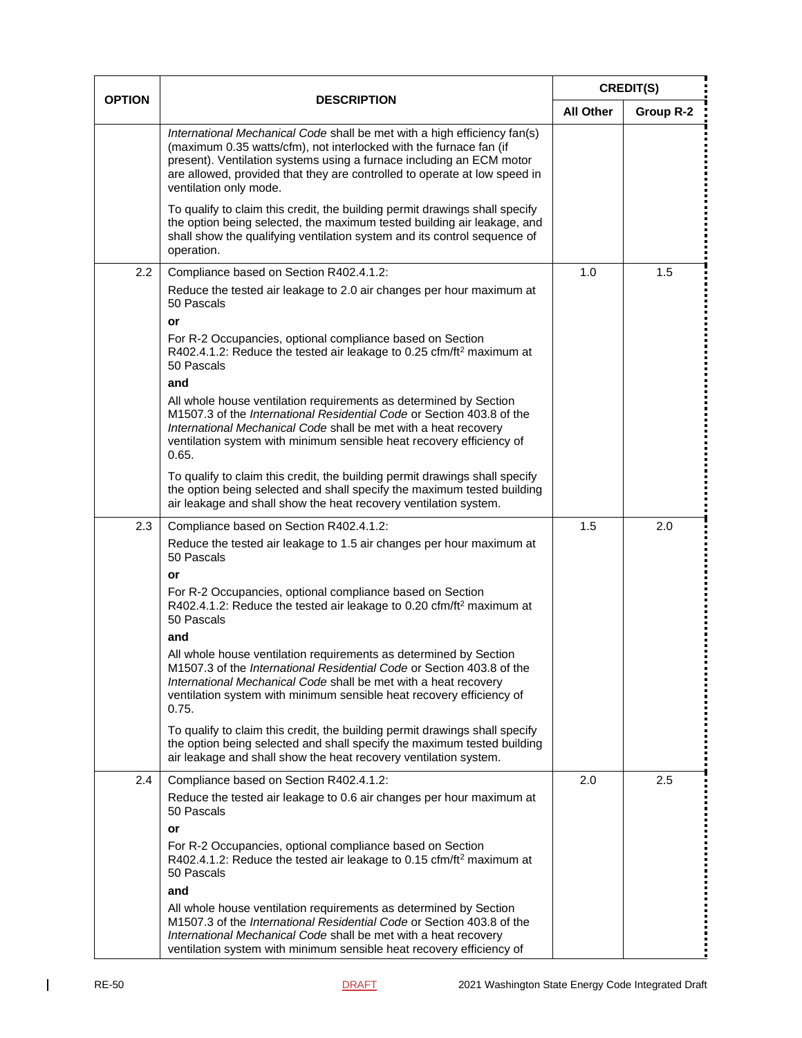|               |                                                                                                                                                                                                                                                                                                                               |                  | <b>CREDIT(S)</b> |
|---------------|-------------------------------------------------------------------------------------------------------------------------------------------------------------------------------------------------------------------------------------------------------------------------------------------------------------------------------|------------------|------------------|
| <b>OPTION</b> | <b>DESCRIPTION</b>                                                                                                                                                                                                                                                                                                            | <b>All Other</b> | Group R-2        |
|               | International Mechanical Code shall be met with a high efficiency fan(s)<br>(maximum 0.35 watts/cfm), not interlocked with the furnace fan (if<br>present). Ventilation systems using a furnace including an ECM motor<br>are allowed, provided that they are controlled to operate at low speed in<br>ventilation only mode. |                  |                  |
|               | To qualify to claim this credit, the building permit drawings shall specify<br>the option being selected, the maximum tested building air leakage, and<br>shall show the qualifying ventilation system and its control sequence of<br>operation.                                                                              |                  |                  |
| 2.2           | Compliance based on Section R402.4.1.2:                                                                                                                                                                                                                                                                                       | 1.0              | 1.5              |
|               | Reduce the tested air leakage to 2.0 air changes per hour maximum at<br>50 Pascals                                                                                                                                                                                                                                            |                  |                  |
|               | or                                                                                                                                                                                                                                                                                                                            |                  |                  |
|               | For R-2 Occupancies, optional compliance based on Section<br>R402.4.1.2: Reduce the tested air leakage to 0.25 cfm/ft <sup>2</sup> maximum at<br>50 Pascals                                                                                                                                                                   |                  |                  |
|               | and                                                                                                                                                                                                                                                                                                                           |                  |                  |
|               | All whole house ventilation requirements as determined by Section<br>M1507.3 of the International Residential Code or Section 403.8 of the<br>International Mechanical Code shall be met with a heat recovery<br>ventilation system with minimum sensible heat recovery efficiency of<br>0.65.                                |                  |                  |
|               | To qualify to claim this credit, the building permit drawings shall specify<br>the option being selected and shall specify the maximum tested building<br>air leakage and shall show the heat recovery ventilation system.                                                                                                    |                  |                  |
| 2.3           | Compliance based on Section R402.4.1.2:                                                                                                                                                                                                                                                                                       | 1.5              | 2.0              |
|               | Reduce the tested air leakage to 1.5 air changes per hour maximum at<br>50 Pascals                                                                                                                                                                                                                                            |                  |                  |
|               | or                                                                                                                                                                                                                                                                                                                            |                  |                  |
|               | For R-2 Occupancies, optional compliance based on Section<br>R402.4.1.2: Reduce the tested air leakage to 0.20 cfm/ft <sup>2</sup> maximum at<br>50 Pascals                                                                                                                                                                   |                  |                  |
|               | and                                                                                                                                                                                                                                                                                                                           |                  |                  |
|               | All whole house ventilation requirements as determined by Section<br>M1507.3 of the International Residential Code or Section 403.8 of the<br>International Mechanical Code shall be met with a heat recovery<br>ventilation system with minimum sensible heat recovery efficiency of<br>0.75.                                |                  |                  |
|               | To qualify to claim this credit, the building permit drawings shall specify<br>the option being selected and shall specify the maximum tested building<br>air leakage and shall show the heat recovery ventilation system.                                                                                                    |                  |                  |
| 2.4           | Compliance based on Section R402.4.1.2:                                                                                                                                                                                                                                                                                       | 2.0              | 2.5              |
|               | Reduce the tested air leakage to 0.6 air changes per hour maximum at<br>50 Pascals                                                                                                                                                                                                                                            |                  |                  |
|               | or                                                                                                                                                                                                                                                                                                                            |                  |                  |
|               | For R-2 Occupancies, optional compliance based on Section<br>R402.4.1.2: Reduce the tested air leakage to 0.15 cfm/ft <sup>2</sup> maximum at<br>50 Pascals                                                                                                                                                                   |                  |                  |
|               | and                                                                                                                                                                                                                                                                                                                           |                  |                  |
|               | All whole house ventilation requirements as determined by Section<br>M1507.3 of the International Residential Code or Section 403.8 of the<br>International Mechanical Code shall be met with a heat recovery<br>ventilation system with minimum sensible heat recovery efficiency of                                         |                  |                  |

 $\overline{\phantom{a}}$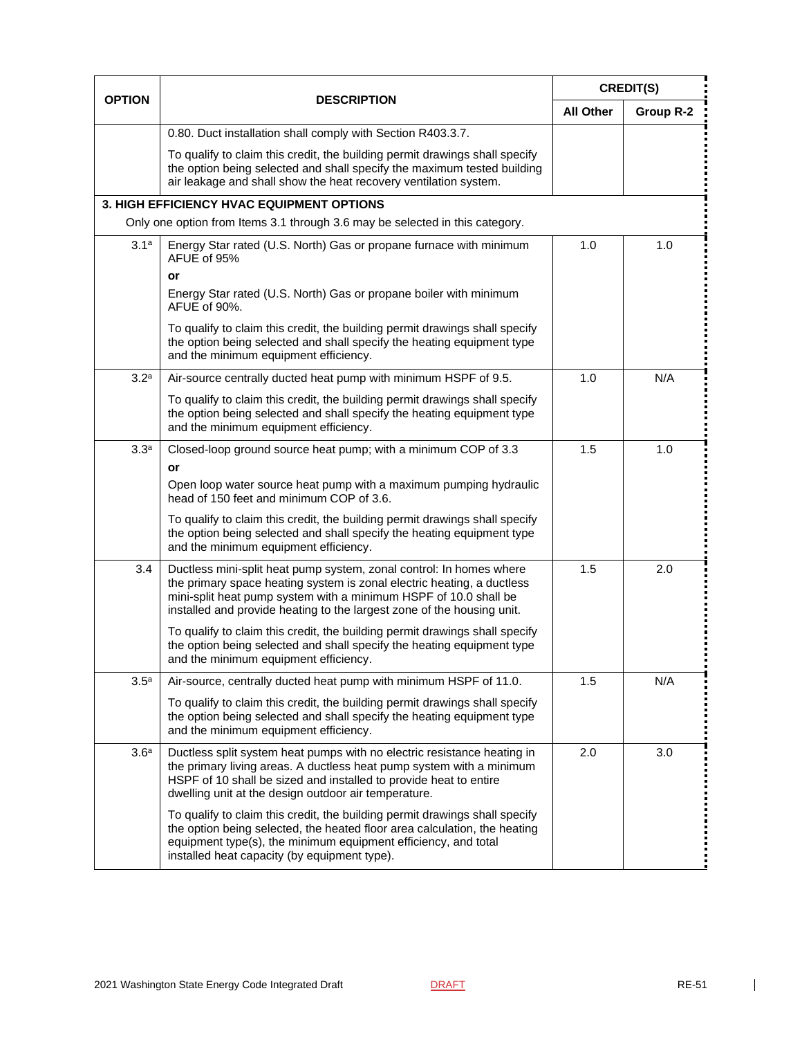| <b>OPTION</b>    | <b>DESCRIPTION</b>                                                                                                                                                                                                                                                                          |                  | <b>CREDIT(S)</b> |
|------------------|---------------------------------------------------------------------------------------------------------------------------------------------------------------------------------------------------------------------------------------------------------------------------------------------|------------------|------------------|
|                  |                                                                                                                                                                                                                                                                                             | <b>All Other</b> | Group R-2        |
|                  | 0.80. Duct installation shall comply with Section R403.3.7.                                                                                                                                                                                                                                 |                  |                  |
|                  | To qualify to claim this credit, the building permit drawings shall specify<br>the option being selected and shall specify the maximum tested building<br>air leakage and shall show the heat recovery ventilation system.                                                                  |                  |                  |
|                  | 3. HIGH EFFICIENCY HVAC EQUIPMENT OPTIONS                                                                                                                                                                                                                                                   |                  |                  |
|                  | Only one option from Items 3.1 through 3.6 may be selected in this category.                                                                                                                                                                                                                |                  |                  |
| 3.1 <sup>a</sup> | Energy Star rated (U.S. North) Gas or propane furnace with minimum<br>AFUE of 95%                                                                                                                                                                                                           | 1.0              | 1.0              |
|                  | or<br>Energy Star rated (U.S. North) Gas or propane boiler with minimum<br>AFUE of 90%.                                                                                                                                                                                                     |                  |                  |
|                  | To qualify to claim this credit, the building permit drawings shall specify<br>the option being selected and shall specify the heating equipment type<br>and the minimum equipment efficiency.                                                                                              |                  |                  |
| 3.2 <sup>a</sup> | Air-source centrally ducted heat pump with minimum HSPF of 9.5.                                                                                                                                                                                                                             | 1.0              | N/A              |
|                  | To qualify to claim this credit, the building permit drawings shall specify<br>the option being selected and shall specify the heating equipment type<br>and the minimum equipment efficiency.                                                                                              |                  |                  |
| 3.3 <sup>a</sup> | Closed-loop ground source heat pump; with a minimum COP of 3.3                                                                                                                                                                                                                              | 1.5              | 1.0              |
|                  | or                                                                                                                                                                                                                                                                                          |                  |                  |
|                  | Open loop water source heat pump with a maximum pumping hydraulic<br>head of 150 feet and minimum COP of 3.6.                                                                                                                                                                               |                  |                  |
|                  | To qualify to claim this credit, the building permit drawings shall specify<br>the option being selected and shall specify the heating equipment type<br>and the minimum equipment efficiency.                                                                                              |                  |                  |
| 3.4              | Ductless mini-split heat pump system, zonal control: In homes where<br>the primary space heating system is zonal electric heating, a ductless<br>mini-split heat pump system with a minimum HSPF of 10.0 shall be<br>installed and provide heating to the largest zone of the housing unit. | 1.5              | 2.0              |
|                  | To qualify to claim this credit, the building permit drawings shall specify<br>the option being selected and shall specify the heating equipment type<br>and the minimum equipment efficiency.                                                                                              |                  |                  |
| 3.5 <sup>a</sup> | Air-source, centrally ducted heat pump with minimum HSPF of 11.0.                                                                                                                                                                                                                           | 1.5              | N/A              |
|                  | To qualify to claim this credit, the building permit drawings shall specify<br>the option being selected and shall specify the heating equipment type<br>and the minimum equipment efficiency.                                                                                              |                  |                  |
| 3.6 <sup>a</sup> | Ductless split system heat pumps with no electric resistance heating in<br>the primary living areas. A ductless heat pump system with a minimum<br>HSPF of 10 shall be sized and installed to provide heat to entire<br>dwelling unit at the design outdoor air temperature.                | 2.0              | 3.0              |
|                  | To qualify to claim this credit, the building permit drawings shall specify<br>the option being selected, the heated floor area calculation, the heating<br>equipment type(s), the minimum equipment efficiency, and total<br>installed heat capacity (by equipment type).                  |                  |                  |

 $\overline{\phantom{a}}$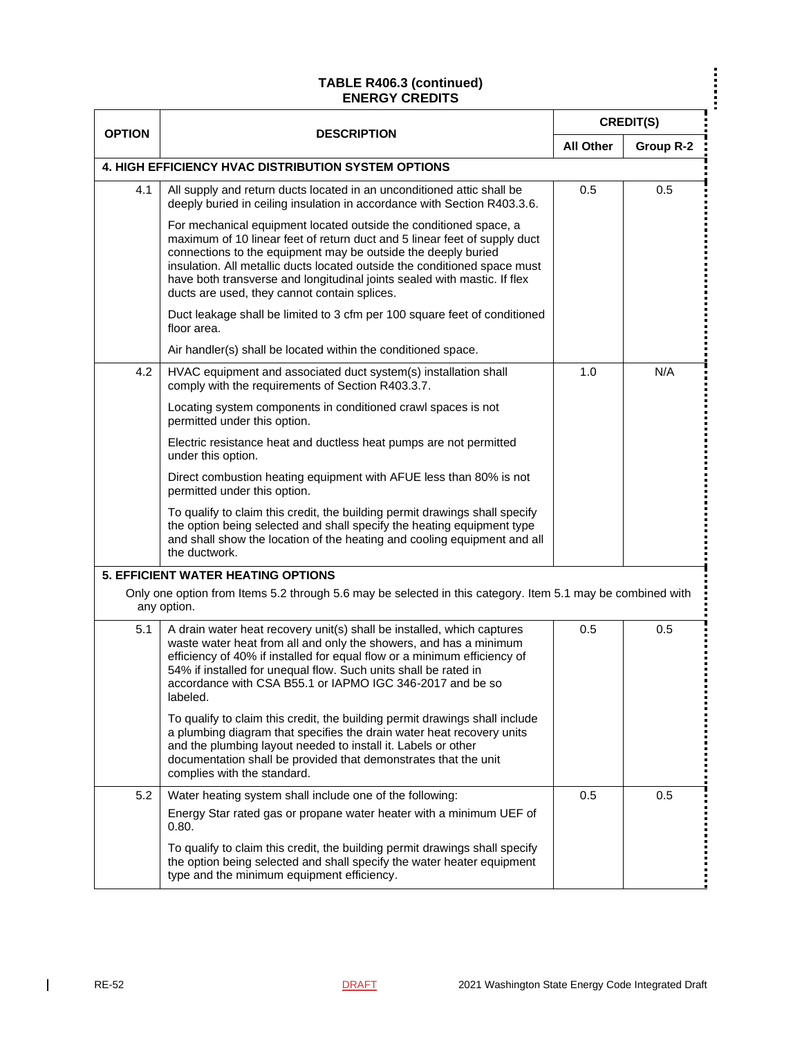#### **TABLE R406.3 (continued) ENERGY CREDITS**

|               |                                                                                                                                                                                                                                                                                                                                                                                                                          | <b>CREDIT(S)</b> |           |
|---------------|--------------------------------------------------------------------------------------------------------------------------------------------------------------------------------------------------------------------------------------------------------------------------------------------------------------------------------------------------------------------------------------------------------------------------|------------------|-----------|
| <b>OPTION</b> | <b>DESCRIPTION</b>                                                                                                                                                                                                                                                                                                                                                                                                       |                  | Group R-2 |
|               | 4. HIGH EFFICIENCY HVAC DISTRIBUTION SYSTEM OPTIONS                                                                                                                                                                                                                                                                                                                                                                      |                  |           |
| 4.1           | All supply and return ducts located in an unconditioned attic shall be<br>deeply buried in ceiling insulation in accordance with Section R403.3.6.                                                                                                                                                                                                                                                                       | 0.5              | 0.5       |
|               | For mechanical equipment located outside the conditioned space, a<br>maximum of 10 linear feet of return duct and 5 linear feet of supply duct<br>connections to the equipment may be outside the deeply buried<br>insulation. All metallic ducts located outside the conditioned space must<br>have both transverse and longitudinal joints sealed with mastic. If flex<br>ducts are used, they cannot contain splices. |                  |           |
|               | Duct leakage shall be limited to 3 cfm per 100 square feet of conditioned<br>floor area.                                                                                                                                                                                                                                                                                                                                 |                  |           |
|               | Air handler(s) shall be located within the conditioned space.                                                                                                                                                                                                                                                                                                                                                            |                  |           |
| 4.2           | HVAC equipment and associated duct system(s) installation shall<br>comply with the requirements of Section R403.3.7.                                                                                                                                                                                                                                                                                                     | 1.0              | N/A       |
|               | Locating system components in conditioned crawl spaces is not<br>permitted under this option.                                                                                                                                                                                                                                                                                                                            |                  |           |
|               | Electric resistance heat and ductless heat pumps are not permitted<br>under this option.                                                                                                                                                                                                                                                                                                                                 |                  |           |
|               | Direct combustion heating equipment with AFUE less than 80% is not<br>permitted under this option.                                                                                                                                                                                                                                                                                                                       |                  |           |
|               | To qualify to claim this credit, the building permit drawings shall specify<br>the option being selected and shall specify the heating equipment type<br>and shall show the location of the heating and cooling equipment and all<br>the ductwork.                                                                                                                                                                       |                  |           |
|               | <b>5. EFFICIENT WATER HEATING OPTIONS</b>                                                                                                                                                                                                                                                                                                                                                                                |                  |           |
|               | Only one option from Items 5.2 through 5.6 may be selected in this category. Item 5.1 may be combined with<br>any option.                                                                                                                                                                                                                                                                                                |                  |           |
| 5.1           | A drain water heat recovery unit(s) shall be installed, which captures<br>waste water heat from all and only the showers, and has a minimum<br>efficiency of 40% if installed for equal flow or a minimum efficiency of<br>54% if installed for unequal flow. Such units shall be rated in<br>accordance with CSA B55.1 or IAPMO IGC 346-2017 and be so<br>labeled.                                                      | 0.5              | 0.5       |
|               | To qualify to claim this credit, the building permit drawings shall include<br>a plumbing diagram that specifies the drain water heat recovery units<br>and the plumbing layout needed to install it. Labels or other<br>documentation shall be provided that demonstrates that the unit<br>complies with the standard.                                                                                                  |                  |           |
| 5.2           | Water heating system shall include one of the following:<br>Energy Star rated gas or propane water heater with a minimum UEF of<br>0.80.                                                                                                                                                                                                                                                                                 | 0.5              | 0.5       |
|               | To qualify to claim this credit, the building permit drawings shall specify<br>the option being selected and shall specify the water heater equipment<br>type and the minimum equipment efficiency.                                                                                                                                                                                                                      |                  |           |

 $\overline{1}$ 

 $\begin{array}{c} \vdots \\ \vdots \\ \vdots \end{array}$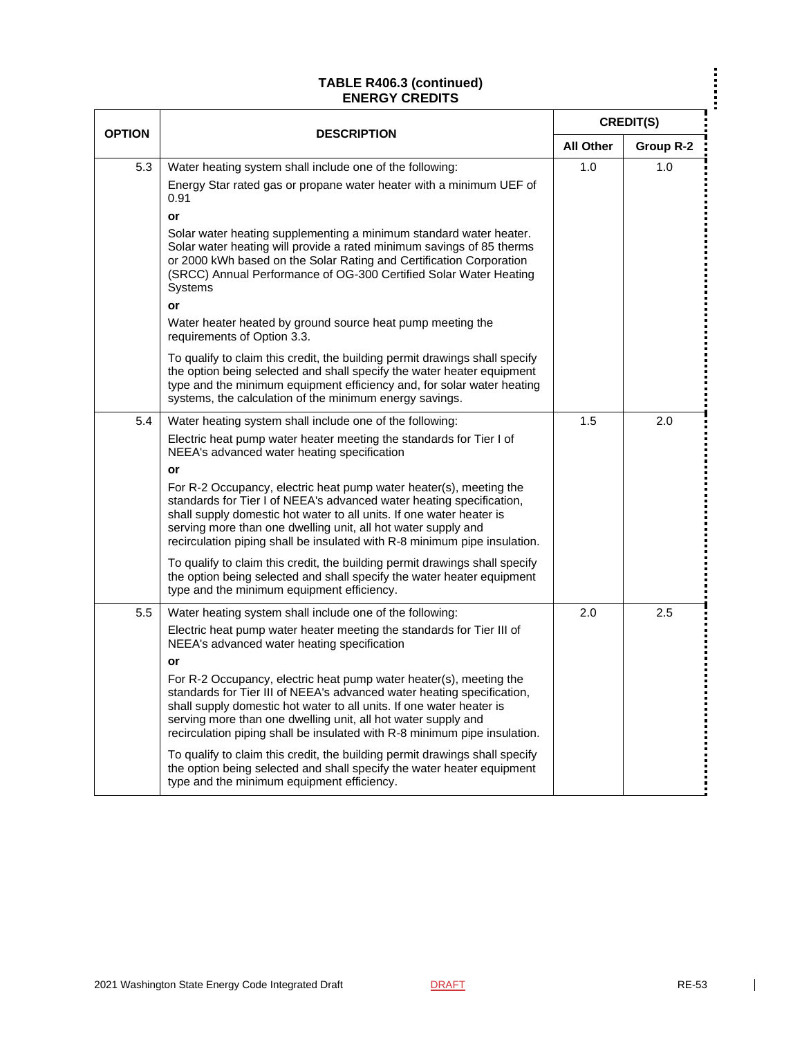#### **TABLE R406.3 (continued) ENERGY CREDITS**

| <b>OPTION</b><br><b>DESCRIPTION</b> |                                                                                                                                                                                                                                                                                                                                                                    |                  | <b>CREDIT(S)</b> |  |
|-------------------------------------|--------------------------------------------------------------------------------------------------------------------------------------------------------------------------------------------------------------------------------------------------------------------------------------------------------------------------------------------------------------------|------------------|------------------|--|
|                                     |                                                                                                                                                                                                                                                                                                                                                                    | <b>All Other</b> | Group R-2        |  |
| 5.3                                 | Water heating system shall include one of the following:                                                                                                                                                                                                                                                                                                           | 1.0              | 1.0              |  |
|                                     | Energy Star rated gas or propane water heater with a minimum UEF of<br>0.91                                                                                                                                                                                                                                                                                        |                  |                  |  |
|                                     | or<br>Solar water heating supplementing a minimum standard water heater.<br>Solar water heating will provide a rated minimum savings of 85 therms<br>or 2000 kWh based on the Solar Rating and Certification Corporation<br>(SRCC) Annual Performance of OG-300 Certified Solar Water Heating<br>Systems                                                           |                  |                  |  |
|                                     | or<br>Water heater heated by ground source heat pump meeting the<br>requirements of Option 3.3.                                                                                                                                                                                                                                                                    |                  |                  |  |
|                                     | To qualify to claim this credit, the building permit drawings shall specify<br>the option being selected and shall specify the water heater equipment<br>type and the minimum equipment efficiency and, for solar water heating<br>systems, the calculation of the minimum energy savings.                                                                         |                  |                  |  |
| 5.4                                 | Water heating system shall include one of the following:                                                                                                                                                                                                                                                                                                           | 1.5              | 2.0              |  |
|                                     | Electric heat pump water heater meeting the standards for Tier I of<br>NEEA's advanced water heating specification                                                                                                                                                                                                                                                 |                  |                  |  |
|                                     | or                                                                                                                                                                                                                                                                                                                                                                 |                  |                  |  |
|                                     | For R-2 Occupancy, electric heat pump water heater(s), meeting the<br>standards for Tier I of NEEA's advanced water heating specification,<br>shall supply domestic hot water to all units. If one water heater is<br>serving more than one dwelling unit, all hot water supply and<br>recirculation piping shall be insulated with R-8 minimum pipe insulation.   |                  |                  |  |
|                                     | To qualify to claim this credit, the building permit drawings shall specify<br>the option being selected and shall specify the water heater equipment<br>type and the minimum equipment efficiency.                                                                                                                                                                |                  |                  |  |
| 5.5                                 | Water heating system shall include one of the following:                                                                                                                                                                                                                                                                                                           | 2.0              | 2.5              |  |
|                                     | Electric heat pump water heater meeting the standards for Tier III of<br>NEEA's advanced water heating specification                                                                                                                                                                                                                                               |                  |                  |  |
|                                     | or                                                                                                                                                                                                                                                                                                                                                                 |                  |                  |  |
|                                     | For R-2 Occupancy, electric heat pump water heater(s), meeting the<br>standards for Tier III of NEEA's advanced water heating specification,<br>shall supply domestic hot water to all units. If one water heater is<br>serving more than one dwelling unit, all hot water supply and<br>recirculation piping shall be insulated with R-8 minimum pipe insulation. |                  |                  |  |
|                                     | To qualify to claim this credit, the building permit drawings shall specify<br>the option being selected and shall specify the water heater equipment<br>type and the minimum equipment efficiency.                                                                                                                                                                |                  |                  |  |

 $\overline{\phantom{a}}$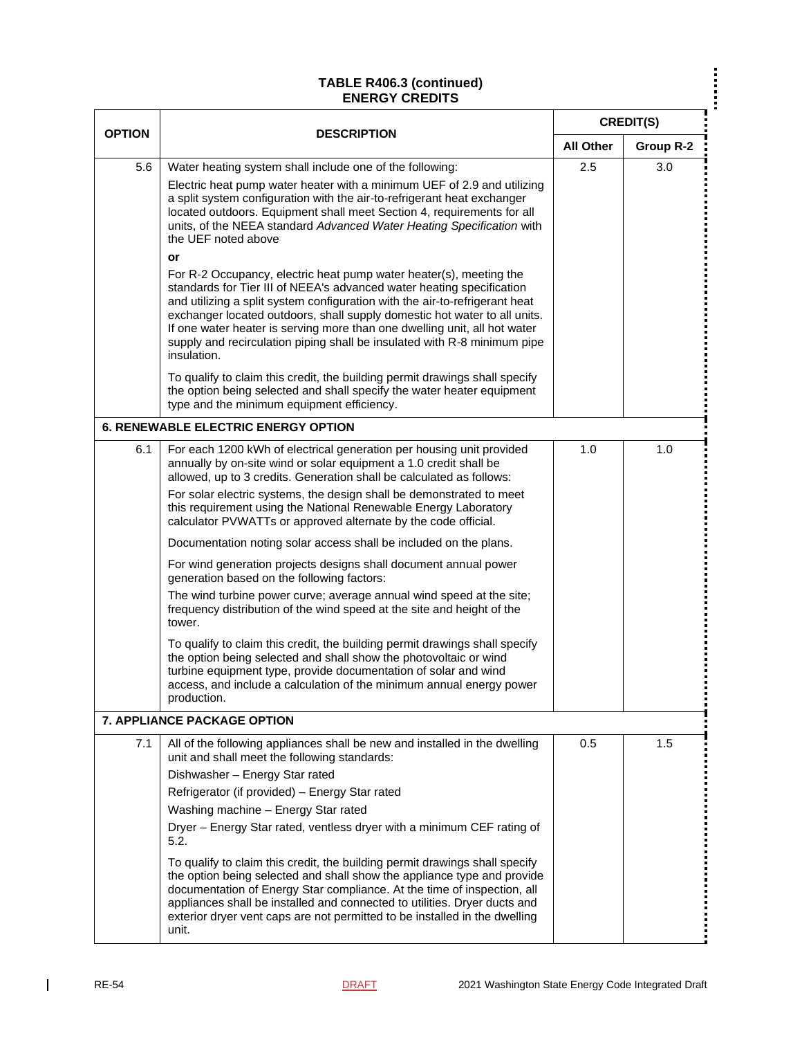#### **TABLE R406.3 (continued) ENERGY CREDITS**

|               | <b>ENERGY CREDITS</b>                                                                                                                                                                                                                                                                                                                                                                                                                                                           |                  | <b>CREDIT(S)</b> |
|---------------|---------------------------------------------------------------------------------------------------------------------------------------------------------------------------------------------------------------------------------------------------------------------------------------------------------------------------------------------------------------------------------------------------------------------------------------------------------------------------------|------------------|------------------|
| <b>OPTION</b> | <b>DESCRIPTION</b>                                                                                                                                                                                                                                                                                                                                                                                                                                                              | <b>All Other</b> | Group R-2        |
| 5.6           | Water heating system shall include one of the following:                                                                                                                                                                                                                                                                                                                                                                                                                        | 2.5              | 3.0              |
|               | Electric heat pump water heater with a minimum UEF of 2.9 and utilizing<br>a split system configuration with the air-to-refrigerant heat exchanger<br>located outdoors. Equipment shall meet Section 4, requirements for all<br>units, of the NEEA standard Advanced Water Heating Specification with<br>the UEF noted above<br>or                                                                                                                                              |                  |                  |
|               | For R-2 Occupancy, electric heat pump water heater(s), meeting the<br>standards for Tier III of NEEA's advanced water heating specification<br>and utilizing a split system configuration with the air-to-refrigerant heat<br>exchanger located outdoors, shall supply domestic hot water to all units.<br>If one water heater is serving more than one dwelling unit, all hot water<br>supply and recirculation piping shall be insulated with R-8 minimum pipe<br>insulation. |                  |                  |
|               | To qualify to claim this credit, the building permit drawings shall specify<br>the option being selected and shall specify the water heater equipment<br>type and the minimum equipment efficiency.                                                                                                                                                                                                                                                                             |                  |                  |
|               | <b>6. RENEWABLE ELECTRIC ENERGY OPTION</b>                                                                                                                                                                                                                                                                                                                                                                                                                                      |                  |                  |
| 6.1           | For each 1200 kWh of electrical generation per housing unit provided<br>annually by on-site wind or solar equipment a 1.0 credit shall be<br>allowed, up to 3 credits. Generation shall be calculated as follows:                                                                                                                                                                                                                                                               | 1.0              | 1.0              |
|               | For solar electric systems, the design shall be demonstrated to meet<br>this requirement using the National Renewable Energy Laboratory<br>calculator PVWATTs or approved alternate by the code official.                                                                                                                                                                                                                                                                       |                  |                  |
|               | Documentation noting solar access shall be included on the plans.                                                                                                                                                                                                                                                                                                                                                                                                               |                  |                  |
|               | For wind generation projects designs shall document annual power<br>generation based on the following factors:                                                                                                                                                                                                                                                                                                                                                                  |                  |                  |
|               | The wind turbine power curve; average annual wind speed at the site;<br>frequency distribution of the wind speed at the site and height of the<br>tower.                                                                                                                                                                                                                                                                                                                        |                  |                  |
|               | To qualify to claim this credit, the building permit drawings shall specify<br>the option being selected and shall show the photovoltaic or wind<br>turbine equipment type, provide documentation of solar and wind<br>access, and include a calculation of the minimum annual energy power<br>production.                                                                                                                                                                      |                  |                  |
|               | 7. APPLIANCE PACKAGE OPTION                                                                                                                                                                                                                                                                                                                                                                                                                                                     |                  |                  |
| 7.1           | All of the following appliances shall be new and installed in the dwelling<br>unit and shall meet the following standards:                                                                                                                                                                                                                                                                                                                                                      | 0.5              | 1.5              |
|               | Dishwasher - Energy Star rated                                                                                                                                                                                                                                                                                                                                                                                                                                                  |                  |                  |
|               | Refrigerator (if provided) - Energy Star rated                                                                                                                                                                                                                                                                                                                                                                                                                                  |                  |                  |
|               | Washing machine - Energy Star rated                                                                                                                                                                                                                                                                                                                                                                                                                                             |                  |                  |
|               | Dryer - Energy Star rated, ventless dryer with a minimum CEF rating of<br>5.2.                                                                                                                                                                                                                                                                                                                                                                                                  |                  |                  |
|               | To qualify to claim this credit, the building permit drawings shall specify<br>the option being selected and shall show the appliance type and provide<br>documentation of Energy Star compliance. At the time of inspection, all<br>appliances shall be installed and connected to utilities. Dryer ducts and<br>exterior dryer vent caps are not permitted to be installed in the dwelling<br>unit.                                                                           |                  |                  |

 $\overline{1}$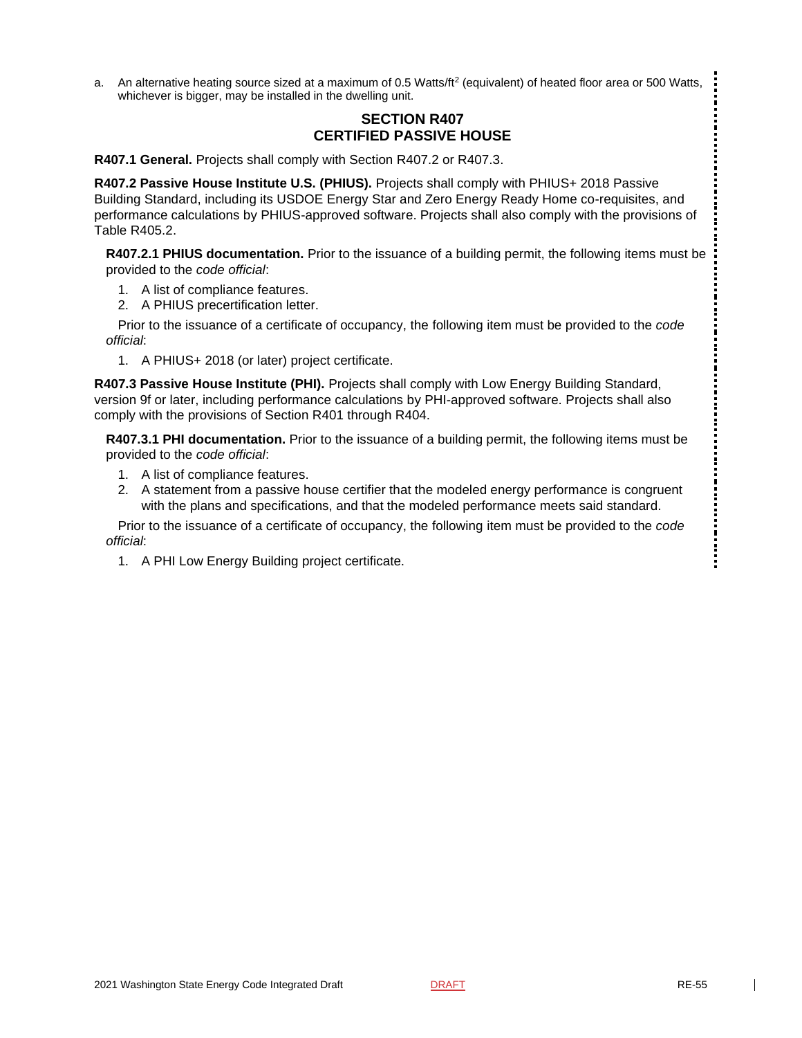a. An alternative heating source sized at a maximum of 0.5 Watts/ft<sup>2</sup> (equivalent) of heated floor area or 500 Watts, whichever is bigger, may be installed in the dwelling unit.

#### **SECTION R407 CERTIFIED PASSIVE HOUSE**

**R407.1 General.** Projects shall comply with Section R407.2 or R407.3.

**R407.2 Passive House Institute U.S. (PHIUS).** Projects shall comply with PHIUS+ 2018 Passive Building Standard, including its USDOE Energy Star and Zero Energy Ready Home co-requisites, and performance calculations by PHIUS-approved software. Projects shall also comply with the provisions of Table R405.2.

**R407.2.1 PHIUS documentation.** Prior to the issuance of a building permit, the following items must be provided to the *code official*:

- 1. A list of compliance features.
- 2. A PHIUS precertification letter.

Prior to the issuance of a certificate of occupancy, the following item must be provided to the *code official*:

1. A PHIUS+ 2018 (or later) project certificate.

**R407.3 Passive House Institute (PHI).** Projects shall comply with Low Energy Building Standard, version 9f or later, including performance calculations by PHI-approved software. Projects shall also comply with the provisions of Section R401 through R404.

**R407.3.1 PHI documentation.** Prior to the issuance of a building permit, the following items must be provided to the *code official*:

- 1. A list of compliance features.
- 2. A statement from a passive house certifier that the modeled energy performance is congruent with the plans and specifications, and that the modeled performance meets said standard.

Prior to the issuance of a certificate of occupancy, the following item must be provided to the *code official*:

1. A PHI Low Energy Building project certificate.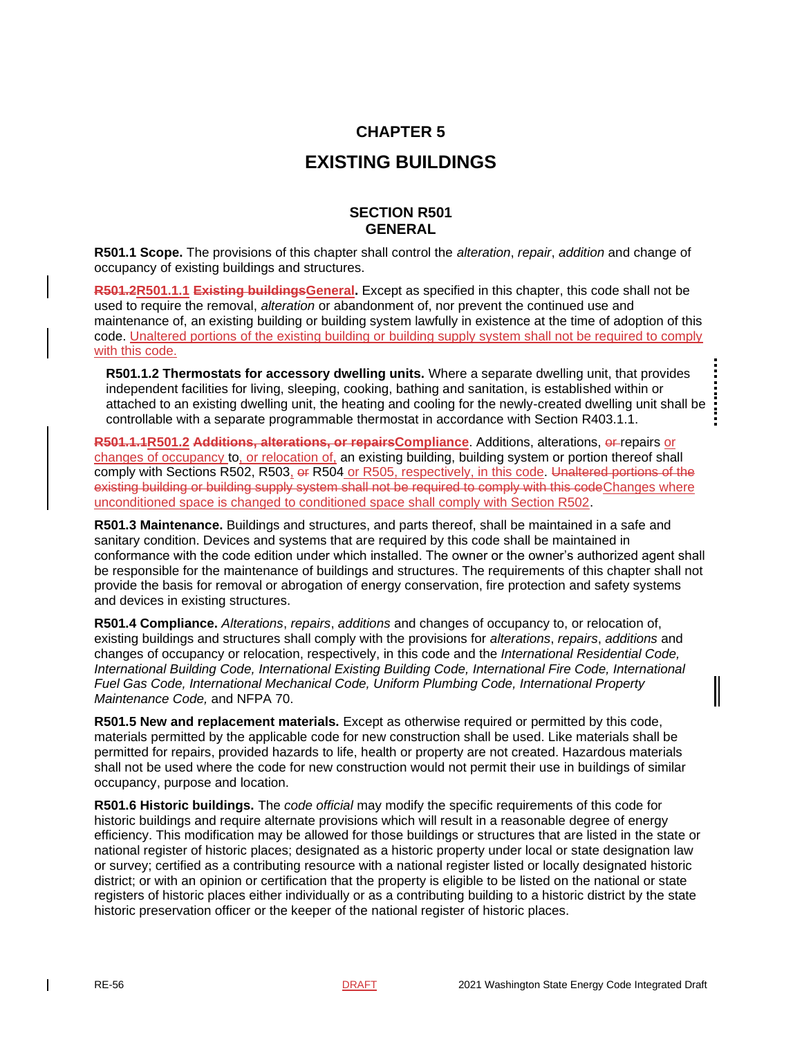# **CHAPTER 5 EXISTING BUILDINGS**

#### **SECTION R501 GENERAL**

**R501.1 Scope.** The provisions of this chapter shall control the *alteration*, *repair*, *addition* and change of occupancy of existing buildings and structures.

**R501.2R501.1.1 Existing buildingsGeneral.** Except as specified in this chapter, this code shall not be used to require the removal, *alteration* or abandonment of, nor prevent the continued use and maintenance of, an existing building or building system lawfully in existence at the time of adoption of this code. Unaltered portions of the existing building or building supply system shall not be required to comply with this code.

**R501.1.2 Thermostats for accessory dwelling units.** Where a separate dwelling unit, that provides independent facilities for living, sleeping, cooking, bathing and sanitation, is established within or attached to an existing dwelling unit, the heating and cooling for the newly-created dwelling unit shall be controllable with a separate programmable thermostat in accordance with Section R403.1.1.

**R501.1.1R501.2 Additions, alterations, or repairsCompliance**. Additions, alterations, or repairs or changes of occupancy to, or relocation of, an existing building, building system or portion thereof shall comply with Sections R502, R503, or R504 or R505, respectively, in this code. Unaltered portions of the existing building or building supply system shall not be required to comply with this codeChanges where unconditioned space is changed to conditioned space shall comply with Section R502.

**R501.3 Maintenance.** Buildings and structures, and parts thereof, shall be maintained in a safe and sanitary condition. Devices and systems that are required by this code shall be maintained in conformance with the code edition under which installed. The owner or the owner's authorized agent shall be responsible for the maintenance of buildings and structures. The requirements of this chapter shall not provide the basis for removal or abrogation of energy conservation, fire protection and safety systems and devices in existing structures.

**R501.4 Compliance.** *Alterations*, *repairs*, *additions* and changes of occupancy to, or relocation of, existing buildings and structures shall comply with the provisions for *alterations*, *repairs*, *additions* and changes of occupancy or relocation, respectively, in this code and the *International Residential Code, International Building Code, International Existing Building Code, International Fire Code, International Fuel Gas Code, International Mechanical Code, Uniform Plumbing Code, International Property Maintenance Code,* and NFPA 70.

**R501.5 New and replacement materials.** Except as otherwise required or permitted by this code, materials permitted by the applicable code for new construction shall be used. Like materials shall be permitted for repairs, provided hazards to life, health or property are not created. Hazardous materials shall not be used where the code for new construction would not permit their use in buildings of similar occupancy, purpose and location.

**R501.6 Historic buildings.** The *code official* may modify the specific requirements of this code for historic buildings and require alternate provisions which will result in a reasonable degree of energy efficiency. This modification may be allowed for those buildings or structures that are listed in the state or national register of historic places; designated as a historic property under local or state designation law or survey; certified as a contributing resource with a national register listed or locally designated historic district; or with an opinion or certification that the property is eligible to be listed on the national or state registers of historic places either individually or as a contributing building to a historic district by the state historic preservation officer or the keeper of the national register of historic places.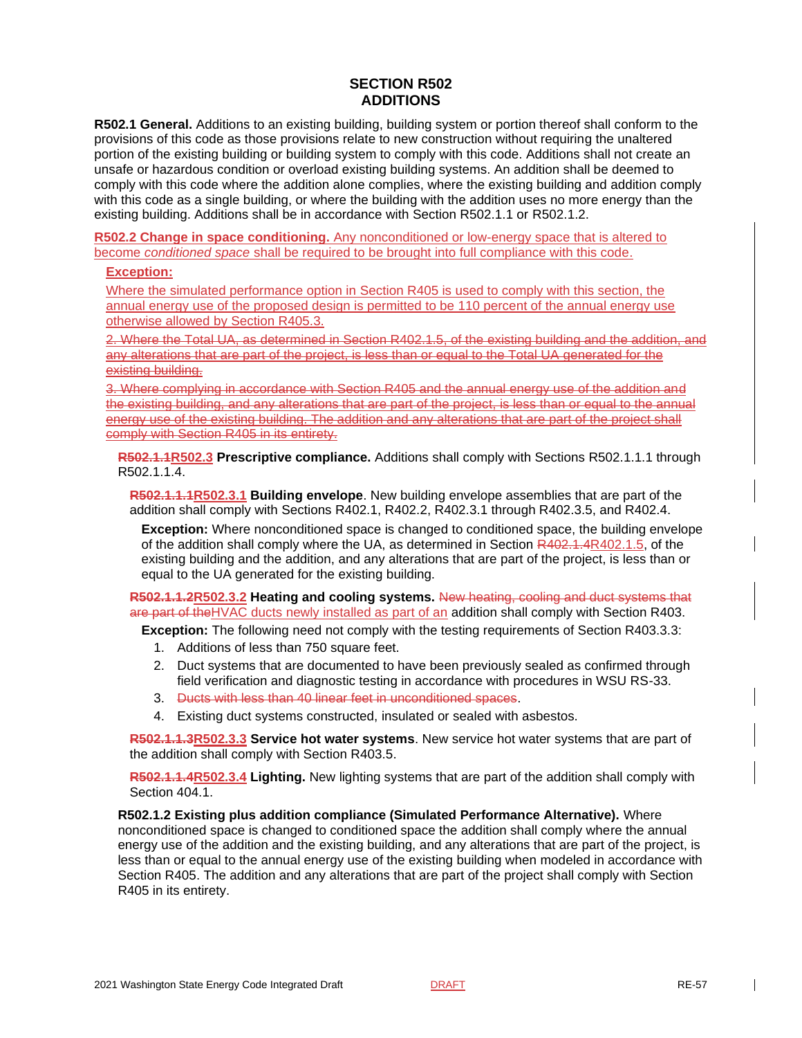#### **SECTION R502 ADDITIONS**

**R502.1 General.** Additions to an existing building, building system or portion thereof shall conform to the provisions of this code as those provisions relate to new construction without requiring the unaltered portion of the existing building or building system to comply with this code. Additions shall not create an unsafe or hazardous condition or overload existing building systems. An addition shall be deemed to comply with this code where the addition alone complies, where the existing building and addition comply with this code as a single building, or where the building with the addition uses no more energy than the existing building. Additions shall be in accordance with Section R502.1.1 or R502.1.2.

**R502.2 Change in space conditioning.** Any nonconditioned or low-energy space that is altered to become *conditioned space* shall be required to be brought into full compliance with this code.

#### **Exception:**

Where the simulated performance option in Section R405 is used to comply with this section, the annual energy use of the proposed design is permitted to be 110 percent of the annual energy use otherwise allowed by Section R405.3.

2. Where the Total UA, as determined in Section R402.1.5, of the existing building and the addition, and any alterations that are part of the project, is less than or equal to the Total UA generated for the existing building.

3. Where complying in accordance with Section R405 and the annual energy use of the addition and the existing building, and any alterations that are part of the project, is less than or equal to the annual energy use of the existing building. The addition and any alterations that are part of the project shall comply with Section R405 in its entirety.

**R502.1.1R502.3 Prescriptive compliance.** Additions shall comply with Sections R502.1.1.1 through R502.1.1.4.

**R502.1.1.1R502.3.1 Building envelope**. New building envelope assemblies that are part of the addition shall comply with Sections R402.1, R402.2, R402.3.1 through R402.3.5, and R402.4.

**Exception:** Where nonconditioned space is changed to conditioned space, the building envelope of the addition shall comply where the UA, as determined in Section R402.1.4R402.1.5, of the existing building and the addition, and any alterations that are part of the project, is less than or equal to the UA generated for the existing building.

**R502.1.1.2R502.3.2 Heating and cooling systems.** New heating, cooling and duct systems that are part of theHVAC ducts newly installed as part of an addition shall comply with Section R403.

**Exception:** The following need not comply with the testing requirements of Section R403.3.3:

- 1. Additions of less than 750 square feet.
- 2. Duct systems that are documented to have been previously sealed as confirmed through field verification and diagnostic testing in accordance with procedures in WSU RS-33.
- 3. Ducts with less than 40 linear feet in unconditioned spaces.
- 4. Existing duct systems constructed, insulated or sealed with asbestos.

**R502.1.1.3R502.3.3 Service hot water systems**. New service hot water systems that are part of the addition shall comply with Section R403.5.

**R502.1.1.4R502.3.4 Lighting.** New lighting systems that are part of the addition shall comply with Section 404.1.

**R502.1.2 Existing plus addition compliance (Simulated Performance Alternative).** Where nonconditioned space is changed to conditioned space the addition shall comply where the annual energy use of the addition and the existing building, and any alterations that are part of the project, is less than or equal to the annual energy use of the existing building when modeled in accordance with Section R405. The addition and any alterations that are part of the project shall comply with Section R405 in its entirety.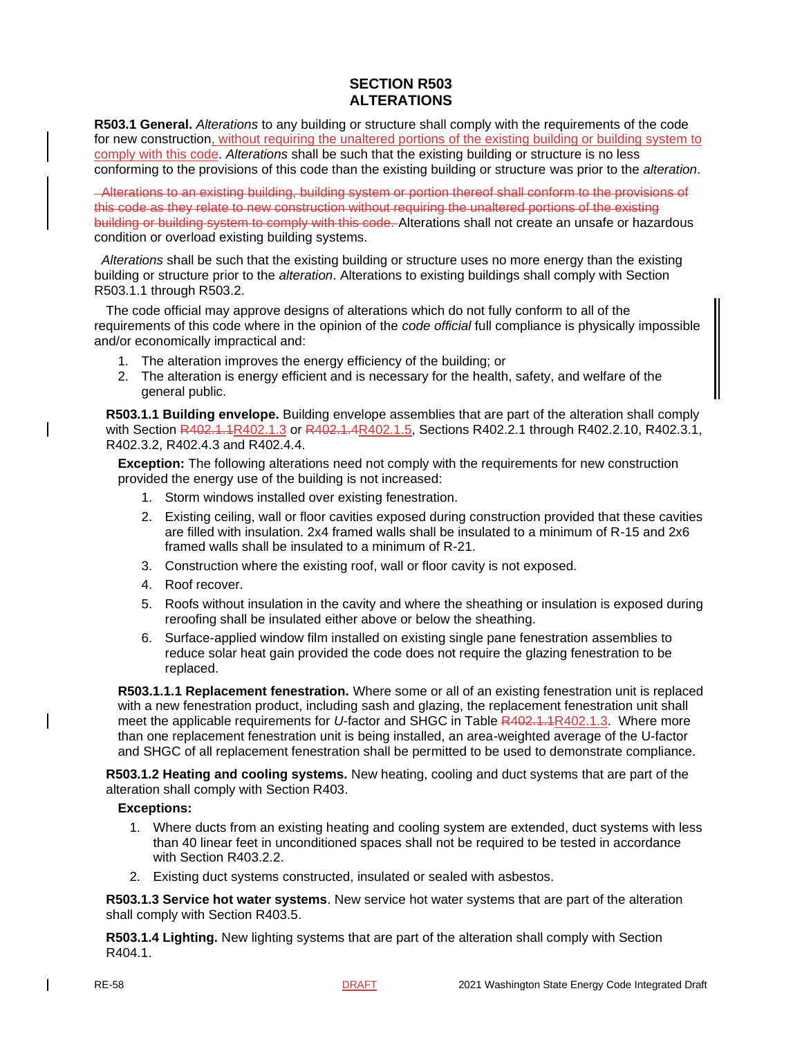#### **SECTION R503 ALTERATIONS**

**R503.1 General.** *Alterations* to any building or structure shall comply with the requirements of the code for new construction, without requiring the unaltered portions of the existing building or building system to comply with this code. *Alterations* shall be such that the existing building or structure is no less conforming to the provisions of this code than the existing building or structure was prior to the *alteration*.

 Alterations to an existing building, building system or portion thereof shall conform to the provisions of this code as they relate to new construction without requiring the unaltered portions of the existing building or building system to comply with this code. Alterations shall not create an unsafe or hazardous condition or overload existing building systems.

*Alterations* shall be such that the existing building or structure uses no more energy than the existing building or structure prior to the *alteration*. Alterations to existing buildings shall comply with Section R503.1.1 through R503.2.

The code official may approve designs of alterations which do not fully conform to all of the requirements of this code where in the opinion of the *code official* full compliance is physically impossible and/or economically impractical and:

- 1. The alteration improves the energy efficiency of the building; or
- 2. The alteration is energy efficient and is necessary for the health, safety, and welfare of the general public.

**R503.1.1 Building envelope.** Building envelope assemblies that are part of the alteration shall comply with Section R402.1.1R402.1.3 or R402.1.4R402.1.5, Sections R402.2.1 through R402.2.10, R402.3.1, R402.3.2, R402.4.3 and R402.4.4.

**Exception:** The following alterations need not comply with the requirements for new construction provided the energy use of the building is not increased:

- 1. Storm windows installed over existing fenestration.
- 2. Existing ceiling, wall or floor cavities exposed during construction provided that these cavities are filled with insulation. 2x4 framed walls shall be insulated to a minimum of R-15 and 2x6 framed walls shall be insulated to a minimum of R-21.
- 3. Construction where the existing roof, wall or floor cavity is not exposed.
- 4. Roof recover.
- 5. Roofs without insulation in the cavity and where the sheathing or insulation is exposed during reroofing shall be insulated either above or below the sheathing.
- 6. Surface-applied window film installed on existing single pane fenestration assemblies to reduce solar heat gain provided the code does not require the glazing fenestration to be replaced.

**R503.1.1.1 Replacement fenestration.** Where some or all of an existing fenestration unit is replaced with a new fenestration product, including sash and glazing, the replacement fenestration unit shall meet the applicable requirements for *U*-factor and SHGC in Table R402.1.1R402.1.3. Where more than one replacement fenestration unit is being installed, an area-weighted average of the U-factor and SHGC of all replacement fenestration shall be permitted to be used to demonstrate compliance.

**R503.1.2 Heating and cooling systems.** New heating, cooling and duct systems that are part of the alteration shall comply with Section R403.

#### **Exceptions:**

- 1. Where ducts from an existing heating and cooling system are extended, duct systems with less than 40 linear feet in unconditioned spaces shall not be required to be tested in accordance with Section R403.2.2.
- 2. Existing duct systems constructed, insulated or sealed with asbestos.

**R503.1.3 Service hot water systems**. New service hot water systems that are part of the alteration shall comply with Section R403.5.

**R503.1.4 Lighting.** New lighting systems that are part of the alteration shall comply with Section R404.1.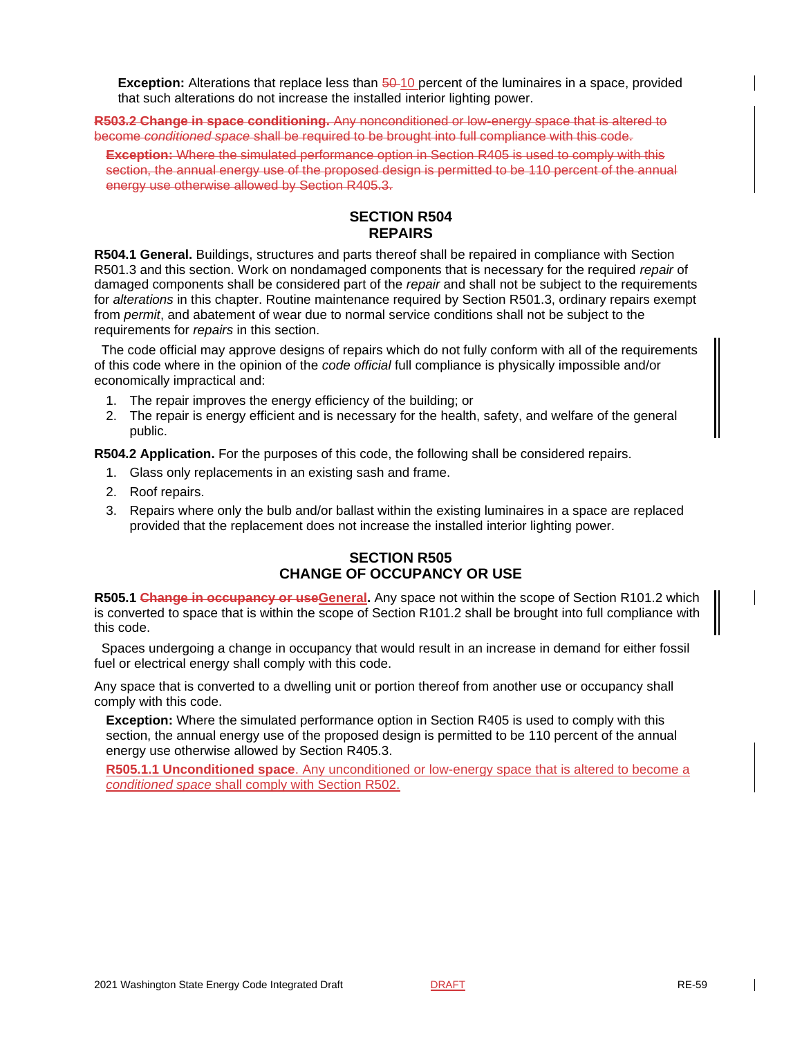**Exception:** Alterations that replace less than 50-10 percent of the luminaires in a space, provided that such alterations do not increase the installed interior lighting power.

**R503.2 Change in space conditioning.** Any nonconditioned or low-energy space that is altered to become *conditioned space* shall be required to be brought into full compliance with this code.

**Exception:** Where the simulated performance option in Section R405 is used to comply with this section, the annual energy use of the proposed design is permitted to be 110 percent of the annual energy use otherwise allowed by Section R405.3.

#### **SECTION R504 REPAIRS**

**R504.1 General.** Buildings, structures and parts thereof shall be repaired in compliance with Section R501.3 and this section. Work on nondamaged components that is necessary for the required *repair* of damaged components shall be considered part of the *repair* and shall not be subject to the requirements for *alterations* in this chapter. Routine maintenance required by Section R501.3, ordinary repairs exempt from *permit*, and abatement of wear due to normal service conditions shall not be subject to the requirements for *repairs* in this section.

The code official may approve designs of repairs which do not fully conform with all of the requirements of this code where in the opinion of the *code official* full compliance is physically impossible and/or economically impractical and:

- 1. The repair improves the energy efficiency of the building; or
- 2. The repair is energy efficient and is necessary for the health, safety, and welfare of the general public.

**R504.2 Application.** For the purposes of this code, the following shall be considered repairs.

- 1. Glass only replacements in an existing sash and frame.
- 2. Roof repairs.
- 3. Repairs where only the bulb and/or ballast within the existing luminaires in a space are replaced provided that the replacement does not increase the installed interior lighting power.

#### **SECTION R505 CHANGE OF OCCUPANCY OR USE**

**R505.1 Change in occupancy or useGeneral.** Any space not within the scope of Section R101.2 which is converted to space that is within the scope of Section R101.2 shall be brought into full compliance with this code.

 Spaces undergoing a change in occupancy that would result in an increase in demand for either fossil fuel or electrical energy shall comply with this code.

Any space that is converted to a dwelling unit or portion thereof from another use or occupancy shall comply with this code.

**Exception:** Where the simulated performance option in Section R405 is used to comply with this section, the annual energy use of the proposed design is permitted to be 110 percent of the annual energy use otherwise allowed by Section R405.3.

**R505.1.1 Unconditioned space**. Any unconditioned or low-energy space that is altered to become a *conditioned space* shall comply with Section R502.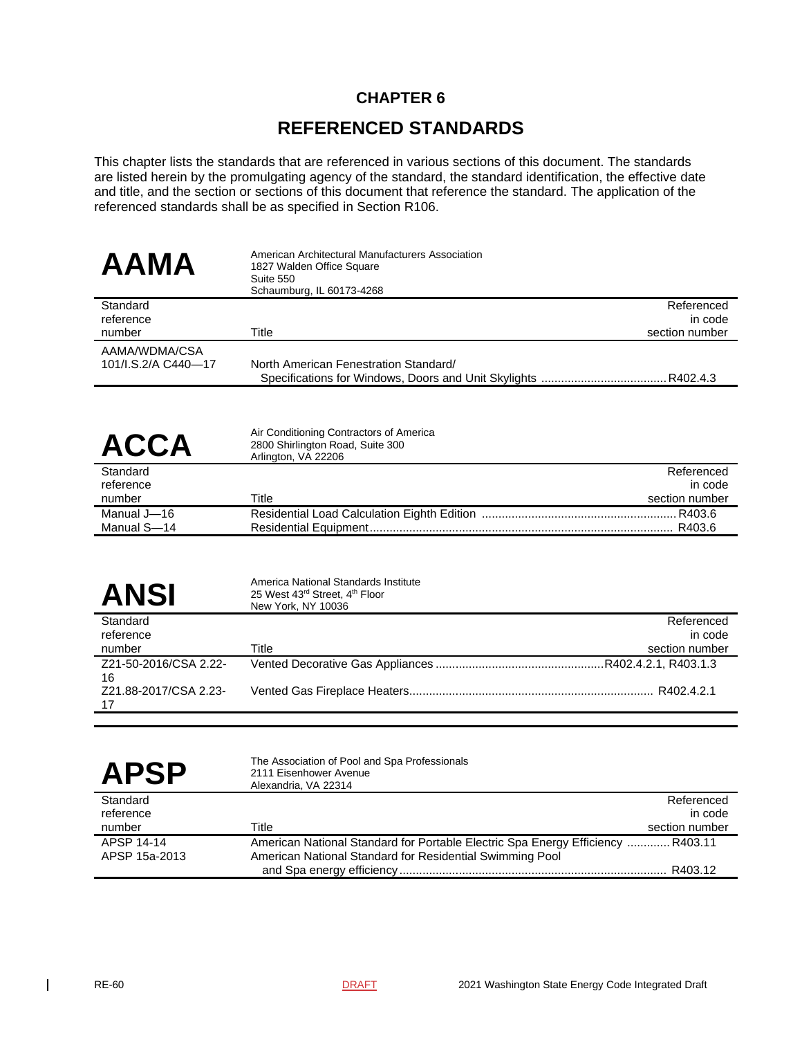#### **CHAPTER 6**

# **REFERENCED STANDARDS**

This chapter lists the standards that are referenced in various sections of this document. The standards are listed herein by the promulgating agency of the standard, the standard identification, the effective date and title, and the section or sections of this document that reference the standard. The application of the referenced standards shall be as specified in Section R106.

| AAMA                        | American Architectural Manufacturers Association<br>1827 Walden Office Square<br>Suite 550         |                |
|-----------------------------|----------------------------------------------------------------------------------------------------|----------------|
|                             | Schaumburg, IL 60173-4268                                                                          |                |
| Standard                    |                                                                                                    | Referenced     |
| reference                   |                                                                                                    | in code        |
| number                      | Title                                                                                              | section number |
| AAMA/WDMA/CSA               |                                                                                                    |                |
| 101/I.S.2/A C440-17         | North American Fenestration Standard/                                                              |                |
|                             |                                                                                                    |                |
| <b>ACCA</b>                 | Air Conditioning Contractors of America<br>2800 Shirlington Road, Suite 300<br>Arlington, VA 22206 |                |
| Standard                    |                                                                                                    | Referenced     |
| reference                   |                                                                                                    | in code        |
| number                      | Title                                                                                              | section number |
| Manual J-16                 |                                                                                                    |                |
| Manual S-14                 |                                                                                                    |                |
| <b>ANSI</b>                 | America National Standards Institute<br>25 West 43rd Street, 4th Floor<br>New York, NY 10036       |                |
| Standard                    |                                                                                                    | Referenced     |
| reference                   |                                                                                                    | in code        |
| number                      | Title                                                                                              | section number |
| Z21-50-2016/CSA 2.22-       |                                                                                                    |                |
| 16                          |                                                                                                    |                |
| Z21.88-2017/CSA 2.23-<br>17 |                                                                                                    |                |
|                             |                                                                                                    |                |

| <b>APSP</b>           | The Association of Pool and Spa Professionals<br>2111 Eisenhower Avenue<br>Alexandria, VA 22314 |         |
|-----------------------|-------------------------------------------------------------------------------------------------|---------|
| Standard<br>reference | Referenced                                                                                      | in code |
| number                | section number<br>Title                                                                         |         |
| APSP 14-14            | American National Standard for Portable Electric Spa Energy Efficiency  R403.11                 |         |
| APSP 15a-2013         | American National Standard for Residential Swimming Pool                                        |         |
|                       |                                                                                                 |         |

 $\overline{\phantom{a}}$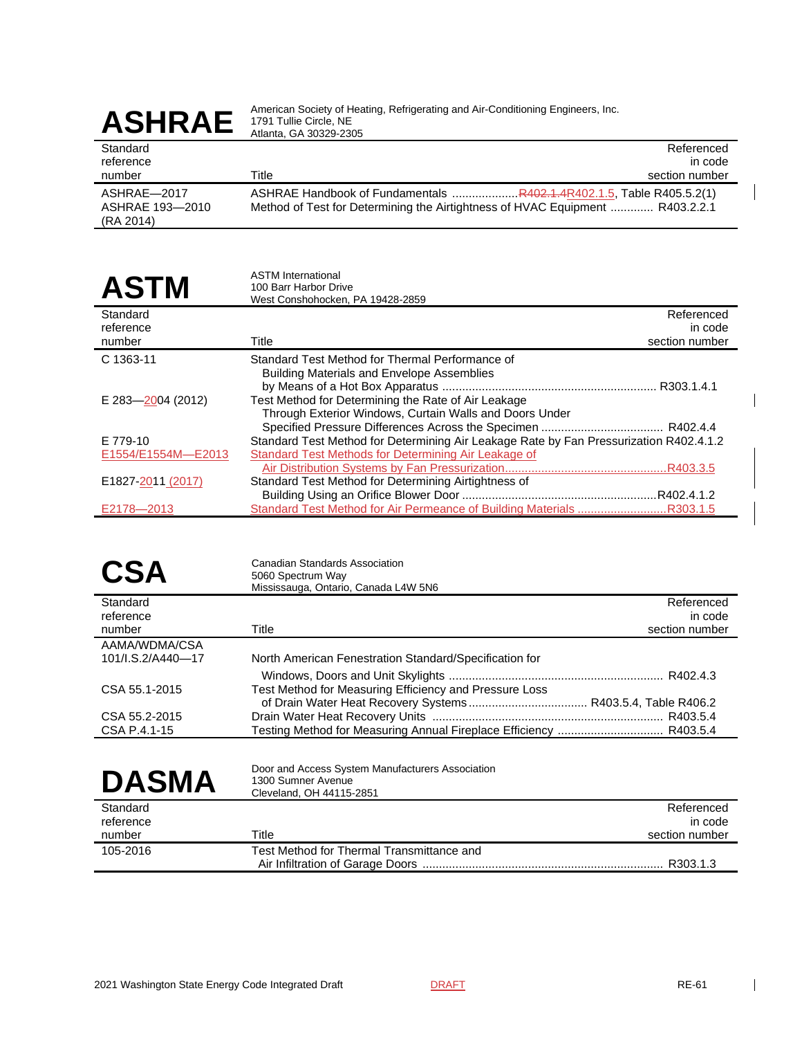ASHRAE American Society of Heating, Refrigerating and Air-Conditioning Engineers, Inc.<br>ASHRAE Atlanta, GA 30329-2305 1791 Tullie Circle, NE Atlanta, GA 30329-2305

|                 | Allahia. OA JUJZJ-ZJUJ                                                        |
|-----------------|-------------------------------------------------------------------------------|
| Standard        | Referenced                                                                    |
| reference       | in code                                                                       |
| number          | Title<br>section number                                                       |
| ASHRAE-2017     | ASHRAE Handbook of Fundamentals R402.1.4R402.1.5. Table R405.5.2(1)           |
| ASHRAE 193-2010 | Method of Test for Determining the Airtightness of HVAC Equipment  R403.2.2.1 |
| (RA 2014)       |                                                                               |

| <b>ASTM</b>        | <b>ASTM International</b><br>100 Barr Harbor Drive<br>West Conshohocken, PA 19428-2859 |                |
|--------------------|----------------------------------------------------------------------------------------|----------------|
| Standard           |                                                                                        | Referenced     |
| reference          |                                                                                        | in code        |
| number             | Title                                                                                  | section number |
| C 1363-11          | Standard Test Method for Thermal Performance of                                        |                |
|                    | <b>Building Materials and Envelope Assemblies</b>                                      |                |
|                    |                                                                                        |                |
| E 283-2004 (2012)  | Test Method for Determining the Rate of Air Leakage                                    |                |
|                    | Through Exterior Windows, Curtain Walls and Doors Under                                |                |
|                    |                                                                                        |                |
| E 779-10           | Standard Test Method for Determining Air Leakage Rate by Fan Pressurization R402.4.1.2 |                |
| E1554/E1554M-E2013 | Standard Test Methods for Determining Air Leakage of                                   |                |
|                    |                                                                                        |                |
| E1827-2011 (2017)  | Standard Test Method for Determining Airtightness of                                   |                |
|                    |                                                                                        |                |
| E2178-2013         | Standard Test Method for Air Permeance of Building Materials R303.1.5                  |                |

**CSA** Canadian Standards Association<br>
5060 Spectrum Way<br>
Mississauga Ontario Canada Lé

|                   | Mississauga, Ontario, Canada L4W 5N6                                                               |                |
|-------------------|----------------------------------------------------------------------------------------------------|----------------|
| Standard          |                                                                                                    | Referenced     |
| reference         |                                                                                                    | in code        |
| number            | Title                                                                                              | section number |
| AAMA/WDMA/CSA     |                                                                                                    |                |
| 101/I.S.2/A440-17 | North American Fenestration Standard/Specification for                                             |                |
|                   |                                                                                                    |                |
| CSA 55.1-2015     | Test Method for Measuring Efficiency and Pressure Loss                                             |                |
|                   |                                                                                                    |                |
| CSA 55.2-2015     |                                                                                                    |                |
| CSA P.4.1-15      | Testing Method for Measuring Annual Fireplace Efficiency  R403.5.4                                 |                |
| <b>DASMA</b>      | Door and Access System Manufacturers Association<br>1300 Sumner Avenue<br>Cleveland, OH 44115-2851 |                |
| Standard          |                                                                                                    | Referenced     |
|                   |                                                                                                    |                |

| --------- |                                           | .              |
|-----------|-------------------------------------------|----------------|
| reference |                                           | in code        |
| number    | Title                                     | section number |
| 105-2016  | Test Method for Thermal Transmittance and |                |
|           |                                           |                |

 $\overline{\phantom{a}}$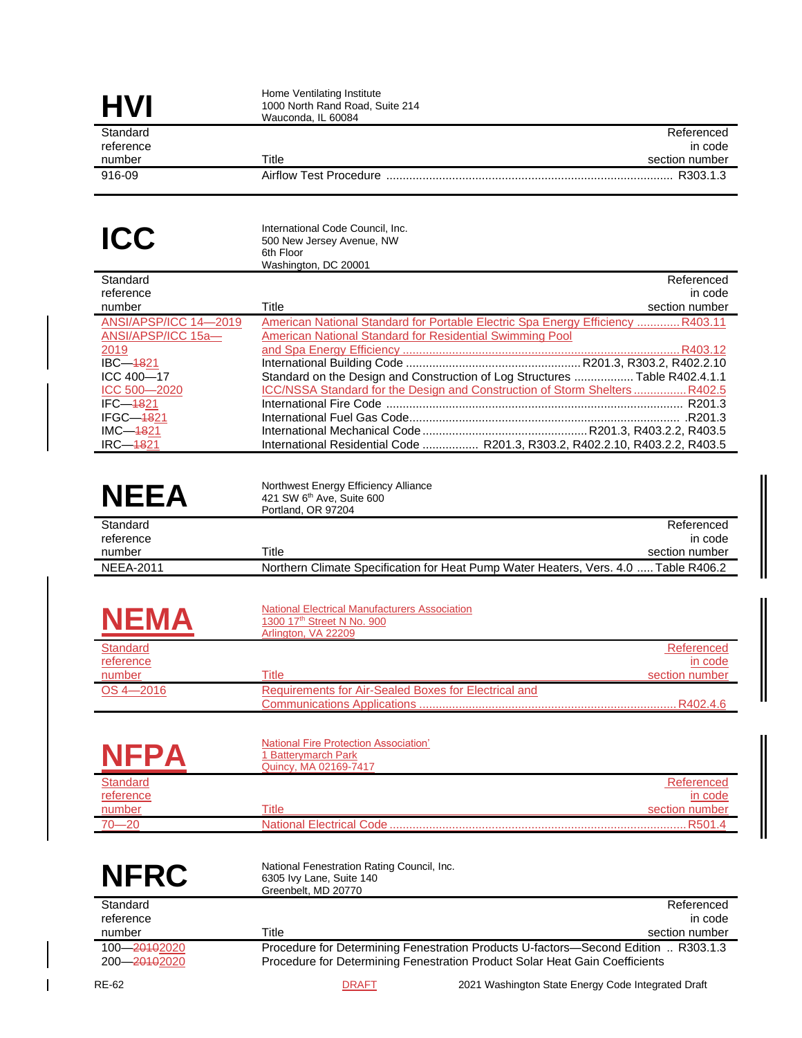| HVI                     | Home Ventilating Institute<br>1000 North Rand Road, Suite 214                                                                                                     |         |
|-------------------------|-------------------------------------------------------------------------------------------------------------------------------------------------------------------|---------|
| Standard                | Wauconda, IL 60084<br>Referenced                                                                                                                                  |         |
| reference               |                                                                                                                                                                   | in code |
| number                  | Title<br>section number                                                                                                                                           |         |
| 916-09                  |                                                                                                                                                                   |         |
|                         | International Code Council, Inc.                                                                                                                                  |         |
| <b>ICC</b>              | 500 New Jersey Avenue, NW<br>6th Floor<br>Washington, DC 20001                                                                                                    |         |
| Standard<br>reference   | Referenced                                                                                                                                                        | in code |
| number                  | Title<br>section number                                                                                                                                           |         |
| ANSI/APSP/ICC 14-2019   | American National Standard for Portable Electric Spa Energy Efficiency  R403.11                                                                                   |         |
| ANSI/APSP/ICC 15a-      | <b>American National Standard for Residential Swimming Pool</b>                                                                                                   |         |
| 2019<br><b>IBC-4821</b> |                                                                                                                                                                   |         |
| ICC 400-17              | Standard on the Design and Construction of Log Structures  Table R402.4.1.1                                                                                       |         |
| ICC 500-2020            | ICC/NSSA Standard for the Design and Construction of Storm Shelters  R402.5                                                                                       |         |
| IFC-4821<br>IFGC-4821   |                                                                                                                                                                   |         |
| IMC-4821                |                                                                                                                                                                   |         |
| IRC-4821                | International Residential Code  R201.3, R303.2, R402.2.10, R403.2.2, R403.5                                                                                       |         |
|                         |                                                                                                                                                                   |         |
| <b>NEEA</b>             | Northwest Energy Efficiency Alliance<br>421 SW 6 <sup>th</sup> Ave, Suite 600                                                                                     |         |
| Standard                | Portland, OR 97204<br>Referenced                                                                                                                                  |         |
| reference               |                                                                                                                                                                   | in code |
| number                  | Title<br>section number                                                                                                                                           |         |
| <b>NEEA-2011</b>        | Northern Climate Specification for Heat Pump Water Heaters, Vers. 4.0  Table R406.2                                                                               |         |
|                         |                                                                                                                                                                   |         |
| NEMA                    | <b>National Electrical Manufacturers Association</b>                                                                                                              |         |
|                         | 1300 17 <sup>th</sup> Street N No. 900<br>Arlington, VA 22209                                                                                                     |         |
| <b>Standard</b>         | Referenced                                                                                                                                                        |         |
| reference               |                                                                                                                                                                   | in code |
| number<br>OS 4-2016     | Title<br>section number<br>Requirements for Air-Sealed Boxes for Electrical and                                                                                   |         |
|                         |                                                                                                                                                                   |         |
|                         |                                                                                                                                                                   |         |
|                         | National Fire Protection Association'                                                                                                                             |         |
| <b>NFPA</b>             | 1 Batterymarch Park                                                                                                                                               |         |
|                         | Quincy, MA 02169-7417                                                                                                                                             |         |
| Standard<br>reference   | Referenced                                                                                                                                                        | in code |
| number                  | Title<br>section number                                                                                                                                           |         |
| $70 - 20$               |                                                                                                                                                                   | R501.4  |
|                         |                                                                                                                                                                   |         |
|                         | National Fenestration Rating Council, Inc.                                                                                                                        |         |
| <b>NFRC</b>             | 6305 Ivy Lane, Suite 140                                                                                                                                          |         |
| Standard                | Greenbelt, MD 20770<br>Referenced                                                                                                                                 |         |
| reference               |                                                                                                                                                                   | in code |
| number                  | Title<br>section number                                                                                                                                           |         |
| 100-20102020            | Procedure for Determining Fenestration Products U-factors-Second Edition  R303.1.3<br>Procedure for Determining Fenestration Product Solar Heat Gain Coefficients |         |

RE-62 DRAFT DRAFT 2021 Washington State Energy Code Integrated Draft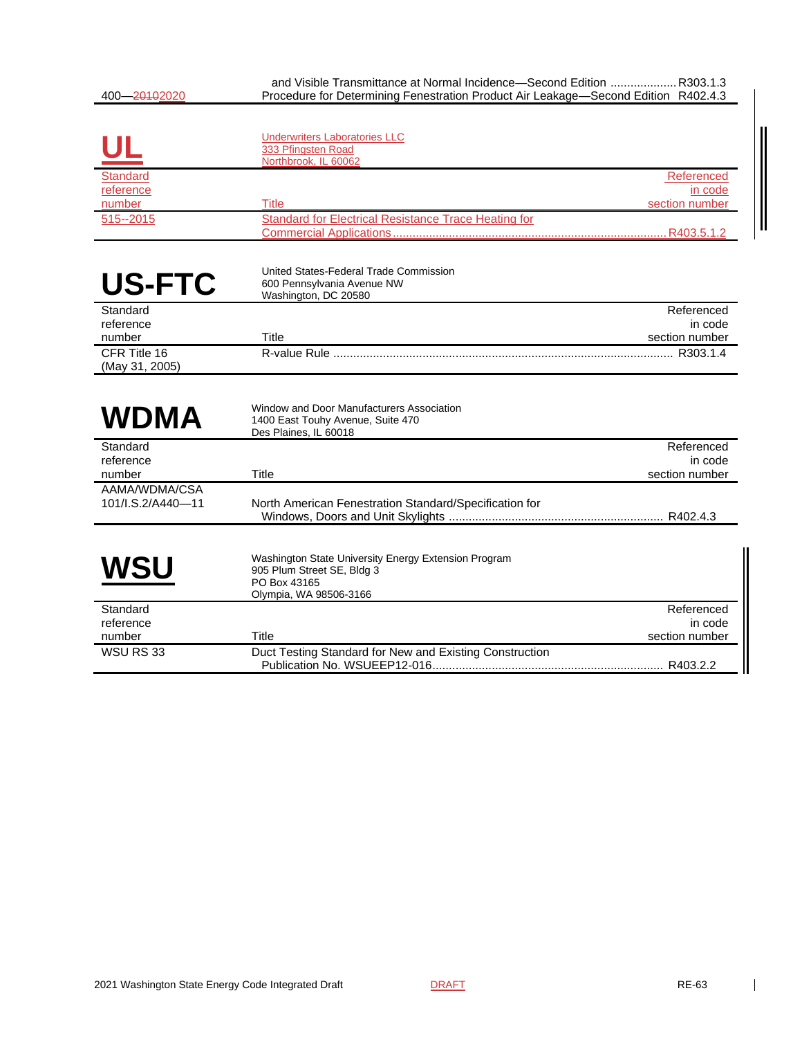and Visible Transmittance at Normal Incidence—Second Edition .................... R303.1.3 400—20102020 Procedure for Determining Fenestration Product Air Leakage—Second Edition R402.4.3

| <b>Service State</b> | <b>Underwriters Laboratories LLC</b><br>333 Pfingsten Road<br>Northbrook, IL 60062 |                |
|----------------------|------------------------------------------------------------------------------------|----------------|
| Standard             |                                                                                    | Referenced     |
| reference            |                                                                                    | in code        |
| number               | Title                                                                              | section number |
| 515 -- 2015          | <b>Standard for Electrical Resistance Trace Heating for</b>                        |                |
|                      | Commercial Applications                                                            | R403.5.1.2     |

| <b>US-FTC</b>                      | United States-Federal Trade Commission<br>600 Pennsylvania Avenue NW                                                         |                                         |
|------------------------------------|------------------------------------------------------------------------------------------------------------------------------|-----------------------------------------|
| Standard<br>reference<br>number    | Washington, DC 20580<br>Title                                                                                                | Referenced<br>in code<br>section number |
| CFR Title 16<br>(May 31, 2005)     |                                                                                                                              | R303.1.4                                |
| <b>WDMA</b>                        | Window and Door Manufacturers Association<br>1400 East Touhy Avenue, Suite 470<br>Des Plaines, IL 60018                      |                                         |
| Standard<br>reference<br>number    | Title                                                                                                                        | Referenced<br>in code<br>section number |
| AAMA/WDMA/CSA<br>101/I.S.2/A440-11 | North American Fenestration Standard/Specification for                                                                       |                                         |
| <b>WSU</b>                         | Washington State University Energy Extension Program<br>905 Plum Street SE, Bldg 3<br>PO Box 43165<br>Olympia, WA 98506-3166 |                                         |
| Standard<br>reference<br>number    | Title                                                                                                                        | Referenced<br>in code<br>section number |
| WSU RS 33                          | Duct Testing Standard for New and Existing Construction                                                                      |                                         |

 $\overline{\phantom{a}}$